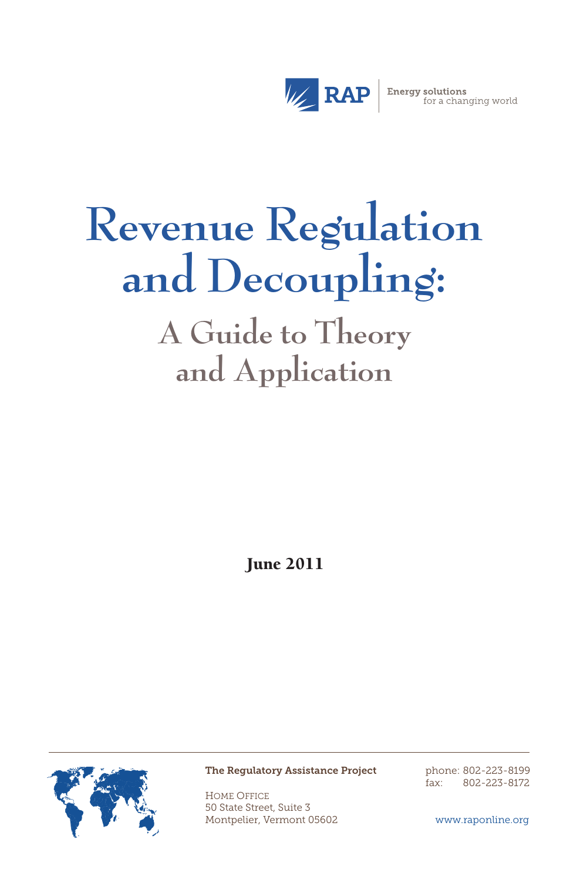

# **Revenue Regulation and Decoupling:**

**A Guide to Theory and Application**

June 2011



The Regulatory Assistance Project

Home Office 50 State Street, Suite 3 Montpelier, Vermont 05602 phone: 802-223-8199 fax: 802-223-8172

www.raponline.org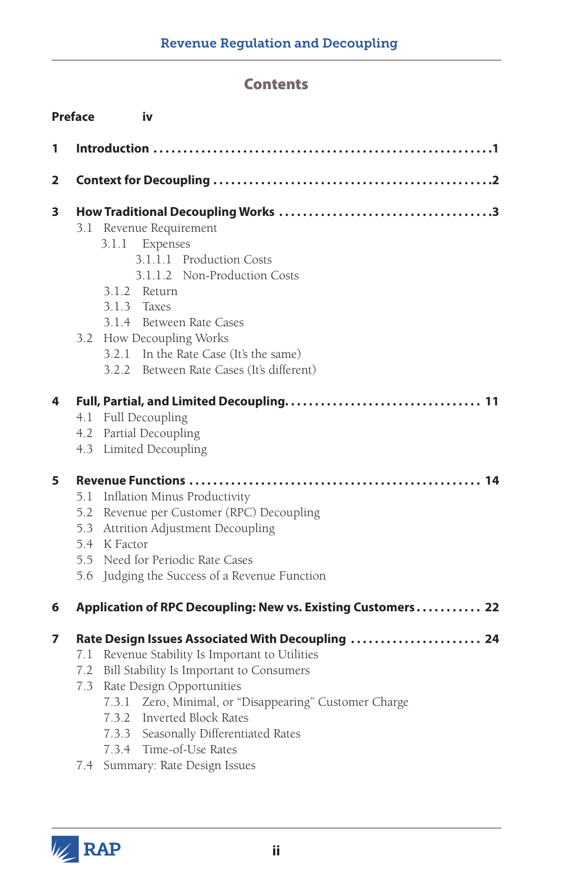# **Contents**

|   | <b>Preface</b><br>iv                                                                                                                                                                                                                                                                                                                                                                       |  |
|---|--------------------------------------------------------------------------------------------------------------------------------------------------------------------------------------------------------------------------------------------------------------------------------------------------------------------------------------------------------------------------------------------|--|
| 1 |                                                                                                                                                                                                                                                                                                                                                                                            |  |
| 2 |                                                                                                                                                                                                                                                                                                                                                                                            |  |
| 3 | Revenue Requirement<br>3.1<br>3.1.1 Expenses<br>3.1.1.1 Production Costs<br>3.1.1.2 Non-Production Costs<br>3.1.2 Return<br>$3.1.3$ Taxes<br>3.1.4 Between Rate Cases<br>3.2 How Decoupling Works<br>3.2.1 In the Rate Case (It's the same)<br>3.2.2 Between Rate Cases (It's different)                                                                                                   |  |
| 4 | Full Decoupling<br>4.1<br>Partial Decoupling<br>4.2<br>4.3 Limited Decoupling                                                                                                                                                                                                                                                                                                              |  |
| 5 | Inflation Minus Productivity<br>5.1<br>5.2 Revenue per Customer (RPC) Decoupling<br>5.3 Attrition Adjustment Decoupling<br>5.4 K Factor<br>5.5 Need for Periodic Rate Cases<br>Judging the Success of a Revenue Function<br>5.6                                                                                                                                                            |  |
| 6 | Application of RPC Decoupling: New vs. Existing Customers 22                                                                                                                                                                                                                                                                                                                               |  |
| 7 | Rate Design Issues Associated With Decoupling  24<br>Revenue Stability Is Important to Utilities<br>7.1<br>Bill Stability Is Important to Consumers<br>7.2<br>7.3 Rate Design Opportunities<br>7.3.1 Zero, Minimal, or "Disappearing" Customer Charge<br>7.3.2 Inverted Block Rates<br>7.3.3 Seasonally Differentiated Rates<br>7.3.4 Time-of-Use Rates<br>7.4 Summary: Rate Design Issues |  |

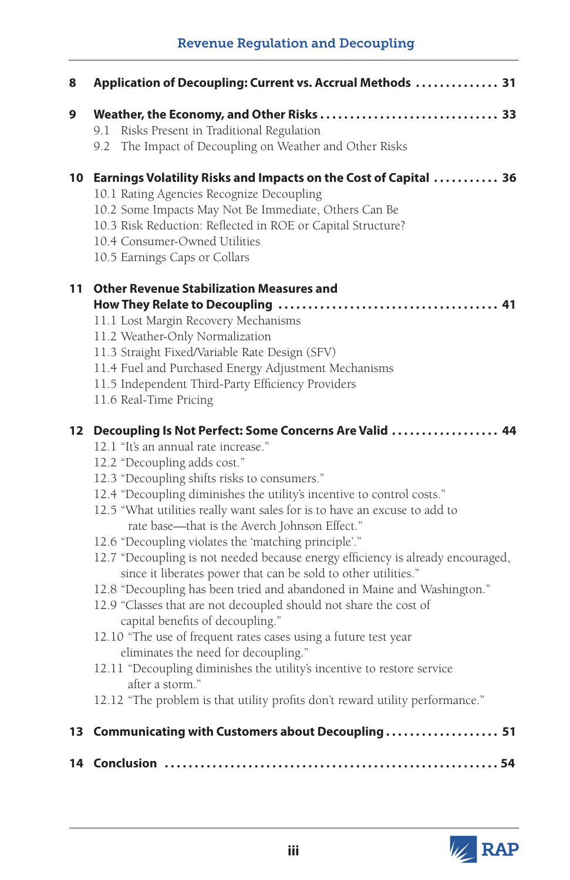# Revenue Regulation and Decoupling

| 8                | Application of Decoupling: Current vs. Accrual Methods  31                                                                                                                                                                                                                                                                                                                                                                                                                                                                                                                                                                                                                                                                                                                                                                                                                                                                                                                                                                                                                        |  |  |  |
|------------------|-----------------------------------------------------------------------------------------------------------------------------------------------------------------------------------------------------------------------------------------------------------------------------------------------------------------------------------------------------------------------------------------------------------------------------------------------------------------------------------------------------------------------------------------------------------------------------------------------------------------------------------------------------------------------------------------------------------------------------------------------------------------------------------------------------------------------------------------------------------------------------------------------------------------------------------------------------------------------------------------------------------------------------------------------------------------------------------|--|--|--|
| 9                | 9.1 Risks Present in Traditional Regulation<br>The Impact of Decoupling on Weather and Other Risks<br>9.2                                                                                                                                                                                                                                                                                                                                                                                                                                                                                                                                                                                                                                                                                                                                                                                                                                                                                                                                                                         |  |  |  |
|                  | 10 Earnings Volatility Risks and Impacts on the Cost of Capital  36<br>10.1 Rating Agencies Recognize Decoupling<br>10.2 Some Impacts May Not Be Immediate, Others Can Be<br>10.3 Risk Reduction: Reflected in ROE or Capital Structure?<br>10.4 Consumer-Owned Utilities<br>10.5 Earnings Caps or Collars                                                                                                                                                                                                                                                                                                                                                                                                                                                                                                                                                                                                                                                                                                                                                                        |  |  |  |
| 11               | <b>Other Revenue Stabilization Measures and</b><br>11.1 Lost Margin Recovery Mechanisms<br>11.2 Weather-Only Normalization<br>11.3 Straight Fixed/Variable Rate Design (SFV)<br>11.4 Fuel and Purchased Energy Adjustment Mechanisms<br>11.5 Independent Third-Party Efficiency Providers<br>11.6 Real-Time Pricing                                                                                                                                                                                                                                                                                                                                                                                                                                                                                                                                                                                                                                                                                                                                                               |  |  |  |
| 12 <sup>12</sup> | Decoupling Is Not Perfect: Some Concerns Are Valid  44<br>12.1 "It's an annual rate increase."<br>12.2 "Decoupling adds cost."<br>12.3 "Decoupling shifts risks to consumers."<br>12.4 "Decoupling diminishes the utility's incentive to control costs."<br>12.5 "What utilities really want sales for is to have an excuse to add to<br>rate base-that is the Averch Johnson Effect."<br>12.6 "Decoupling violates the 'matching principle'."<br>12.7 "Decoupling is not needed because energy efficiency is already encouraged,<br>since it liberates power that can be sold to other utilities."<br>12.8 "Decoupling has been tried and abandoned in Maine and Washington."<br>12.9 "Classes that are not decoupled should not share the cost of<br>capital benefits of decoupling."<br>12.10 "The use of frequent rates cases using a future test year<br>eliminates the need for decoupling."<br>12.11 "Decoupling diminishes the utility's incentive to restore service<br>after a storm."<br>12.12 "The problem is that utility profits don't reward utility performance." |  |  |  |
|                  | 13 Communicating with Customers about Decoupling  51                                                                                                                                                                                                                                                                                                                                                                                                                                                                                                                                                                                                                                                                                                                                                                                                                                                                                                                                                                                                                              |  |  |  |
|                  |                                                                                                                                                                                                                                                                                                                                                                                                                                                                                                                                                                                                                                                                                                                                                                                                                                                                                                                                                                                                                                                                                   |  |  |  |

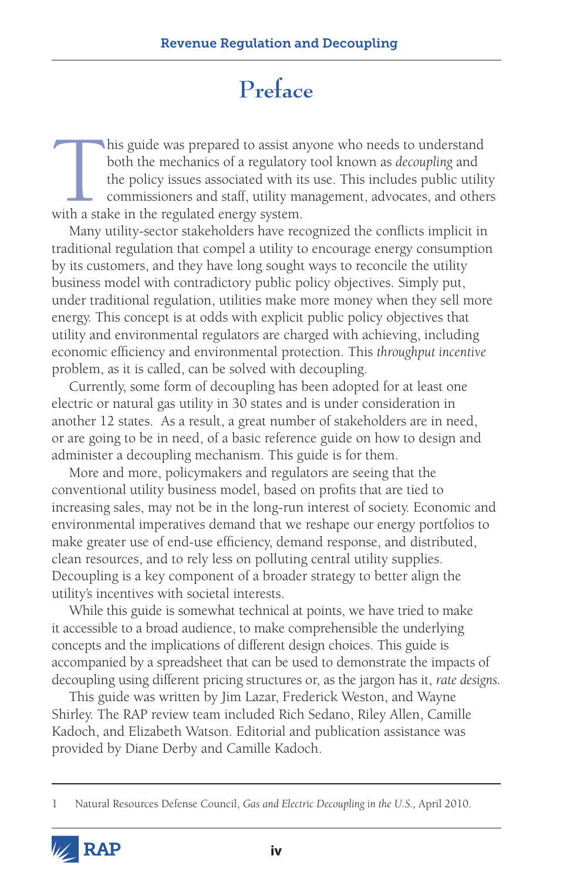# **Preface**

his guide was prepared to assist anyone who needs to understand both the mechanics of a regulatory tool known as *decoupling* and the policy issues associated with its use. This includes public utilit commissioners and sta both the mechanics of a regulatory tool known as *decoupling* and the policy issues associated with its use. This includes public utility commissioners and staff, utility management, advocates, and others with a stake in the regulated energy system.

Many utility-sector stakeholders have recognized the conflicts implicit in traditional regulation that compel a utility to encourage energy consumption by its customers, and they have long sought ways to reconcile the utility business model with contradictory public policy objectives. Simply put, under traditional regulation, utilities make more money when they sell more energy. This concept is at odds with explicit public policy objectives that utility and environmental regulators are charged with achieving, including economic efficiency and environmental protection. This *throughput incentive*  problem, as it is called, can be solved with decoupling.

Currently, some form of decoupling has been adopted for at least one electric or natural gas utility in 30 states and is under consideration in another 12 states. As a result, a great number of stakeholders are in need, or are going to be in need, of a basic reference guide on how to design and administer a decoupling mechanism. This guide is for them.

More and more, policymakers and regulators are seeing that the conventional utility business model, based on profits that are tied to increasing sales, may not be in the long-run interest of society. Economic and environmental imperatives demand that we reshape our energy portfolios to make greater use of end-use efficiency, demand response, and distributed, clean resources, and to rely less on polluting central utility supplies. Decoupling is a key component of a broader strategy to better align the utility's incentives with societal interests.

While this guide is somewhat technical at points, we have tried to make it accessible to a broad audience, to make comprehensible the underlying concepts and the implications of different design choices. This guide is accompanied by a spreadsheet that can be used to demonstrate the impacts of decoupling using different pricing structures or, as the jargon has it, *rate designs.*

This guide was written by Jim Lazar, Frederick Weston, and Wayne Shirley. The RAP review team included Rich Sedano, Riley Allen, Camille Kadoch, and Elizabeth Watson. Editorial and publication assistance was provided by Diane Derby and Camille Kadoch.

<sup>1</sup> Natural Resources Defense Council, *Gas and Electric Decoupling in the U.S.,* April 2010.

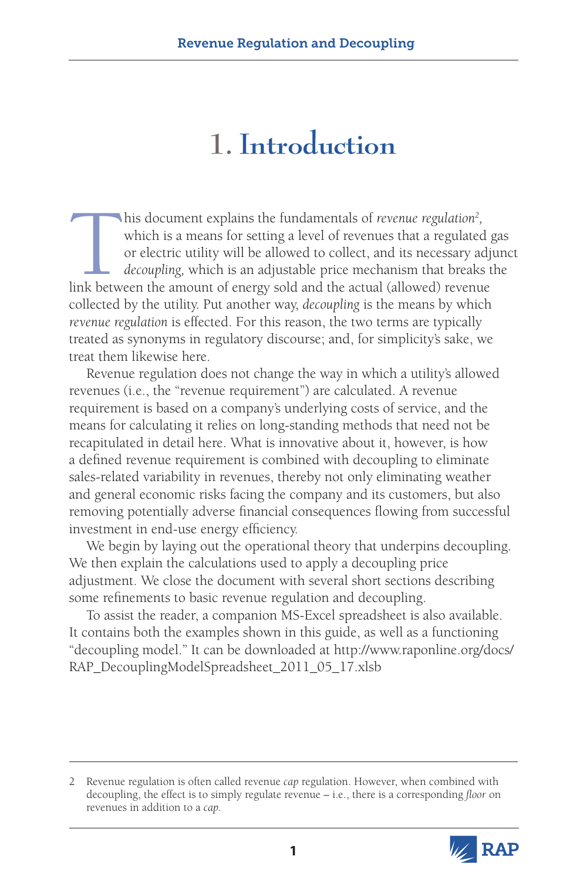# **1. Introduction**

This document explains the fundamentals of *revenue regulation<sup>2</sup>* which is a means for setting a level of revenues that a regulate or electric utility will be allowed to collect, and its necessary a *decoupling*, which is this document explains the fundamentals of *revenue regulation<sup>2</sup>*, which is a means for setting a level of revenues that a regulated gas or electric utility will be allowed to collect, and its necessary adjunct *decoupling,* which is an adjustable price mechanism that breaks the link between the amount of energy sold and the actual (allowed) revenue collected by the utility. Put another way, *decoupling* is the means by which *revenue regulation* is effected. For this reason, the two terms are typically treated as synonyms in regulatory discourse; and, for simplicity's sake, we treat them likewise here.

Revenue regulation does not change the way in which a utility's allowed revenues (i.e., the "revenue requirement") are calculated. A revenue requirement is based on a company's underlying costs of service, and the means for calculating it relies on long-standing methods that need not be recapitulated in detail here. What is innovative about it, however, is how a defined revenue requirement is combined with decoupling to eliminate sales-related variability in revenues, thereby not only eliminating weather and general economic risks facing the company and its customers, but also removing potentially adverse financial consequences flowing from successful investment in end-use energy efficiency.

We begin by laying out the operational theory that underpins decoupling. We then explain the calculations used to apply a decoupling price adjustment. We close the document with several short sections describing some refinements to basic revenue regulation and decoupling.

To assist the reader, a companion MS-Excel spreadsheet is also available. It contains both the examples shown in this guide, as well as a functioning "decoupling model." It can be downloaded at [http://www.raponline.org/docs/](http://www.raponline.org/docs/RAP_DecouplingModelSpreadsheet_2011_05_17.xlsb) [RAP\\_DecouplingModelSpreadsheet\\_2011\\_05\\_17.xlsb](http://www.raponline.org/docs/RAP_DecouplingModelSpreadsheet_2011_05_17.xlsb)

<sup>2</sup> Revenue regulation is often called revenue *cap* regulation. However, when combined with decoupling, the effect is to simply regulate revenue – i.e., there is a corresponding *floor* on revenues in addition to a *cap.*

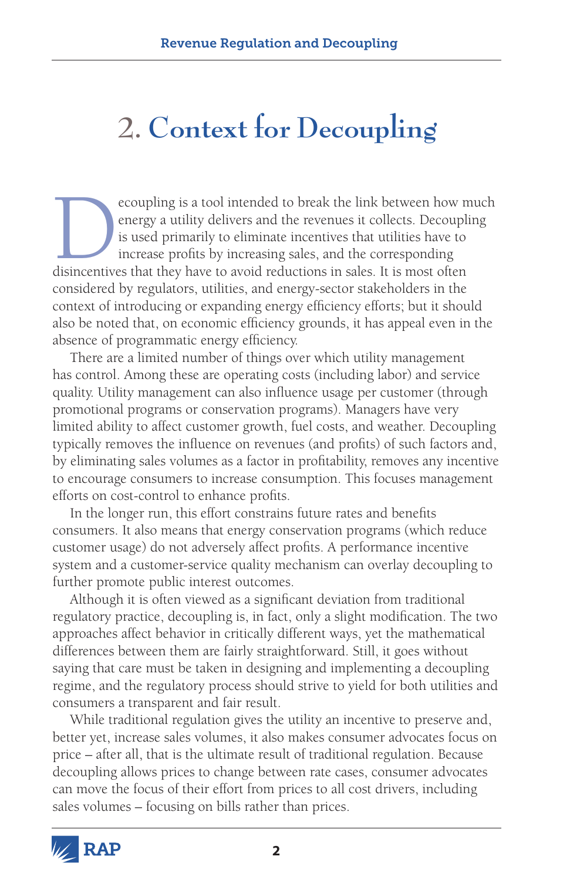# **2. Context for Decoupling**

ecoupling is a tool intended to break the link between how much energy a utility delivers and the revenues it collects. Decoupling is used primarily to eliminate incentives that utilities have to increase profits by increa energy a utility delivers and the revenues it collects. Decoupling is used primarily to eliminate incentives that utilities have to increase profits by increasing sales, and the corresponding disincentives that they have to avoid reductions in sales. It is most often considered by regulators, utilities, and energy-sector stakeholders in the context of introducing or expanding energy efficiency efforts; but it should also be noted that, on economic efficiency grounds, it has appeal even in the absence of programmatic energy efficiency.

There are a limited number of things over which utility management has control. Among these are operating costs (including labor) and service quality. Utility management can also influence usage per customer (through promotional programs or conservation programs). Managers have very limited ability to affect customer growth, fuel costs, and weather. Decoupling typically removes the influence on revenues (and profits) of such factors and, by eliminating sales volumes as a factor in profitability, removes any incentive to encourage consumers to increase consumption. This focuses management efforts on cost-control to enhance profits.

In the longer run, this effort constrains future rates and benefits consumers. It also means that energy conservation programs (which reduce customer usage) do not adversely affect profits. A performance incentive system and a customer-service quality mechanism can overlay decoupling to further promote public interest outcomes.

Although it is often viewed as a significant deviation from traditional regulatory practice, decoupling is, in fact, only a slight modification. The two approaches affect behavior in critically different ways, yet the mathematical differences between them are fairly straightforward. Still, it goes without saying that care must be taken in designing and implementing a decoupling regime, and the regulatory process should strive to yield for both utilities and consumers a transparent and fair result.

While traditional regulation gives the utility an incentive to preserve and, better yet, increase sales volumes, it also makes consumer advocates focus on price – after all, that is the ultimate result of traditional regulation. Because decoupling allows prices to change between rate cases, consumer advocates can move the focus of their effort from prices to all cost drivers, including sales volumes – focusing on bills rather than prices.

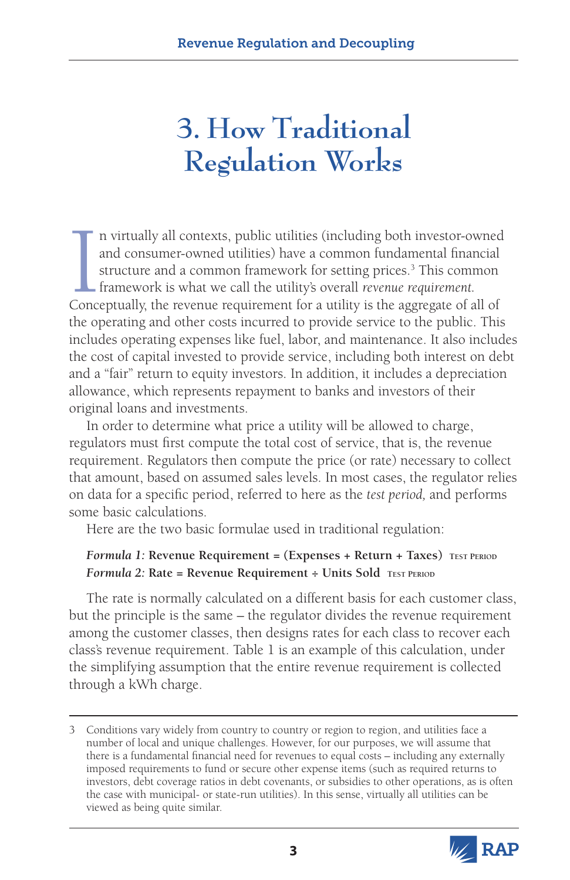# **3. How Traditional Regulation Works**

In virtually all contexts, public utilities (including both investor-owned and consumer-owned utilities) have a common fundamental financial structure and a common framework for setting prices.<sup>3</sup> This common framework is n virtually all contexts, public utilities (including both investor-owned and consumer-owned utilities) have a common fundamental financial structure and a common framework for setting prices.<sup>3</sup> This common framework is what we call the utility's overall *revenue requirement.*  the operating and other costs incurred to provide service to the public. This includes operating expenses like fuel, labor, and maintenance. It also includes the cost of capital invested to provide service, including both interest on debt and a "fair" return to equity investors. In addition, it includes a depreciation allowance, which represents repayment to banks and investors of their original loans and investments.

In order to determine what price a utility will be allowed to charge, regulators must first compute the total cost of service, that is, the revenue requirement. Regulators then compute the price (or rate) necessary to collect that amount, based on assumed sales levels. In most cases, the regulator relies on data for a specific period, referred to here as the *test period,* and performs some basic calculations.

Here are the two basic formulae used in traditional regulation:

#### *Formula 1:* **Revenue Requirement = (Expenses + Return + Taxes)****Test Period** *Formula 2:* **Rate = Revenue Requirement ÷ Units Sold Test Period**

The rate is normally calculated on a different basis for each customer class, but the principle is the same – the regulator divides the revenue requirement among the customer classes, then designs rates for each class to recover each class's revenue requirement. Table 1 is an example of this calculation, under the simplifying assumption that the entire revenue requirement is collected through a kWh charge.

<sup>3</sup> Conditions vary widely from country to country or region to region, and utilities face a number of local and unique challenges. However, for our purposes, we will assume that there is a fundamental financial need for revenues to equal costs – including any externally imposed requirements to fund or secure other expense items (such as required returns to investors, debt coverage ratios in debt covenants, or subsidies to other operations, as is often the case with municipal- or state-run utilities). In this sense, virtually all utilities can be viewed as being quite similar.

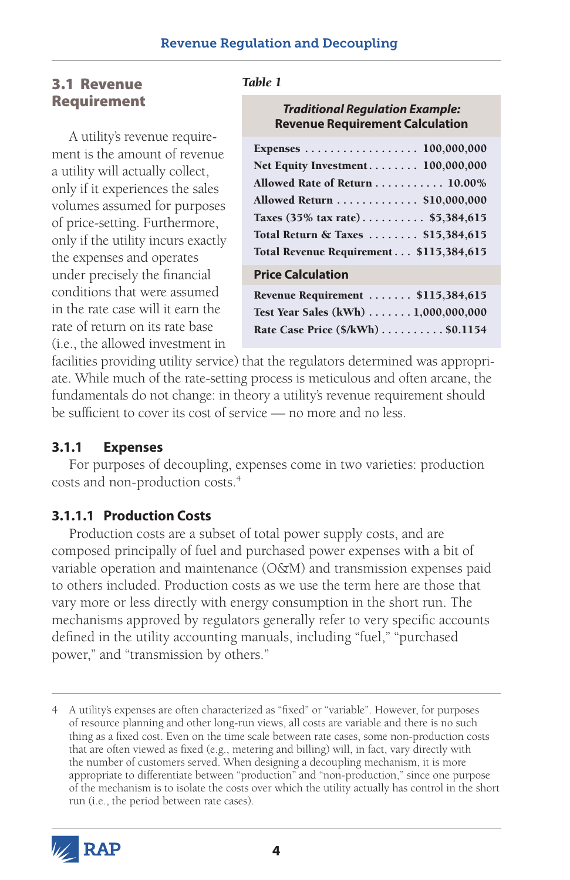# 3.1 Revenue Requirement

A utility's revenue requirement is the amount of revenue a utility will actually collect, only if it experiences the sales volumes assumed for purposes of price-setting. Furthermore, only if the utility incurs exactly the expenses and operates under precisely the financial conditions that were assumed in the rate case will it earn the rate of return on its rate base (i.e., the allowed investment in

#### *Table 1*

#### *Traditional Regulation Example:* **Revenue Requirement Calculation**

| Expenses 100,000,000                                                 |
|----------------------------------------------------------------------|
| Net Equity Investment 100,000,000                                    |
| Allowed Rate of Return 10.00%                                        |
| Allowed Return \$10,000,000                                          |
| Taxes $(35\% \text{ tax rate}) \dots \dots \dots \text{ $5,384,615}$ |
| Total Return & Taxes  \$15,384,615                                   |
| Total Revenue Requirement \$115,384,615                              |
| <b>Price Calculation</b>                                             |
| Revenue Requirement  \$115,384,615                                   |

Test Year Sales (kWh) . . . . . . 1,000,000,000 Rate Case Price (\$/kWh) . . . . . . . . . . \$0.1154

facilities providing utility service) that the regulators determined was appropriate. While much of the rate-setting process is meticulous and often arcane, the fundamentals do not change: in theory a utility's revenue requirement should be sufficient to cover its cost of service — no more and no less.

#### **3.1.1 Expenses**

For purposes of decoupling, expenses come in two varieties: production costs and non-production costs.4

### **3.1.1.1 Production Costs**

Production costs are a subset of total power supply costs, and are composed principally of fuel and purchased power expenses with a bit of variable operation and maintenance (O&M) and transmission expenses paid to others included. Production costs as we use the term here are those that vary more or less directly with energy consumption in the short run. The mechanisms approved by regulators generally refer to very specific accounts defined in the utility accounting manuals, including "fuel," "purchased power," and "transmission by others."

<sup>4</sup> A utility's expenses are often characterized as "fixed" or "variable". However, for purposes of resource planning and other long-run views, all costs are variable and there is no such thing as a fixed cost. Even on the time scale between rate cases, some non-production costs that are often viewed as fixed (e.g., metering and billing) will, in fact, vary directly with the number of customers served. When designing a decoupling mechanism, it is more appropriate to differentiate between "production" and "non-production," since one purpose of the mechanism is to isolate the costs over which the utility actually has control in the short run (i.e., the period between rate cases).

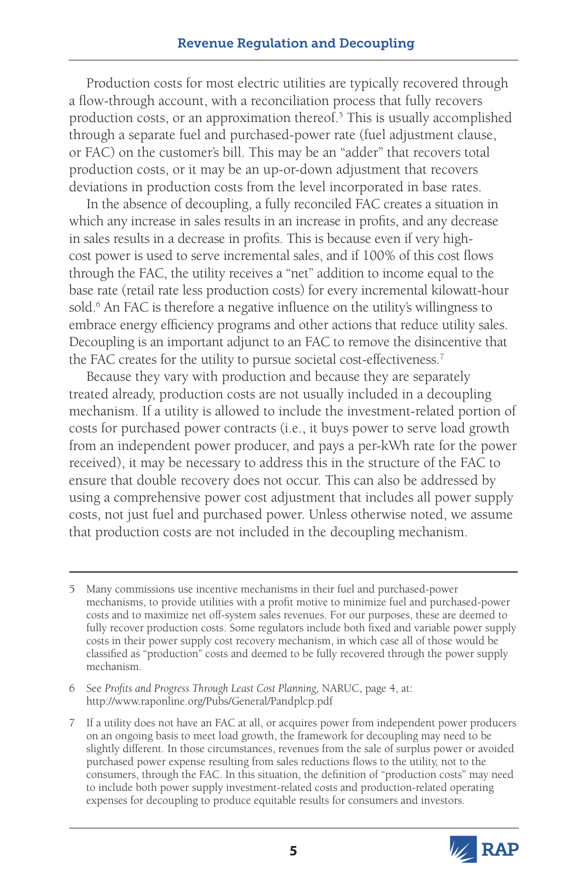Production costs for most electric utilities are typically recovered through a flow-through account, with a reconciliation process that fully recovers production costs, or an approximation thereof.<sup>5</sup> This is usually accomplished through a separate fuel and purchased-power rate (fuel adjustment clause, or FAC) on the customer's bill. This may be an "adder" that recovers total production costs, or it may be an up-or-down adjustment that recovers deviations in production costs from the level incorporated in base rates.

In the absence of decoupling, a fully reconciled FAC creates a situation in which any increase in sales results in an increase in profits, and any decrease in sales results in a decrease in profits. This is because even if very highcost power is used to serve incremental sales, and if 100% of this cost flows through the FAC, the utility receives a "net" addition to income equal to the base rate (retail rate less production costs) for every incremental kilowatt-hour sold.<sup>6</sup> An FAC is therefore a negative influence on the utility's willingness to embrace energy efficiency programs and other actions that reduce utility sales. Decoupling is an important adjunct to an FAC to remove the disincentive that the FAC creates for the utility to pursue societal cost-effectiveness.<sup>7</sup>

Because they vary with production and because they are separately treated already, production costs are not usually included in a decoupling mechanism. If a utility is allowed to include the investment-related portion of costs for purchased power contracts (i.e., it buys power to serve load growth from an independent power producer, and pays a per-kWh rate for the power received), it may be necessary to address this in the structure of the FAC to ensure that double recovery does not occur. This can also be addressed by using a comprehensive power cost adjustment that includes all power supply costs, not just fuel and purchased power. Unless otherwise noted, we assume that production costs are not included in the decoupling mechanism.

6 See *Profits and Progress Through Least Cost Planning,* NARUC, page 4, at: http://www.raponline.org/Pubs/General/Pandplcp.pdf

<sup>7</sup> If a utility does not have an FAC at all, or acquires power from independent power producers on an ongoing basis to meet load growth, the framework for decoupling may need to be slightly different. In those circumstances, revenues from the sale of surplus power or avoided purchased power expense resulting from sales reductions flows to the utility, not to the consumers, through the FAC. In this situation, the definition of "production costs" may need to include both power supply investment-related costs and production-related operating expenses for decoupling to produce equitable results for consumers and investors.



<sup>5</sup> Many commissions use incentive mechanisms in their fuel and purchased-power mechanisms, to provide utilities with a profit motive to minimize fuel and purchased-power costs and to maximize net off-system sales revenues. For our purposes, these are deemed to fully recover production costs. Some regulators include both fixed and variable power supply costs in their power supply cost recovery mechanism, in which case all of those would be classified as "production" costs and deemed to be fully recovered through the power supply mechanism.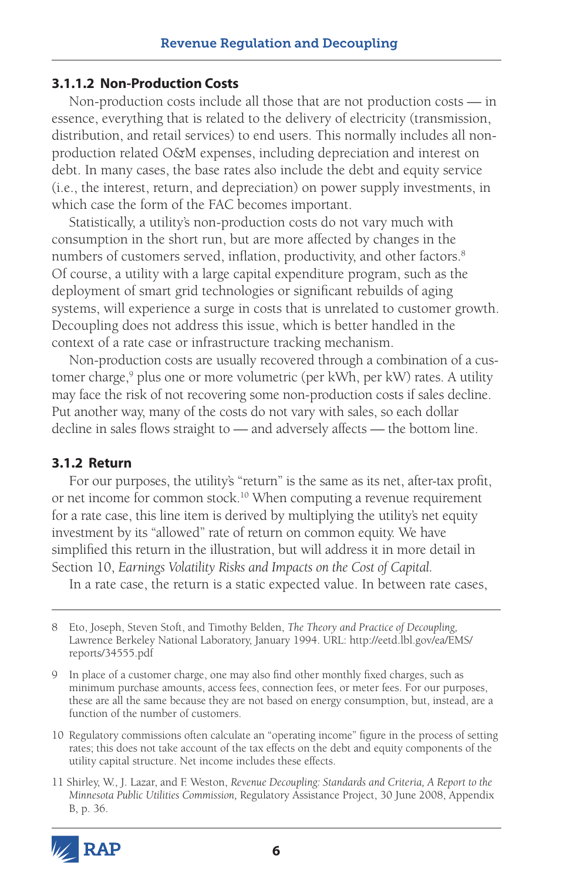#### **3.1.1.2 Non-Production Costs**

Non-production costs include all those that are not production costs — in essence, everything that is related to the delivery of electricity (transmission, distribution, and retail services) to end users. This normally includes all nonproduction related O&M expenses, including depreciation and interest on debt. In many cases, the base rates also include the debt and equity service (i.e., the interest, return, and depreciation) on power supply investments, in which case the form of the FAC becomes important.

Statistically, a utility's non-production costs do not vary much with consumption in the short run, but are more affected by changes in the numbers of customers served, inflation, productivity, and other factors.<sup>8</sup> Of course, a utility with a large capital expenditure program, such as the deployment of smart grid technologies or significant rebuilds of aging systems, will experience a surge in costs that is unrelated to customer growth. Decoupling does not address this issue, which is better handled in the context of a rate case or infrastructure tracking mechanism.

Non-production costs are usually recovered through a combination of a customer charge,<sup>9</sup> plus one or more volumetric (per kWh, per kW) rates. A utility may face the risk of not recovering some non-production costs if sales decline. Put another way, many of the costs do not vary with sales, so each dollar decline in sales flows straight to — and adversely affects — the bottom line.

#### **3.1.2 Return**

For our purposes, the utility's "return" is the same as its net, after-tax profit, or net income for common stock.10 When computing a revenue requirement for a rate case, this line item is derived by multiplying the utility's net equity investment by its "allowed" rate of return on common equity. We have simplified this return in the illustration, but will address it in more detail in Section 10, *Earnings Volatility Risks and Impacts on the Cost of Capital.*

In a rate case, the return is a static expected value. In between rate cases,

<sup>11</sup> Shirley, W., J. Lazar, and F. Weston, *Revenue Decoupling: Standards and Criteria, A Report to the Minnesota Public Utilities Commission,* Regulatory Assistance Project, 30 June 2008, Appendix B, p. 36.



<sup>8</sup> Eto, Joseph, Steven Stoft, and Timothy Belden, *The Theory and Practice of Decoupling,* Lawrence Berkeley National Laboratory, January 1994. URL: [http://eetd.lbl.gov/ea/EMS/](http://eetd.lbl.gov/ea/EMS/reports/34555.pdf ) [reports/34555.pdf](http://eetd.lbl.gov/ea/EMS/reports/34555.pdf )

<sup>9</sup> In place of a customer charge, one may also find other monthly fixed charges, such as minimum purchase amounts, access fees, connection fees, or meter fees. For our purposes, these are all the same because they are not based on energy consumption, but, instead, are a function of the number of customers.

<sup>10</sup> Regulatory commissions often calculate an "operating income" figure in the process of setting rates; this does not take account of the tax effects on the debt and equity components of the utility capital structure. Net income includes these effects.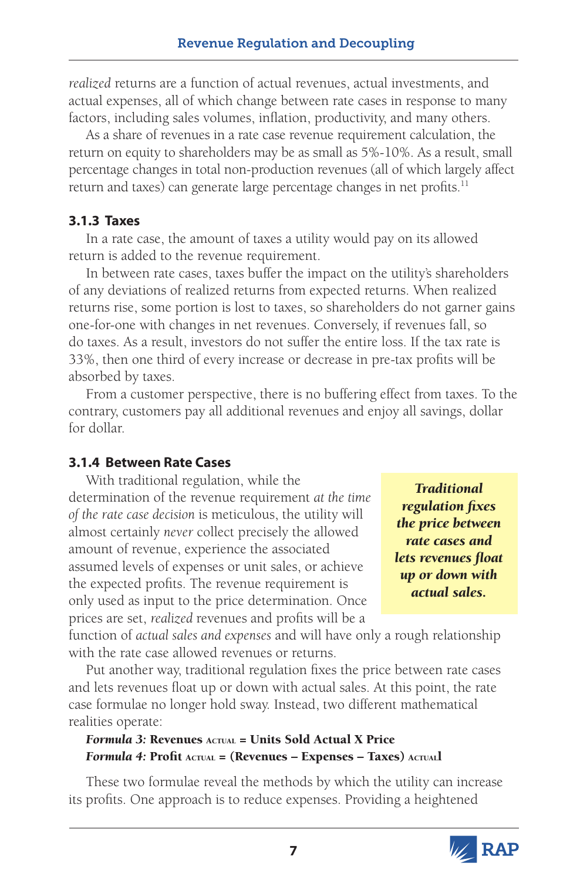*realized* returns are a function of actual revenues, actual investments, and actual expenses, all of which change between rate cases in response to many factors, including sales volumes, inflation, productivity, and many others.

As a share of revenues in a rate case revenue requirement calculation, the return on equity to shareholders may be as small as 5%-10%. As a result, small percentage changes in total non-production revenues (all of which largely affect return and taxes) can generate large percentage changes in net profits.<sup>11</sup>

### **3.1.3 Taxes**

In a rate case, the amount of taxes a utility would pay on its allowed return is added to the revenue requirement.

In between rate cases, taxes buffer the impact on the utility's shareholders of any deviations of realized returns from expected returns. When realized returns rise, some portion is lost to taxes, so shareholders do not garner gains one-for-one with changes in net revenues. Conversely, if revenues fall, so do taxes. As a result, investors do not suffer the entire loss. If the tax rate is 33%, then one third of every increase or decrease in pre-tax profits will be absorbed by taxes.

From a customer perspective, there is no buffering effect from taxes. To the contrary, customers pay all additional revenues and enjoy all savings, dollar for dollar.

### **3.1.4 Between Rate Cases**

With traditional regulation, while the determination of the revenue requirement *at the time of the rate case decision* is meticulous, the utility will almost certainly *never* collect precisely the allowed amount of revenue, experience the associated assumed levels of expenses or unit sales, or achieve the expected profits. The revenue requirement is only used as input to the price determination. Once prices are set, *realized* revenues and profits will be a

*Traditional regulation fixes the price between rate cases and lets revenues float up or down with actual sales.*

function of *actual sales and expenses* and will have only a rough relationship with the rate case allowed revenues or returns.

Put another way, traditional regulation fixes the price between rate cases and lets revenues float up or down with actual sales. At this point, the rate case formulae no longer hold sway. Instead, two different mathematical realities operate:

#### Formula 3: Revenues ACTUAL = Units Sold Actual X Price *Formula 4:* Profit Actual = (Revenues – Expenses – Taxes) Actuall

These two formulae reveal the methods by which the utility can increase its profits. One approach is to reduce expenses. Providing a heightened

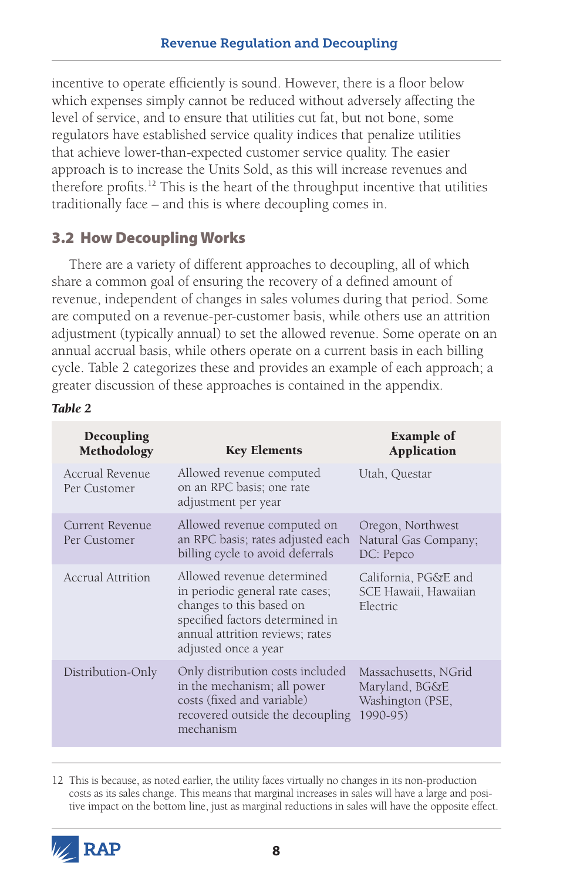incentive to operate efficiently is sound. However, there is a floor below which expenses simply cannot be reduced without adversely affecting the level of service, and to ensure that utilities cut fat, but not bone, some regulators have established service quality indices that penalize utilities that achieve lower-than-expected customer service quality. The easier approach is to increase the Units Sold, as this will increase revenues and therefore profits.12 This is the heart of the throughput incentive that utilities traditionally face – and this is where decoupling comes in.

# 3.2 How Decoupling Works

There are a variety of different approaches to decoupling, all of which share a common goal of ensuring the recovery of a defined amount of revenue, independent of changes in sales volumes during that period. Some are computed on a revenue-per-customer basis, while others use an attrition adjustment (typically annual) to set the allowed revenue. Some operate on an annual accrual basis, while others operate on a current basis in each billing cycle. Table 2 categorizes these and provides an example of each approach; a greater discussion of these approaches is contained in the appendix.

| Decoupling<br>Methodology       | <b>Key Elements</b>                                                                                                                                                                     | <b>Example of</b><br><b>Application</b>                                |
|---------------------------------|-----------------------------------------------------------------------------------------------------------------------------------------------------------------------------------------|------------------------------------------------------------------------|
| Accrual Revenue<br>Per Customer | Allowed revenue computed<br>on an RPC basis; one rate<br>adjustment per year                                                                                                            | Utah, Questar                                                          |
| Current Revenue<br>Per Customer | Allowed revenue computed on<br>an RPC basis; rates adjusted each<br>billing cycle to avoid deferrals                                                                                    | Oregon, Northwest<br>Natural Gas Company;<br>DC: Pepco                 |
| Accrual Attrition               | Allowed revenue determined<br>in periodic general rate cases;<br>changes to this based on<br>specified factors determined in<br>annual attrition reviews; rates<br>adjusted once a year | California, PG&E and<br>SCE Hawaii, Hawaiian<br>Electric               |
| Distribution-Only               | Only distribution costs included<br>in the mechanism; all power<br>costs (fixed and variable)<br>recovered outside the decoupling<br>mechanism                                          | Massachusetts, NGrid<br>Maryland, BG&E<br>Washington (PSE,<br>1990-95) |

#### *Table 2*

12 This is because, as noted earlier, the utility faces virtually no changes in its non-production costs as its sales change. This means that marginal increases in sales will have a large and positive impact on the bottom line, just as marginal reductions in sales will have the opposite effect.

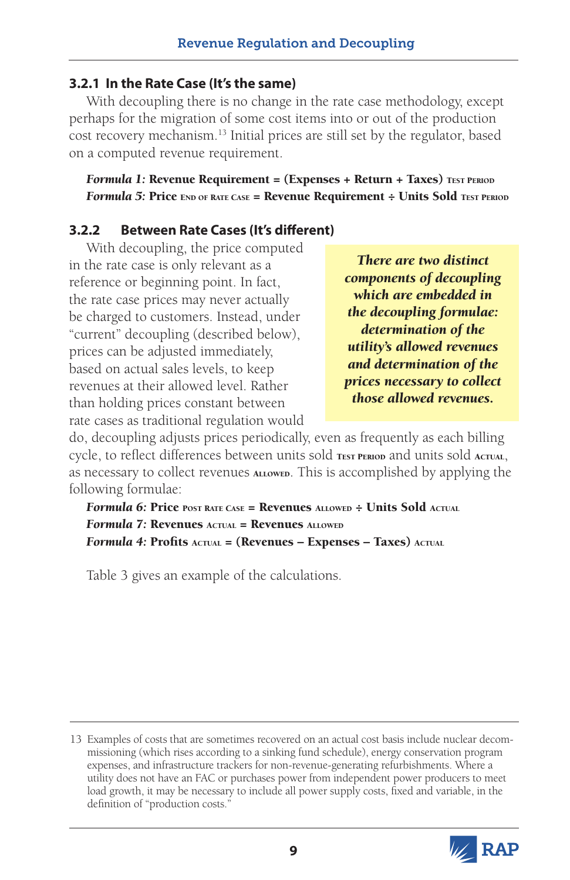#### **3.2.1 In the Rate Case (It's the same)**

With decoupling there is no change in the rate case methodology, except perhaps for the migration of some cost items into or out of the production cost recovery mechanism.13 Initial prices are still set by the regulator, based on a computed revenue requirement.

*Formula 1:* Revenue Requirement = (Expenses + Return + Taxes) TEST PERIOD *Formula 5*: Price END OF RATE CASE = Revenue Requirement ÷ Units Sold TEST PERIOD

### **3.2.2 Between Rate Cases (It's different)**

With decoupling, the price computed in the rate case is only relevant as a reference or beginning point. In fact, the rate case prices may never actually be charged to customers. Instead, under "current" decoupling (described below), prices can be adjusted immediately, based on actual sales levels, to keep revenues at their allowed level. Rather than holding prices constant between rate cases as traditional regulation would

*There are two distinct components of decoupling which are embedded in the decoupling formulae: determination of the utility's allowed revenues and determination of the prices necessary to collect those allowed revenues.*

do, decoupling adjusts prices periodically, even as frequently as each billing cycle, to reflect differences between units sold TEST PERIOD and units sold ACTUAL, as necessary to collect revenues ALLOWED. This is accomplished by applying the following formulae:

*Formula 6:* Price POST RATE CASE = Revenues ALLOWED ÷ Units Sold ACTUAL *Formula 7:* Revenues ACTUAL = Revenues ALLOWED *Formula 4:* Profits Actual = (Revenues – Expenses – Taxes) Actual

Table 3 gives an example of the calculations.

<sup>13</sup> Examples of costs that are sometimes recovered on an actual cost basis include nuclear decommissioning (which rises according to a sinking fund schedule), energy conservation program expenses, and infrastructure trackers for non-revenue-generating refurbishments. Where a utility does not have an FAC or purchases power from independent power producers to meet load growth, it may be necessary to include all power supply costs, fixed and variable, in the definition of "production costs."

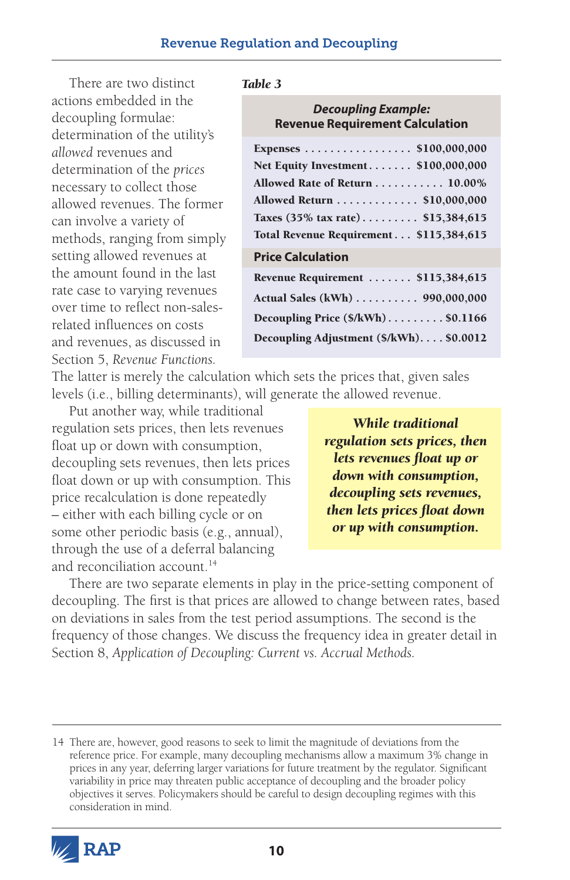There are two distinct actions embedded in the decoupling formulae: determination of the utility's *allowed* revenues and determination of the *prices*  necessary to collect those allowed revenues. The former can involve a variety of methods, ranging from simply setting allowed revenues at the amount found in the last rate case to varying revenues over time to reflect non-salesrelated influences on costs and revenues, as discussed in Section 5, *Revenue Functions.* 

#### *Table 3*

#### *Decoupling Example:* **Revenue Requirement Calculation**

| Expenses \$100,000,000                                           |
|------------------------------------------------------------------|
| Net Equity Investment \$100,000,000                              |
| Allowed Rate of Return 10.00%                                    |
| Allowed Return \$10,000,000                                      |
| Taxes $(35\% \text{ tax rate}) \dots \dots \dots \$ \$15,384,615 |
| Total Revenue Requirement \$115,384,615                          |
| <b>Price Calculation</b>                                         |
| Revenue Requirement  \$115,384,615                               |
| Actual Sales (kWh) 990,000,000                                   |
| Decoupling Price $(\frac{5}{kWh})$ \$0.1166                      |
|                                                                  |

The latter is merely the calculation which sets the prices that, given sales levels (i.e., billing determinants), will generate the allowed revenue.

Put another way, while traditional regulation sets prices, then lets revenues float up or down with consumption, decoupling sets revenues, then lets prices float down or up with consumption. This price recalculation is done repeatedly – either with each billing cycle or on some other periodic basis (e.g., annual), through the use of a deferral balancing and reconciliation account.<sup>14</sup>

*While traditional regulation sets prices, then lets revenues float up or down with consumption, decoupling sets revenues, then lets prices float down or up with consumption.* 

There are two separate elements in play in the price-setting component of decoupling. The first is that prices are allowed to change between rates, based on deviations in sales from the test period assumptions. The second is the frequency of those changes. We discuss the frequency idea in greater detail in Section 8, *Application of Decoupling: Current vs. Accrual Methods.* 

<sup>14</sup> There are, however, good reasons to seek to limit the magnitude of deviations from the reference price. For example, many decoupling mechanisms allow a maximum 3% change in prices in any year, deferring larger variations for future treatment by the regulator. Significant variability in price may threaten public acceptance of decoupling and the broader policy objectives it serves. Policymakers should be careful to design decoupling regimes with this consideration in mind.

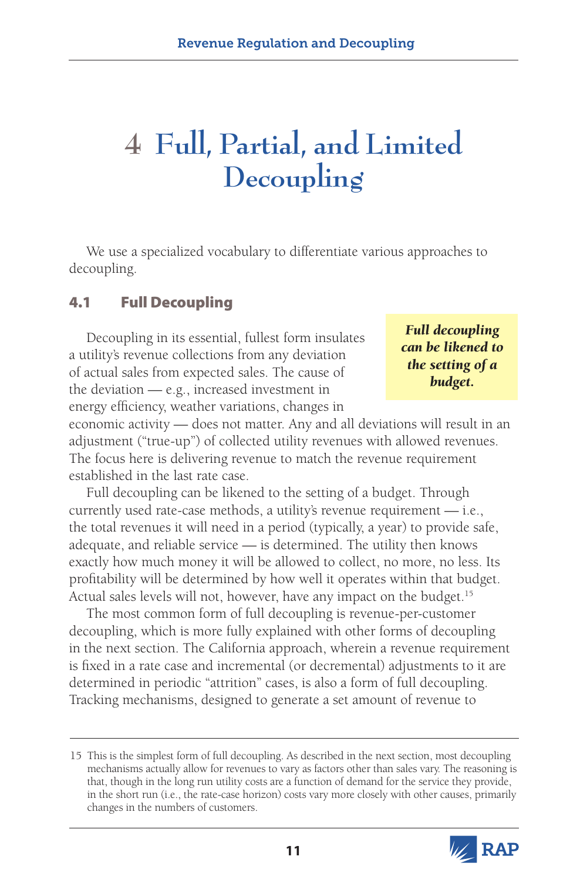# **4 Full, Partial, and Limited Decoupling**

We use a specialized vocabulary to differentiate various approaches to decoupling.

# 4.1 Full Decoupling

Decoupling in its essential, fullest form insulates a utility's revenue collections from any deviation of actual sales from expected sales. The cause of the deviation — e.g., increased investment in energy efficiency, weather variations, changes in

*Full decoupling can be likened to the setting of a budget.*

economic activity — does not matter. Any and all deviations will result in an adjustment ("true-up") of collected utility revenues with allowed revenues. The focus here is delivering revenue to match the revenue requirement established in the last rate case.

Full decoupling can be likened to the setting of a budget. Through currently used rate-case methods, a utility's revenue requirement — i.e., the total revenues it will need in a period (typically, a year) to provide safe, adequate, and reliable service — is determined. The utility then knows exactly how much money it will be allowed to collect, no more, no less. Its profitability will be determined by how well it operates within that budget. Actual sales levels will not, however, have any impact on the budget.<sup>15</sup>

The most common form of full decoupling is revenue-per-customer decoupling, which is more fully explained with other forms of decoupling in the next section. The California approach, wherein a revenue requirement is fixed in a rate case and incremental (or decremental) adjustments to it are determined in periodic "attrition" cases, is also a form of full decoupling. Tracking mechanisms, designed to generate a set amount of revenue to

<sup>15</sup> This is the simplest form of full decoupling. As described in the next section, most decoupling mechanisms actually allow for revenues to vary as factors other than sales vary. The reasoning is that, though in the long run utility costs are a function of demand for the service they provide, in the short run (i.e., the rate-case horizon) costs vary more closely with other causes, primarily changes in the numbers of customers.

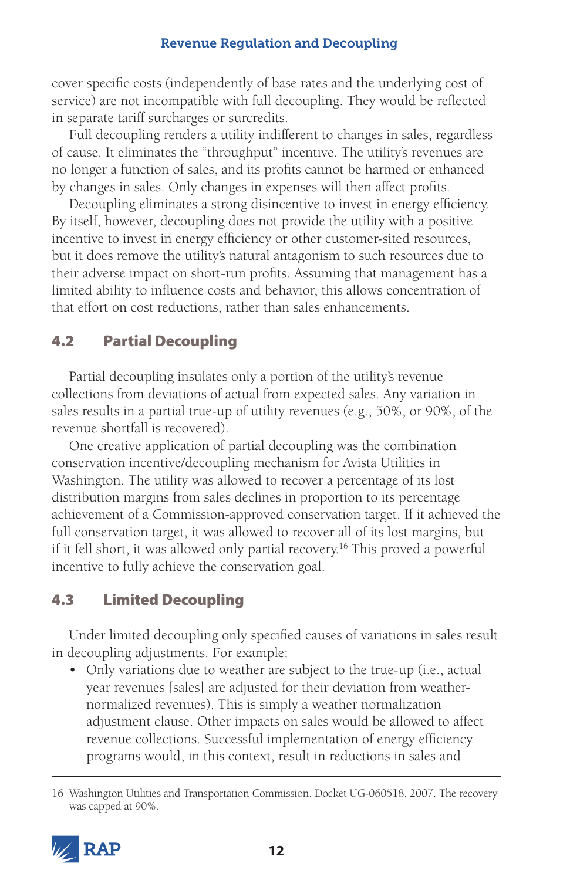cover specific costs (independently of base rates and the underlying cost of service) are not incompatible with full decoupling. They would be reflected in separate tariff surcharges or surcredits.

Full decoupling renders a utility indifferent to changes in sales, regardless of cause. It eliminates the "throughput" incentive. The utility's revenues are no longer a function of sales, and its profits cannot be harmed or enhanced by changes in sales. Only changes in expenses will then affect profits.

Decoupling eliminates a strong disincentive to invest in energy efficiency. By itself, however, decoupling does not provide the utility with a positive incentive to invest in energy efficiency or other customer-sited resources, but it does remove the utility's natural antagonism to such resources due to their adverse impact on short-run profits. Assuming that management has a limited ability to influence costs and behavior, this allows concentration of that effort on cost reductions, rather than sales enhancements.

# 4.2 Partial Decoupling

Partial decoupling insulates only a portion of the utility's revenue collections from deviations of actual from expected sales. Any variation in sales results in a partial true-up of utility revenues (e.g., 50%, or 90%, of the revenue shortfall is recovered).

One creative application of partial decoupling was the combination conservation incentive/decoupling mechanism for Avista Utilities in Washington. The utility was allowed to recover a percentage of its lost distribution margins from sales declines in proportion to its percentage achievement of a Commission-approved conservation target. If it achieved the full conservation target, it was allowed to recover all of its lost margins, but if it fell short, it was allowed only partial recovery.<sup>16</sup> This proved a powerful incentive to fully achieve the conservation goal.

# 4.3 Limited Decoupling

Under limited decoupling only specified causes of variations in sales result in decoupling adjustments. For example:

• Only variations due to weather are subject to the true-up (i.e., actual year revenues [sales] are adjusted for their deviation from weathernormalized revenues). This is simply a weather normalization adjustment clause. Other impacts on sales would be allowed to affect revenue collections. Successful implementation of energy efficiency programs would, in this context, result in reductions in sales and

<sup>16</sup> Washington Utilities and Transportation Commission, Docket UG-060518, 2007. The recovery was capped at 90%.

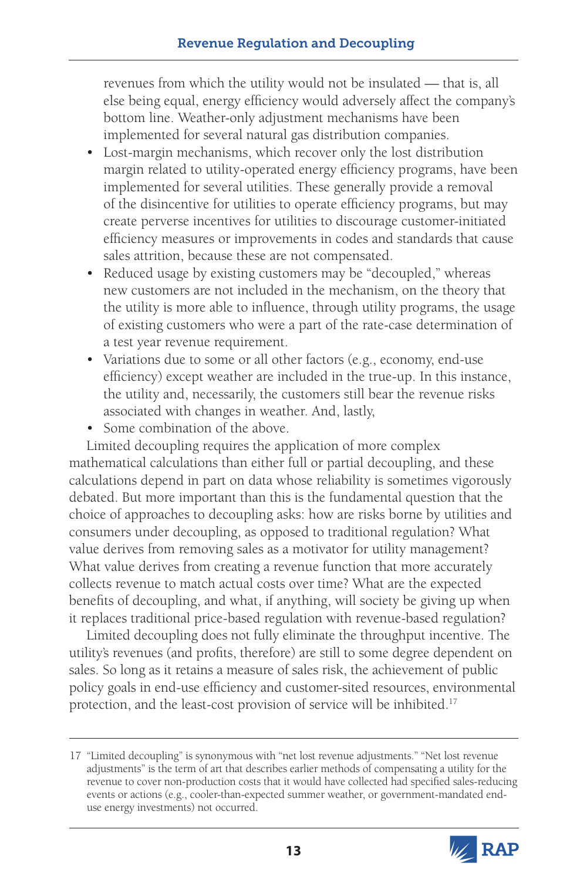revenues from which the utility would not be insulated — that is, all else being equal, energy efficiency would adversely affect the company's bottom line. Weather-only adjustment mechanisms have been implemented for several natural gas distribution companies.

- Lost-margin mechanisms, which recover only the lost distribution margin related to utility-operated energy efficiency programs, have been implemented for several utilities. These generally provide a removal of the disincentive for utilities to operate efficiency programs, but may create perverse incentives for utilities to discourage customer-initiated efficiency measures or improvements in codes and standards that cause sales attrition, because these are not compensated.
- Reduced usage by existing customers may be "decoupled," whereas new customers are not included in the mechanism, on the theory that the utility is more able to influence, through utility programs, the usage of existing customers who were a part of the rate-case determination of a test year revenue requirement.
- Variations due to some or all other factors (e.g., economy, end-use efficiency) except weather are included in the true-up. In this instance, the utility and, necessarily, the customers still bear the revenue risks associated with changes in weather. And, lastly,
- Some combination of the above.

Limited decoupling requires the application of more complex mathematical calculations than either full or partial decoupling, and these calculations depend in part on data whose reliability is sometimes vigorously debated. But more important than this is the fundamental question that the choice of approaches to decoupling asks: how are risks borne by utilities and consumers under decoupling, as opposed to traditional regulation? What value derives from removing sales as a motivator for utility management? What value derives from creating a revenue function that more accurately collects revenue to match actual costs over time? What are the expected benefits of decoupling, and what, if anything, will society be giving up when it replaces traditional price-based regulation with revenue-based regulation?

Limited decoupling does not fully eliminate the throughput incentive. The utility's revenues (and profits, therefore) are still to some degree dependent on sales. So long as it retains a measure of sales risk, the achievement of public policy goals in end-use efficiency and customer-sited resources, environmental protection, and the least-cost provision of service will be inhibited.17

<sup>17</sup> "Limited decoupling" is synonymous with "net lost revenue adjustments." "Net lost revenue adjustments" is the term of art that describes earlier methods of compensating a utility for the revenue to cover non-production costs that it would have collected had specified sales-reducing events or actions (e.g., cooler-than-expected summer weather, or government-mandated enduse energy investments) not occurred.

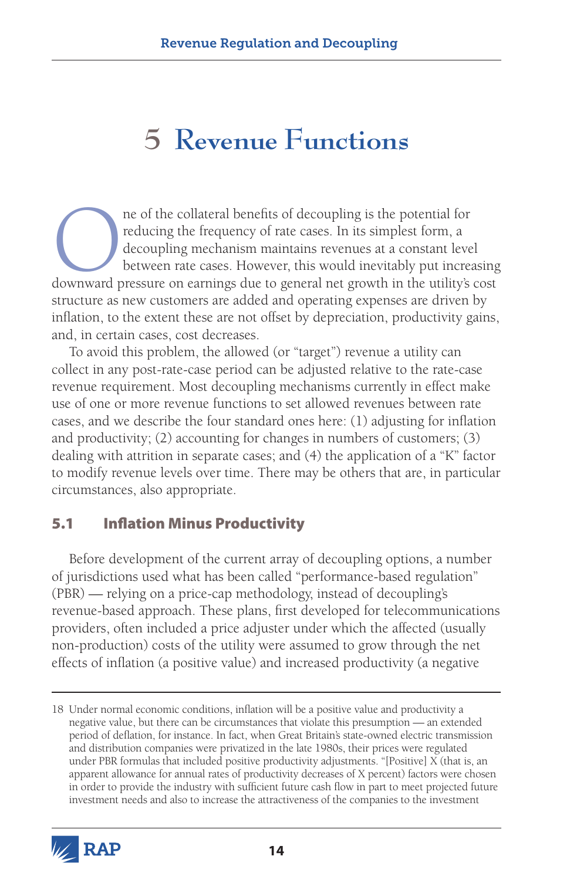# **5 Revenue Functions**

The of the collateral benefits of decoupling is the potential for reducing the frequency of rate cases. In its simplest form, a decoupling mechanism maintains revenues at a constant leve between rate cases. However, this w reducing the frequency of rate cases. In its simplest form, a decoupling mechanism maintains revenues at a constant level between rate cases. However, this would inevitably put increasing downward pressure on earnings due to general net growth in the utility's cost structure as new customers are added and operating expenses are driven by inflation, to the extent these are not offset by depreciation, productivity gains, and, in certain cases, cost decreases.

To avoid this problem, the allowed (or "target") revenue a utility can collect in any post-rate-case period can be adjusted relative to the rate-case revenue requirement. Most decoupling mechanisms currently in effect make use of one or more revenue functions to set allowed revenues between rate cases, and we describe the four standard ones here: (1) adjusting for inflation and productivity; (2) accounting for changes in numbers of customers; (3) dealing with attrition in separate cases; and (4) the application of a "K" factor to modify revenue levels over time. There may be others that are, in particular circumstances, also appropriate.

# 5.1 Inflation Minus Productivity

Before development of the current array of decoupling options, a number of jurisdictions used what has been called "performance-based regulation" (PBR) — relying on a price-cap methodology, instead of decoupling's revenue-based approach. These plans, first developed for telecommunications providers, often included a price adjuster under which the affected (usually non-production) costs of the utility were assumed to grow through the net effects of inflation (a positive value) and increased productivity (a negative

<sup>18</sup> Under normal economic conditions, inflation will be a positive value and productivity a negative value, but there can be circumstances that violate this presumption — an extended period of deflation, for instance. In fact, when Great Britain's state-owned electric transmission and distribution companies were privatized in the late 1980s, their prices were regulated under PBR formulas that included positive productivity adjustments. "[Positive] X (that is, an apparent allowance for annual rates of productivity decreases of X percent) factors were chosen in order to provide the industry with sufficient future cash flow in part to meet projected future investment needs and also to increase the attractiveness of the companies to the investment

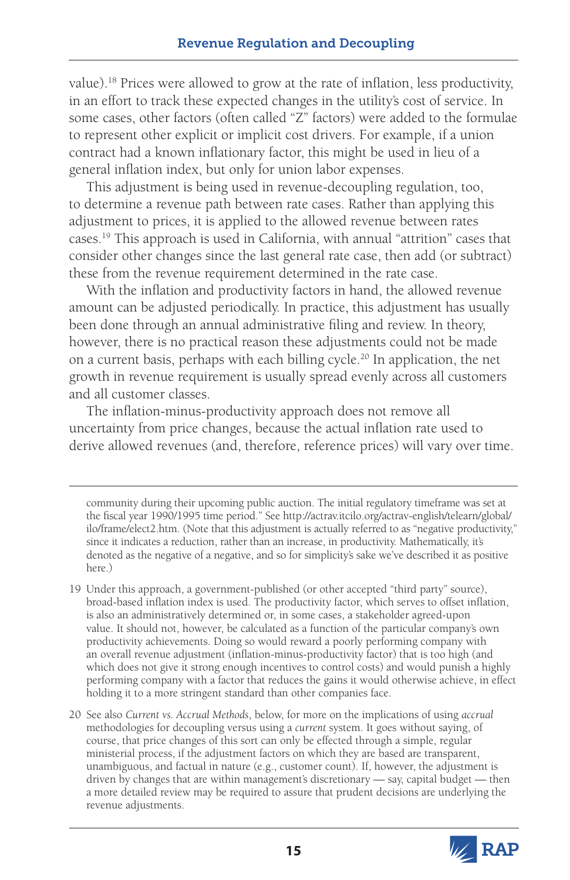value).18 Prices were allowed to grow at the rate of inflation, less productivity, in an effort to track these expected changes in the utility's cost of service. In some cases, other factors (often called "Z" factors) were added to the formulae to represent other explicit or implicit cost drivers. For example, if a union contract had a known inflationary factor, this might be used in lieu of a general inflation index, but only for union labor expenses.

This adjustment is being used in revenue-decoupling regulation, too, to determine a revenue path between rate cases. Rather than applying this adjustment to prices, it is applied to the allowed revenue between rates cases.19 This approach is used in California, with annual "attrition" cases that consider other changes since the last general rate case, then add (or subtract) these from the revenue requirement determined in the rate case.

With the inflation and productivity factors in hand, the allowed revenue amount can be adjusted periodically. In practice, this adjustment has usually been done through an annual administrative filing and review. In theory, however, there is no practical reason these adjustments could not be made on a current basis, perhaps with each billing cycle.20 In application, the net growth in revenue requirement is usually spread evenly across all customers and all customer classes.

The inflation-minus-productivity approach does not remove all uncertainty from price changes, because the actual inflation rate used to derive allowed revenues (and, therefore, reference prices) will vary over time.

community during their upcoming public auction. The initial regulatory timeframe was set at the fiscal year 1990/1995 time period." See [http://actrav.itcilo.org/actrav-english/telearn/global/](http://actrav.itcilo.org/actrav-english/telearn/global/ilo/frame/elect2.htm) [ilo/frame/elect2.htm](http://actrav.itcilo.org/actrav-english/telearn/global/ilo/frame/elect2.htm). (Note that this adjustment is actually referred to as "negative productivity," since it indicates a reduction, rather than an increase, in productivity. Mathematically, it's denoted as the negative of a negative, and so for simplicity's sake we've described it as positive here.)

19 Under this approach, a government-published (or other accepted "third party" source), broad-based inflation index is used. The productivity factor, which serves to offset inflation, is also an administratively determined or, in some cases, a stakeholder agreed-upon value. It should not, however, be calculated as a function of the particular company's own productivity achievements. Doing so would reward a poorly performing company with an overall revenue adjustment (inflation-minus-productivity factor) that is too high (and which does not give it strong enough incentives to control costs) and would punish a highly performing company with a factor that reduces the gains it would otherwise achieve, in effect holding it to a more stringent standard than other companies face.

20 See also *Current vs. Accrual Methods*, below, for more on the implications of using *accrual* methodologies for decoupling versus using a *current* system. It goes without saying, of course, that price changes of this sort can only be effected through a simple, regular ministerial process, if the adjustment factors on which they are based are transparent, unambiguous, and factual in nature (e.g., customer count). If, however, the adjustment is driven by changes that are within management's discretionary — say, capital budget — then a more detailed review may be required to assure that prudent decisions are underlying the revenue adjustments.

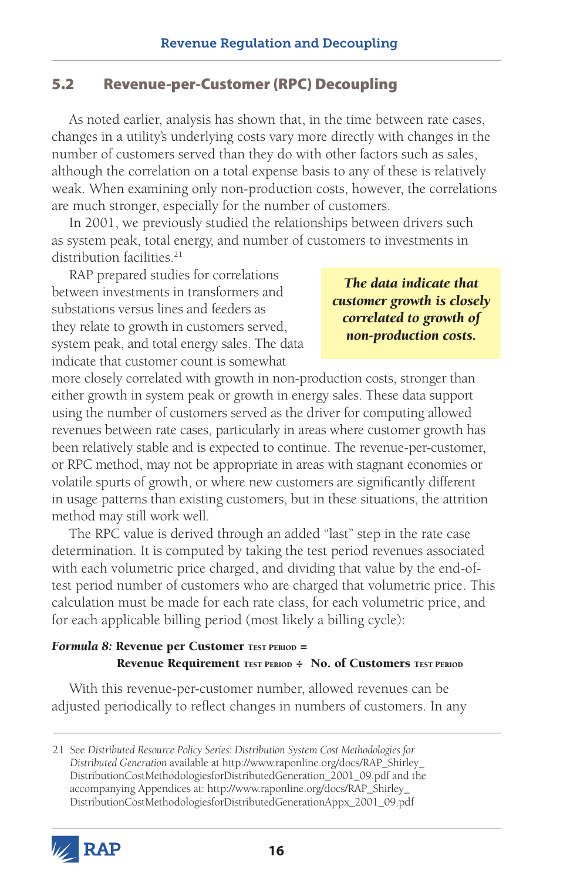# 5.2 Revenue-per-Customer (RPC) Decoupling

As noted earlier, analysis has shown that, in the time between rate cases, changes in a utility's underlying costs vary more directly with changes in the number of customers served than they do with other factors such as sales, although the correlation on a total expense basis to any of these is relatively weak. When examining only non-production costs, however, the correlations are much stronger, especially for the number of customers.

In 2001, we previously studied the relationships between drivers such as system peak, total energy, and number of customers to investments in distribution facilities.<sup>21</sup>

RAP prepared studies for correlations between investments in transformers and substations versus lines and feeders as they relate to growth in customers served, system peak, and total energy sales. The data indicate that customer count is somewhat

*The data indicate that customer growth is closely correlated to growth of non-production costs.*

more closely correlated with growth in non-production costs, stronger than either growth in system peak or growth in energy sales. These data support using the number of customers served as the driver for computing allowed revenues between rate cases, particularly in areas where customer growth has been relatively stable and is expected to continue. The revenue-per-customer, or RPC method, may not be appropriate in areas with stagnant economies or volatile spurts of growth, or where new customers are significantly different in usage patterns than existing customers, but in these situations, the attrition method may still work well.

The RPC value is derived through an added "last" step in the rate case determination. It is computed by taking the test period revenues associated with each volumetric price charged, and dividing that value by the end-oftest period number of customers who are charged that volumetric price. This calculation must be made for each rate class, for each volumetric price, and for each applicable billing period (most likely a billing cycle):

#### **Formula 8: Revenue per Customer TEST PERIOD =** Revenue Requirement TEST PERIOD : No. of Customers TEST PERIOD

With this revenue-per-customer number, allowed revenues can be adjusted periodically to reflect changes in numbers of customers. In any

<sup>21</sup> See *Distributed Resource Policy Series: Distribution System Cost Methodologies for Distributed Generation* available at [http://www.raponline.org/docs/RAP\\_Shirley\\_](http://www.raponline.org/docs/RAP_Shirley_DistributionCostMethodologiesforDistributedGeneration_2001_09.pdf) [DistributionCostMethodologiesforDistributedGeneration\\_2001\\_09.pdf](http://www.raponline.org/docs/RAP_Shirley_DistributionCostMethodologiesforDistributedGeneration_2001_09.pdf) and the accompanying Appendices at: [http://www.raponline.org/docs/RAP\\_Shirley\\_](http://www.raponline.org/docs/RAP_Shirley_DistributionCostMethodologiesforDistributedGenerationAppx_2001_09.pdf) [DistributionCostMethodologiesforDistributedGenerationAppx\\_2001\\_09.pdf](http://www.raponline.org/docs/RAP_Shirley_DistributionCostMethodologiesforDistributedGenerationAppx_2001_09.pdf)

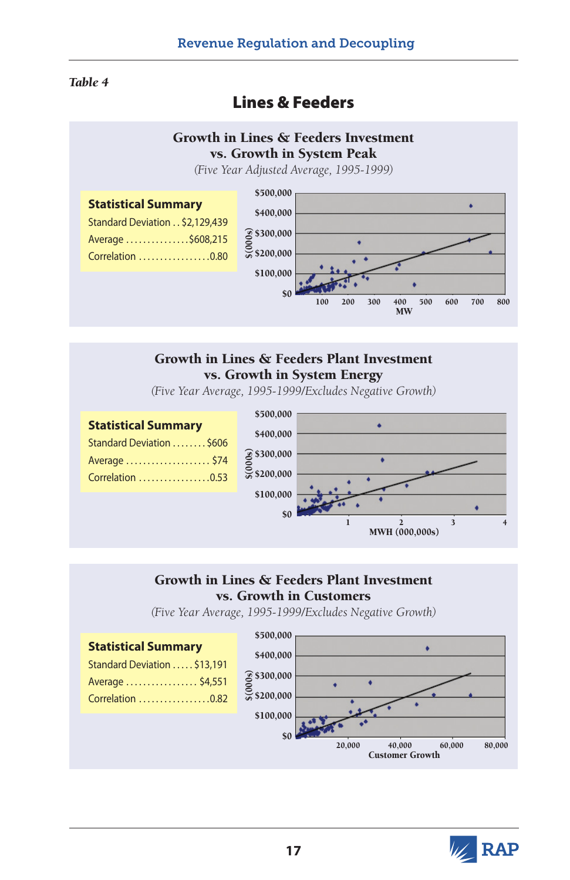#### *Table 4*

# Lines & Feeders

#### Growth in Lines & Feeders Investment vs. Growth in System Peak

*(Five Year Adjusted Average, 1995-1999)*



#### Growth in Lines & Feeders Plant Investment vs. Growth in System Energy

*(Five Year Average, 1995-1999/Excludes Negative Growth)*



#### Growth in Lines & Feeders Plant Investment vs. Growth in Customers

*(Five Year Average, 1995-1999/Excludes Negative Growth)*



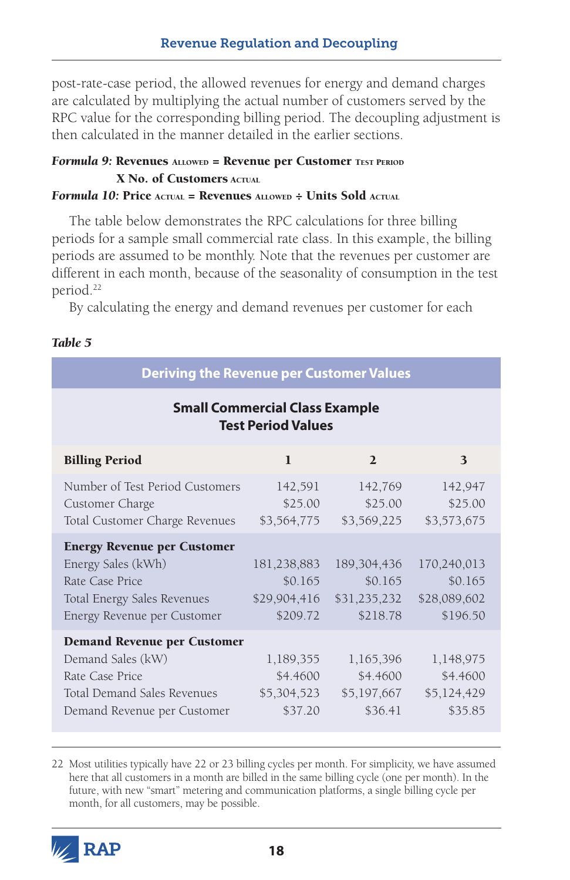post-rate-case period, the allowed revenues for energy and demand charges are calculated by multiplying the actual number of customers served by the RPC value for the corresponding billing period. The decoupling adjustment is then calculated in the manner detailed in the earlier sections.

#### *Formula 9:* Revenues ALLOWED = Revenue per Customer TEST PERIOD X No. of Customers Actual

#### **Formula 10: Price Actual = Revenues ALLOWED ÷ Units Sold Actual**

The table below demonstrates the RPC calculations for three billing periods for a sample small commercial rate class. In this example, the billing periods are assumed to be monthly. Note that the revenues per customer are different in each month, because of the seasonality of consumption in the test period.22

By calculating the energy and demand revenues per customer for each

| <b>Deriving the Revenue per Customer Values</b>                                                                                           |                                                    |                                                      |                                                    |  |
|-------------------------------------------------------------------------------------------------------------------------------------------|----------------------------------------------------|------------------------------------------------------|----------------------------------------------------|--|
| <b>Small Commercial Class Example</b><br><b>Test Period Values</b>                                                                        |                                                    |                                                      |                                                    |  |
| <b>Billing Period</b>                                                                                                                     | $\mathbf{1}$                                       | $\overline{2}$                                       | $\mathbf{3}$                                       |  |
| Number of Test Period Customers<br>Customer Charge<br>Total Customer Charge Revenues                                                      | 142,591<br>\$25.00<br>\$3,564,775                  | 142,769<br>\$25.00<br>\$3,569,225                    | 142,947<br>\$25.00<br>\$3,573,675                  |  |
| <b>Energy Revenue per Customer</b><br>Energy Sales (kWh)<br>Rate Case Price<br>Total Energy Sales Revenues<br>Energy Revenue per Customer | 181,238,883<br>\$0.165<br>\$29,904,416<br>\$209.72 | 189, 304, 436<br>\$0.165<br>\$31,235,232<br>\$218.78 | 170,240,013<br>\$0.165<br>\$28,089,602<br>\$196.50 |  |
| <b>Demand Revenue per Customer</b><br>Demand Sales (kW)<br>Rate Case Price<br>Total Demand Sales Revenues<br>Demand Revenue per Customer  | 1,189,355<br>\$4.4600<br>\$5,304,523<br>\$37.20    | 1,165,396<br>\$4.4600<br>\$5,197,667<br>\$36.41      | 1,148,975<br>\$4.4600<br>\$5,124,429<br>\$35.85    |  |

22 Most utilities typically have 22 or 23 billing cycles per month. For simplicity, we have assumed here that all customers in a month are billed in the same billing cycle (one per month). In the future, with new "smart" metering and communication platforms, a single billing cycle per month, for all customers, may be possible.

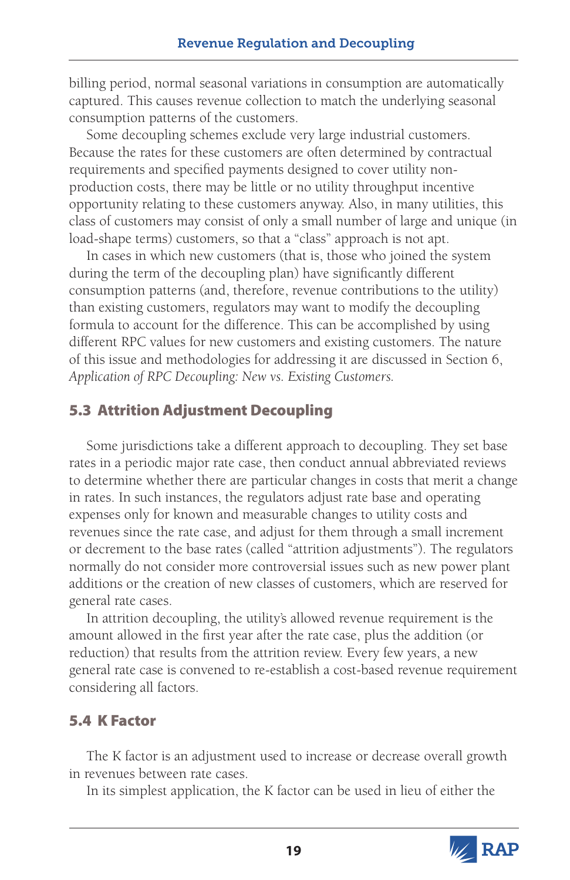billing period, normal seasonal variations in consumption are automatically captured. This causes revenue collection to match the underlying seasonal consumption patterns of the customers.

Some decoupling schemes exclude very large industrial customers. Because the rates for these customers are often determined by contractual requirements and specified payments designed to cover utility nonproduction costs, there may be little or no utility throughput incentive opportunity relating to these customers anyway. Also, in many utilities, this class of customers may consist of only a small number of large and unique (in load-shape terms) customers, so that a "class" approach is not apt.

In cases in which new customers (that is, those who joined the system during the term of the decoupling plan) have significantly different consumption patterns (and, therefore, revenue contributions to the utility) than existing customers, regulators may want to modify the decoupling formula to account for the difference. This can be accomplished by using different RPC values for new customers and existing customers. The nature of this issue and methodologies for addressing it are discussed in Section 6, *Application of RPC Decoupling: New vs. Existing Customers.* 

# 5.3 Attrition Adjustment Decoupling

Some jurisdictions take a different approach to decoupling. They set base rates in a periodic major rate case, then conduct annual abbreviated reviews to determine whether there are particular changes in costs that merit a change in rates. In such instances, the regulators adjust rate base and operating expenses only for known and measurable changes to utility costs and revenues since the rate case, and adjust for them through a small increment or decrement to the base rates (called "attrition adjustments"). The regulators normally do not consider more controversial issues such as new power plant additions or the creation of new classes of customers, which are reserved for general rate cases.

In attrition decoupling, the utility's allowed revenue requirement is the amount allowed in the first year after the rate case, plus the addition (or reduction) that results from the attrition review. Every few years, a new general rate case is convened to re-establish a cost-based revenue requirement considering all factors.

# 5.4 K Factor

The K factor is an adjustment used to increase or decrease overall growth in revenues between rate cases.

In its simplest application, the K factor can be used in lieu of either the

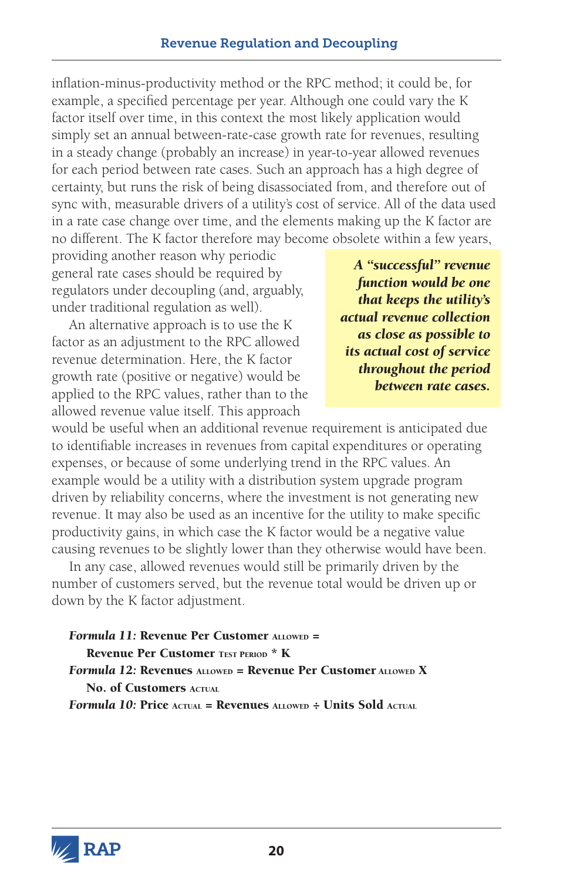inflation-minus-productivity method or the RPC method; it could be, for example, a specified percentage per year. Although one could vary the K factor itself over time, in this context the most likely application would simply set an annual between-rate-case growth rate for revenues, resulting in a steady change (probably an increase) in year-to-year allowed revenues for each period between rate cases. Such an approach has a high degree of certainty, but runs the risk of being disassociated from, and therefore out of sync with, measurable drivers of a utility's cost of service. All of the data used in a rate case change over time, and the elements making up the K factor are no different. The K factor therefore may become obsolete within a few years,

providing another reason why periodic general rate cases should be required by regulators under decoupling (and, arguably, under traditional regulation as well).

An alternative approach is to use the K factor as an adjustment to the RPC allowed revenue determination. Here, the K factor growth rate (positive or negative) would be applied to the RPC values, rather than to the allowed revenue value itself. This approach

*A "successful" revenue function would be one that keeps the utility's actual revenue collection as close as possible to its actual cost of service throughout the period between rate cases.*

would be useful when an additional revenue requirement is anticipated due to identifiable increases in revenues from capital expenditures or operating expenses, or because of some underlying trend in the RPC values. An example would be a utility with a distribution system upgrade program driven by reliability concerns, where the investment is not generating new revenue. It may also be used as an incentive for the utility to make specific productivity gains, in which case the K factor would be a negative value causing revenues to be slightly lower than they otherwise would have been.

In any case, allowed revenues would still be primarily driven by the number of customers served, but the revenue total would be driven up or down by the K factor adjustment.

```
Formula 11: Revenue Per Customer ALLOWED =
   Revenue Per Customer TEST PERIOD<sup>*</sup> K
Formula 12: Revenues ALLOWED = Revenue Per Customer ALLOWED X
   No. of Customers Actual
Formula 10: Price Actual = Revenues ALLOWED ÷ Units Sold Actual
```
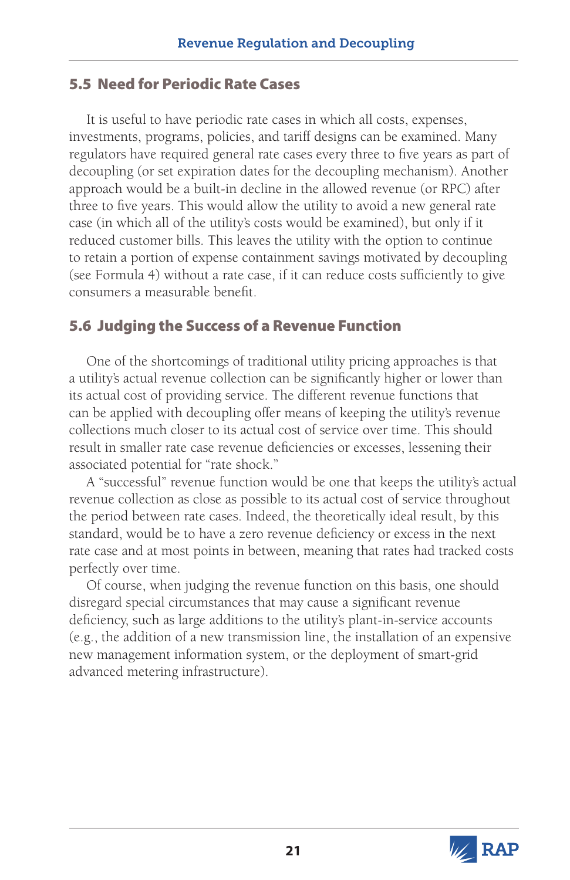# 5.5 Need for Periodic Rate Cases

It is useful to have periodic rate cases in which all costs, expenses, investments, programs, policies, and tariff designs can be examined. Many regulators have required general rate cases every three to five years as part of decoupling (or set expiration dates for the decoupling mechanism). Another approach would be a built-in decline in the allowed revenue (or RPC) after three to five years. This would allow the utility to avoid a new general rate case (in which all of the utility's costs would be examined), but only if it reduced customer bills. This leaves the utility with the option to continue to retain a portion of expense containment savings motivated by decoupling (see Formula 4) without a rate case, if it can reduce costs sufficiently to give consumers a measurable benefit.

# 5.6 Judging the Success of a Revenue Function

One of the shortcomings of traditional utility pricing approaches is that a utility's actual revenue collection can be significantly higher or lower than its actual cost of providing service. The different revenue functions that can be applied with decoupling offer means of keeping the utility's revenue collections much closer to its actual cost of service over time. This should result in smaller rate case revenue deficiencies or excesses, lessening their associated potential for "rate shock."

A "successful" revenue function would be one that keeps the utility's actual revenue collection as close as possible to its actual cost of service throughout the period between rate cases. Indeed, the theoretically ideal result, by this standard, would be to have a zero revenue deficiency or excess in the next rate case and at most points in between, meaning that rates had tracked costs perfectly over time.

Of course, when judging the revenue function on this basis, one should disregard special circumstances that may cause a significant revenue deficiency, such as large additions to the utility's plant-in-service accounts (e.g., the addition of a new transmission line, the installation of an expensive new management information system, or the deployment of smart-grid advanced metering infrastructure).

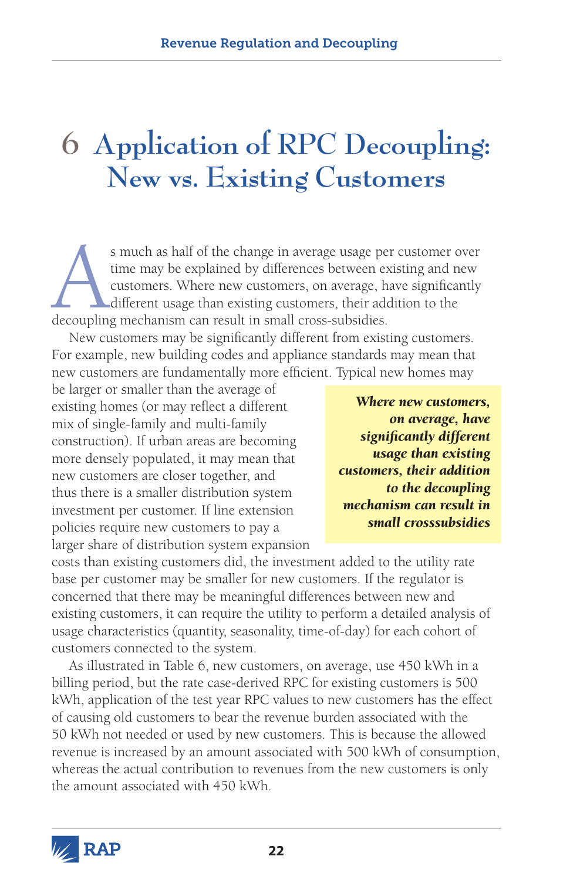# **6 Application of RPC Decoupling: New vs. Existing Customers**

s much as half of the change in average usage per customer over time may be explained by differences between existing and new customers. Where new customers, on average, have significantly different usage than existing cus time may be explained by differences between existing and new customers. Where new customers, on average, have significantly different usage than existing customers, their addition to the decoupling mechanism can result in small cross-subsidies.

New customers may be significantly different from existing customers. For example, new building codes and appliance standards may mean that new customers are fundamentally more efficient. Typical new homes may

be larger or smaller than the average of existing homes (or may reflect a different mix of single-family and multi-family construction). If urban areas are becoming more densely populated, it may mean that new customers are closer together, and thus there is a smaller distribution system investment per customer. If line extension policies require new customers to pay a larger share of distribution system expansion

*Where new customers, on average, have significantly different usage than existing customers, their addition to the decoupling mechanism can result in small crosssubsidies*

costs than existing customers did, the investment added to the utility rate base per customer may be smaller for new customers. If the regulator is concerned that there may be meaningful differences between new and existing customers, it can require the utility to perform a detailed analysis of usage characteristics (quantity, seasonality, time-of-day) for each cohort of customers connected to the system.

As illustrated in Table 6, new customers, on average, use 450 kWh in a billing period, but the rate case-derived RPC for existing customers is 500 kWh, application of the test year RPC values to new customers has the effect of causing old customers to bear the revenue burden associated with the 50 kWh not needed or used by new customers. This is because the allowed revenue is increased by an amount associated with 500 kWh of consumption, whereas the actual contribution to revenues from the new customers is only the amount associated with 450 kWh.

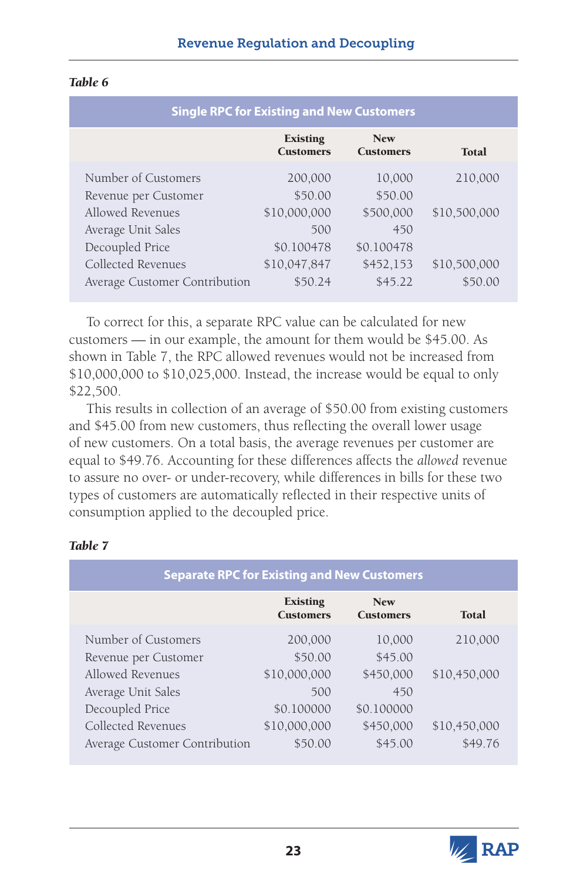| ۰.<br>٠ |  |
|---------|--|
|---------|--|

| <b>Single RPC for Existing and New Customers</b> |                                     |                                |              |
|--------------------------------------------------|-------------------------------------|--------------------------------|--------------|
|                                                  | <b>Existing</b><br><b>Customers</b> | <b>New</b><br><b>Customers</b> | Total        |
| Number of Customers                              | 200,000                             | 10,000                         | 210,000      |
| Revenue per Customer<br>Allowed Revenues         | \$50.00<br>\$10,000,000             | \$50.00<br>\$500,000           | \$10,500,000 |
| Average Unit Sales<br>Decoupled Price            | 500<br>\$0.100478                   | 450<br>\$0.100478              |              |
| Collected Revenues                               | \$10,047,847                        | \$452,153                      | \$10,500,000 |
| Average Customer Contribution                    | \$50.24                             | \$45.22                        | \$50.00      |

To correct for this, a separate RPC value can be calculated for new customers — in our example, the amount for them would be \$45.00. As shown in Table 7, the RPC allowed revenues would not be increased from \$10,000,000 to \$10,025,000. Instead, the increase would be equal to only \$22,500.

This results in collection of an average of \$50.00 from existing customers and \$45.00 from new customers, thus reflecting the overall lower usage of new customers. On a total basis, the average revenues per customer are equal to \$49.76. Accounting for these differences affects the *allowed* revenue to assure no over- or under-recovery, while differences in bills for these two types of customers are automatically reflected in their respective units of consumption applied to the decoupled price.

| <b>Separate RPC for Existing and New Customers</b> |                                     |                                |              |
|----------------------------------------------------|-------------------------------------|--------------------------------|--------------|
|                                                    | <b>Existing</b><br><b>Customers</b> | <b>New</b><br><b>Customers</b> | Total        |
| Number of Customers                                | 200,000                             | 10,000                         | 210,000      |
| Revenue per Customer                               | \$50.00                             | \$45.00                        |              |
| Allowed Revenues                                   | \$10,000,000                        | \$450,000                      | \$10,450,000 |
| Average Unit Sales                                 | 500                                 | 450                            |              |
| Decoupled Price                                    | \$0.100000                          | \$0.100000                     |              |
| Collected Revenues                                 | \$10,000,000                        | \$450,000                      | \$10,450,000 |
| Average Customer Contribution                      | \$50.00                             | \$45.00                        | \$49.76      |

#### *Table 7*

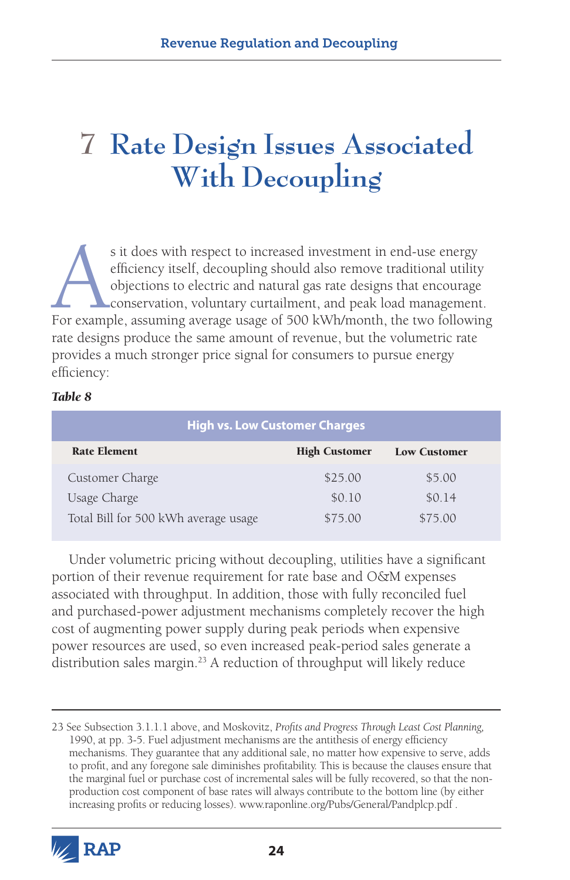# **7 Rate Design Issues Associated With Decoupling**

s it does with respect to increased investment in end-use energy efficiency itself, decoupling should also remove traditional utility objections to electric and natural gas rate designs that encourage conservation, volunta efficiency itself, decoupling should also remove traditional utility objections to electric and natural gas rate designs that encourage conservation, voluntary curtailment, and peak load management. For example, assuming average usage of 500 kWh/month, the two following rate designs produce the same amount of revenue, but the volumetric rate provides a much stronger price signal for consumers to pursue energy efficiency:

#### *Table 8*

| <b>High vs. Low Customer Charges</b> |                      |                     |  |  |
|--------------------------------------|----------------------|---------------------|--|--|
| <b>Rate Element</b>                  | <b>High Customer</b> | <b>Low Customer</b> |  |  |
| Customer Charge                      | \$25.00              | \$5.00              |  |  |
| Usage Charge                         | \$0.10               | \$0.14              |  |  |
| Total Bill for 500 kWh average usage | \$75.00              | \$75.00             |  |  |

Under volumetric pricing without decoupling, utilities have a significant portion of their revenue requirement for rate base and O&M expenses associated with throughput. In addition, those with fully reconciled fuel and purchased-power adjustment mechanisms completely recover the high cost of augmenting power supply during peak periods when expensive power resources are used, so even increased peak-period sales generate a distribution sales margin.<sup>23</sup> A reduction of throughput will likely reduce

<sup>23</sup> See Subsection 3.1.1.1 above, and Moskovitz, *Profits and Progress Through Least Cost Planning,* 1990, at pp. 3-5. Fuel adjustment mechanisms are the antithesis of energy efficiency mechanisms. They guarantee that any additional sale, no matter how expensive to serve, adds to profit, and any foregone sale diminishes profitability. This is because the clauses ensure that the marginal fuel or purchase cost of incremental sales will be fully recovered, so that the nonproduction cost component of base rates will always contribute to the bottom line (by either increasing profits or reducing losses). www.raponline.org/Pubs/General/Pandplcp.pdf .

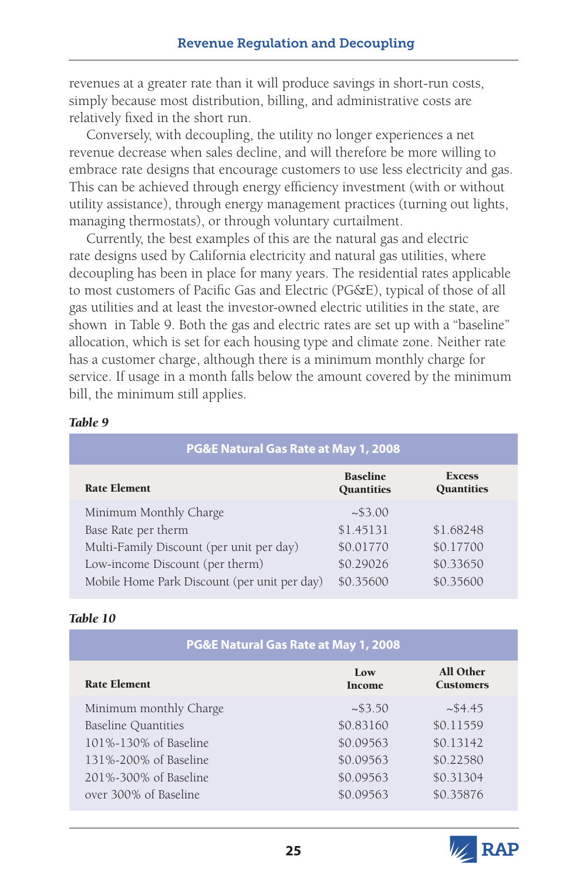revenues at a greater rate than it will produce savings in short-run costs, simply because most distribution, billing, and administrative costs are relatively fixed in the short run.

Conversely, with decoupling, the utility no longer experiences a net revenue decrease when sales decline, and will therefore be more willing to embrace rate designs that encourage customers to use less electricity and gas. This can be achieved through energy efficiency investment (with or without utility assistance), through energy management practices (turning out lights, managing thermostats), or through voluntary curtailment.

Currently, the best examples of this are the natural gas and electric rate designs used by California electricity and natural gas utilities, where decoupling has been in place for many years. The residential rates applicable to most customers of Pacific Gas and Electric (PG&E), typical of those of all gas utilities and at least the investor-owned electric utilities in the state, are shown in Table 9. Both the gas and electric rates are set up with a "baseline" allocation, which is set for each housing type and climate zone. Neither rate has a customer charge, although there is a minimum monthly charge for service. If usage in a month falls below the amount covered by the minimum bill, the minimum still applies.

#### Minimum Monthly Charge  $\sim$ \$3.00 Base Rate per therm  $$1.45131$   $$1.68248$ Multi-Family Discount (per unit per day) \$0.01770 \$0.17700 Low-income Discount (per therm)  $$0.29026$   $$0.33650$ Mobile Home Park Discount (per unit per day)  $$0.35600$  \$0.35600 **PG&E Natural Gas Rate at May 1, 2008** Rate Element Baseline **Quantities Excess Quantities**

#### *Table 9*

#### *Table 10*

| PG&E Natural Gas Rate at May 1, 2008 |                      |                                      |  |  |
|--------------------------------------|----------------------|--------------------------------------|--|--|
| <b>Rate Element</b>                  | Low<br><b>Income</b> | <b>All Other</b><br><b>Customers</b> |  |  |
| Minimum monthly Charge               | ~1.53.50             | ~54.45                               |  |  |
| <b>Baseline Quantities</b>           | \$0.83160            | \$0.11559                            |  |  |
| 101%-130% of Baseline                | \$0.09563            | \$0.13142                            |  |  |
| 131%-200% of Baseline                | \$0.09563            | \$0.22580                            |  |  |
| 201%-300% of Baseline                | \$0.09563            | \$0.31304                            |  |  |
| over 300% of Baseline                | \$0.09563            | \$0.35876                            |  |  |

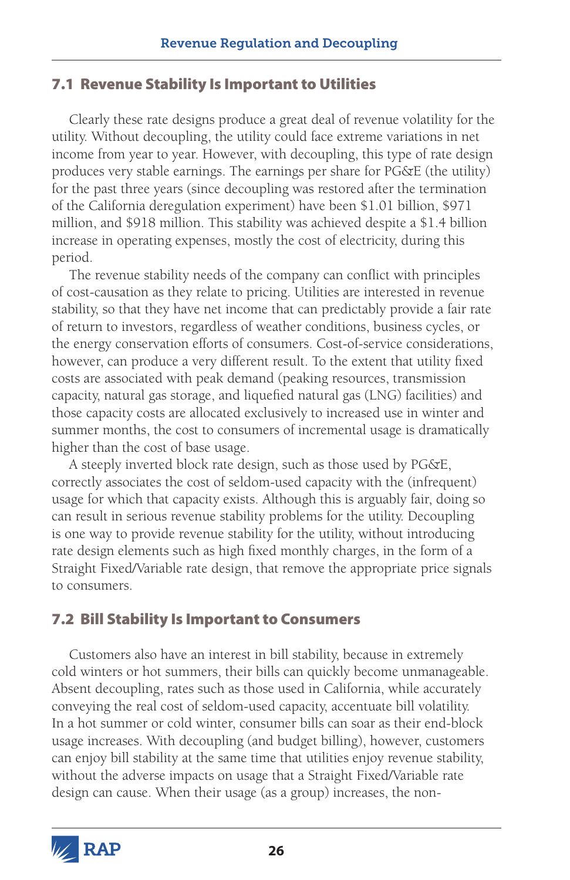# 7.1 Revenue Stability Is Important to Utilities

Clearly these rate designs produce a great deal of revenue volatility for the utility. Without decoupling, the utility could face extreme variations in net income from year to year. However, with decoupling, this type of rate design produces very stable earnings. The earnings per share for PG&E (the utility) for the past three years (since decoupling was restored after the termination of the California deregulation experiment) have been \$1.01 billion, \$971 million, and \$918 million. This stability was achieved despite a \$1.4 billion increase in operating expenses, mostly the cost of electricity, during this period.

The revenue stability needs of the company can conflict with principles of cost-causation as they relate to pricing. Utilities are interested in revenue stability, so that they have net income that can predictably provide a fair rate of return to investors, regardless of weather conditions, business cycles, or the energy conservation efforts of consumers. Cost-of-service considerations, however, can produce a very different result. To the extent that utility fixed costs are associated with peak demand (peaking resources, transmission capacity, natural gas storage, and liquefied natural gas (LNG) facilities) and those capacity costs are allocated exclusively to increased use in winter and summer months, the cost to consumers of incremental usage is dramatically higher than the cost of base usage.

A steeply inverted block rate design, such as those used by PG&E, correctly associates the cost of seldom-used capacity with the (infrequent) usage for which that capacity exists. Although this is arguably fair, doing so can result in serious revenue stability problems for the utility. Decoupling is one way to provide revenue stability for the utility, without introducing rate design elements such as high fixed monthly charges, in the form of a Straight Fixed/Variable rate design, that remove the appropriate price signals to consumers.

# 7.2 Bill Stability Is Important to Consumers

Customers also have an interest in bill stability, because in extremely cold winters or hot summers, their bills can quickly become unmanageable. Absent decoupling, rates such as those used in California, while accurately conveying the real cost of seldom-used capacity, accentuate bill volatility. In a hot summer or cold winter, consumer bills can soar as their end-block usage increases. With decoupling (and budget billing), however, customers can enjoy bill stability at the same time that utilities enjoy revenue stability, without the adverse impacts on usage that a Straight Fixed/Variable rate design can cause. When their usage (as a group) increases, the non-

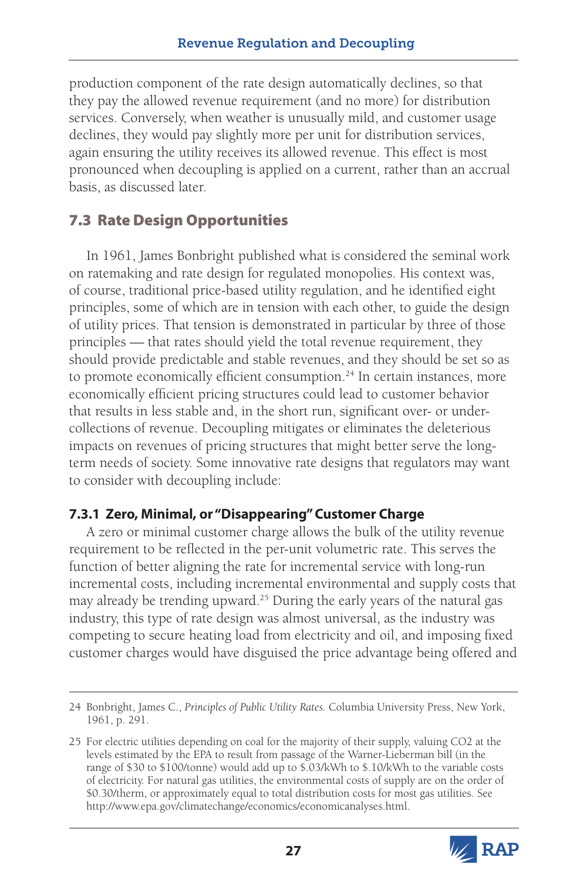production component of the rate design automatically declines, so that they pay the allowed revenue requirement (and no more) for distribution services. Conversely, when weather is unusually mild, and customer usage declines, they would pay slightly more per unit for distribution services, again ensuring the utility receives its allowed revenue. This effect is most pronounced when decoupling is applied on a current, rather than an accrual basis, as discussed later.

# 7.3 Rate Design Opportunities

In 1961, James Bonbright published what is considered the seminal work on ratemaking and rate design for regulated monopolies. His context was, of course, traditional price-based utility regulation, and he identified eight principles, some of which are in tension with each other, to guide the design of utility prices. That tension is demonstrated in particular by three of those principles — that rates should yield the total revenue requirement, they should provide predictable and stable revenues, and they should be set so as to promote economically efficient consumption.<sup>24</sup> In certain instances, more economically efficient pricing structures could lead to customer behavior that results in less stable and, in the short run, significant over- or undercollections of revenue. Decoupling mitigates or eliminates the deleterious impacts on revenues of pricing structures that might better serve the longterm needs of society. Some innovative rate designs that regulators may want to consider with decoupling include:

# **7.3.1 Zero, Minimal, or "Disappearing" Customer Charge**

A zero or minimal customer charge allows the bulk of the utility revenue requirement to be reflected in the per-unit volumetric rate. This serves the function of better aligning the rate for incremental service with long-run incremental costs, including incremental environmental and supply costs that may already be trending upward.25 During the early years of the natural gas industry, this type of rate design was almost universal, as the industry was competing to secure heating load from electricity and oil, and imposing fixed customer charges would have disguised the price advantage being offered and

<sup>25</sup> For electric utilities depending on coal for the majority of their supply, valuing CO2 at the levels estimated by the EPA to result from passage of the Warner-Lieberman bill (in the range of \$30 to \$100/tonne) would add up to \$.03/kWh to \$.10/kWh to the variable costs of electricity. For natural gas utilities, the environmental costs of supply are on the order of \$0.30/therm, or approximately equal to total distribution costs for most gas utilities. See http://www.epa.gov/climatechange/economics/economicanalyses.html.



<sup>24</sup> Bonbright, James C., *Principles of Public Utility Rates.* Columbia University Press, New York, 1961, p. 291.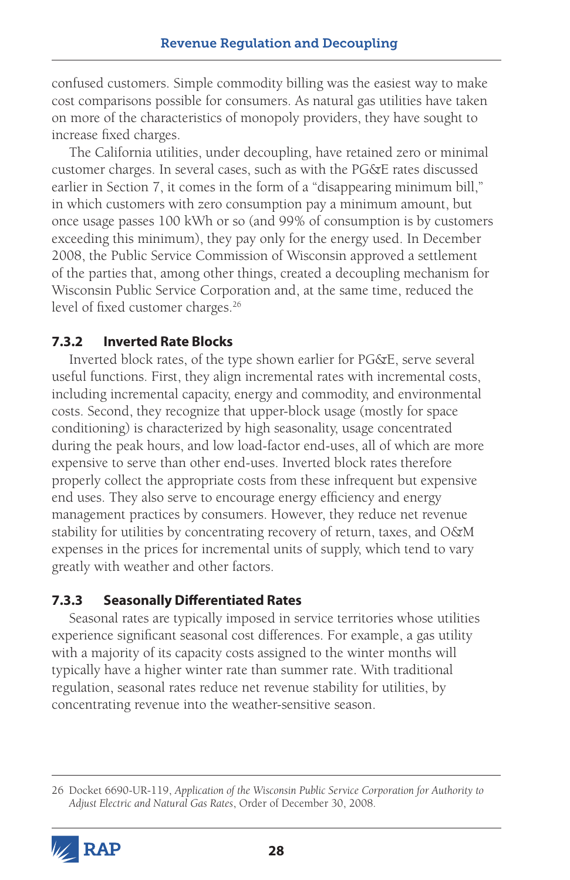confused customers. Simple commodity billing was the easiest way to make cost comparisons possible for consumers. As natural gas utilities have taken on more of the characteristics of monopoly providers, they have sought to increase fixed charges.

The California utilities, under decoupling, have retained zero or minimal customer charges. In several cases, such as with the PG&E rates discussed earlier in Section 7, it comes in the form of a "disappearing minimum bill," in which customers with zero consumption pay a minimum amount, but once usage passes 100 kWh or so (and 99% of consumption is by customers exceeding this minimum), they pay only for the energy used. In December 2008, the Public Service Commission of Wisconsin approved a settlement of the parties that, among other things, created a decoupling mechanism for Wisconsin Public Service Corporation and, at the same time, reduced the level of fixed customer charges.<sup>26</sup>

### **7.3.2 Inverted Rate Blocks**

Inverted block rates, of the type shown earlier for PG&E, serve several useful functions. First, they align incremental rates with incremental costs, including incremental capacity, energy and commodity, and environmental costs. Second, they recognize that upper-block usage (mostly for space conditioning) is characterized by high seasonality, usage concentrated during the peak hours, and low load-factor end-uses, all of which are more expensive to serve than other end-uses. Inverted block rates therefore properly collect the appropriate costs from these infrequent but expensive end uses. They also serve to encourage energy efficiency and energy management practices by consumers. However, they reduce net revenue stability for utilities by concentrating recovery of return, taxes, and O&M expenses in the prices for incremental units of supply, which tend to vary greatly with weather and other factors.

### **7.3.3 Seasonally Differentiated Rates**

Seasonal rates are typically imposed in service territories whose utilities experience significant seasonal cost differences. For example, a gas utility with a majority of its capacity costs assigned to the winter months will typically have a higher winter rate than summer rate. With traditional regulation, seasonal rates reduce net revenue stability for utilities, by concentrating revenue into the weather-sensitive season.

<sup>26</sup> Docket 6690-UR-119, *Application of the Wisconsin Public Service Corporation for Authority to Adjust Electric and Natural Gas Rates*, Order of December 30, 2008.

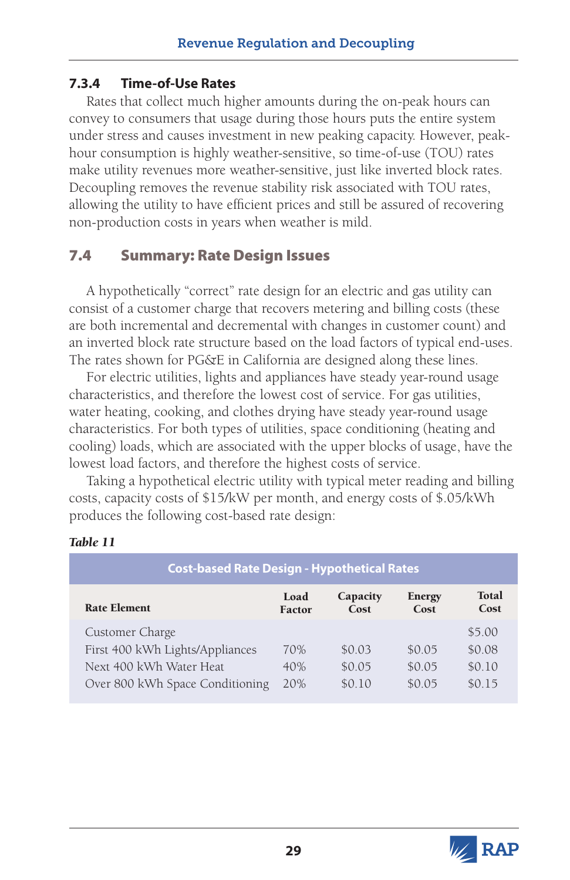### **7.3.4 Time-of-Use Rates**

Rates that collect much higher amounts during the on-peak hours can convey to consumers that usage during those hours puts the entire system under stress and causes investment in new peaking capacity. However, peakhour consumption is highly weather-sensitive, so time-of-use (TOU) rates make utility revenues more weather-sensitive, just like inverted block rates. Decoupling removes the revenue stability risk associated with TOU rates, allowing the utility to have efficient prices and still be assured of recovering non-production costs in years when weather is mild.

# 7.4 Summary: Rate Design Issues

A hypothetically "correct" rate design for an electric and gas utility can consist of a customer charge that recovers metering and billing costs (these are both incremental and decremental with changes in customer count) and an inverted block rate structure based on the load factors of typical end-uses. The rates shown for PG&E in California are designed along these lines.

For electric utilities, lights and appliances have steady year-round usage characteristics, and therefore the lowest cost of service. For gas utilities, water heating, cooking, and clothes drying have steady year-round usage characteristics. For both types of utilities, space conditioning (heating and cooling) loads, which are associated with the upper blocks of usage, have the lowest load factors, and therefore the highest costs of service.

Taking a hypothetical electric utility with typical meter reading and billing costs, capacity costs of \$15/kW per month, and energy costs of \$.05/kWh produces the following cost-based rate design:

| <b>Cost-based Rate Design - Hypothetical Rates</b> |                       |                  |                       |                      |
|----------------------------------------------------|-----------------------|------------------|-----------------------|----------------------|
| <b>Rate Element</b>                                | Load<br><b>Factor</b> | Capacity<br>Cost | <b>Energy</b><br>Cost | <b>Total</b><br>Cost |
| Customer Charge<br>First 400 kWh Lights/Appliances | 70%                   | \$0.03           | \$0.05                | \$5.00<br>\$0.08     |
| Next 400 kWh Water Heat                            | 40%                   | \$0.05           | \$0.05                | \$0.10               |
| Over 800 kWh Space Conditioning                    | 20%                   | \$0.10           | \$0.05                | \$015                |

#### *Table 11*

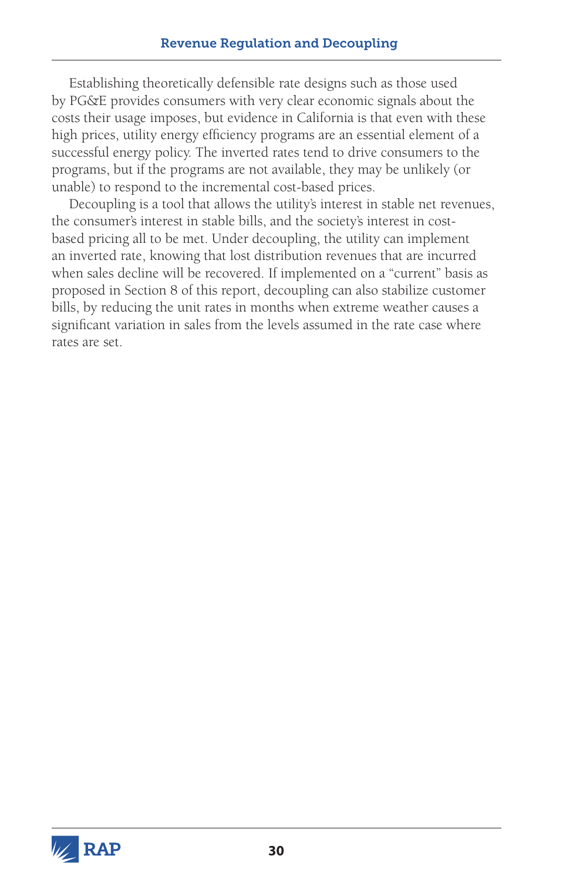Establishing theoretically defensible rate designs such as those used by PG&E provides consumers with very clear economic signals about the costs their usage imposes, but evidence in California is that even with these high prices, utility energy efficiency programs are an essential element of a successful energy policy. The inverted rates tend to drive consumers to the programs, but if the programs are not available, they may be unlikely (or unable) to respond to the incremental cost-based prices.

Decoupling is a tool that allows the utility's interest in stable net revenues, the consumer's interest in stable bills, and the society's interest in costbased pricing all to be met. Under decoupling, the utility can implement an inverted rate, knowing that lost distribution revenues that are incurred when sales decline will be recovered. If implemented on a "current" basis as proposed in Section 8 of this report, decoupling can also stabilize customer bills, by reducing the unit rates in months when extreme weather causes a significant variation in sales from the levels assumed in the rate case where rates are set.

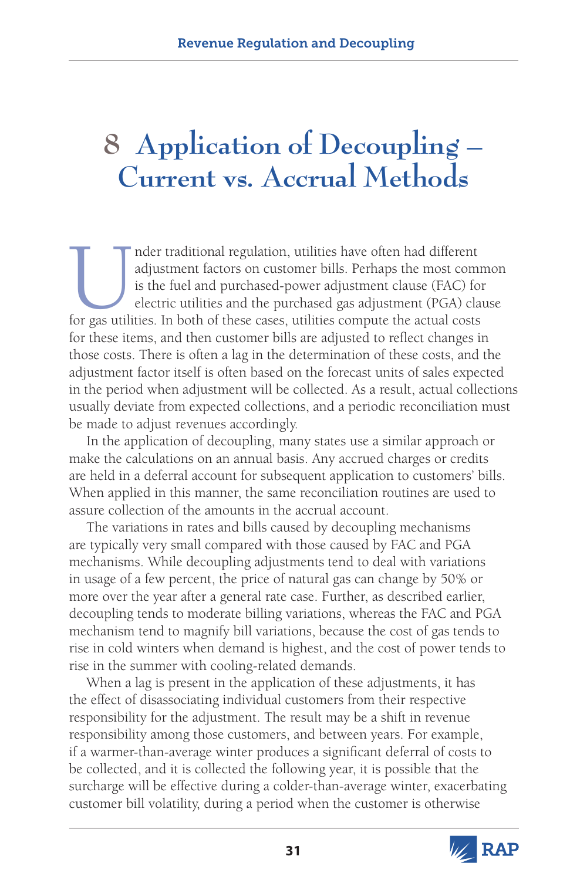# **8 Application of Decoupling – Current vs. Accrual Methods**

Inder traditional regulation, utilities have often had different adjustment factors on customer bills. Perhaps the most communis the fuel and purchased-power adjustment clause (FAC) for gas utilities. In both of these case adjustment factors on customer bills. Perhaps the most common is the fuel and purchased-power adjustment clause (FAC) for electric utilities and the purchased gas adjustment (PGA) clause for these items, and then customer bills are adjusted to reflect changes in those costs. There is often a lag in the determination of these costs, and the adjustment factor itself is often based on the forecast units of sales expected in the period when adjustment will be collected. As a result, actual collections usually deviate from expected collections, and a periodic reconciliation must be made to adjust revenues accordingly.

In the application of decoupling, many states use a similar approach or make the calculations on an annual basis. Any accrued charges or credits are held in a deferral account for subsequent application to customers' bills. When applied in this manner, the same reconciliation routines are used to assure collection of the amounts in the accrual account.

The variations in rates and bills caused by decoupling mechanisms are typically very small compared with those caused by FAC and PGA mechanisms. While decoupling adjustments tend to deal with variations in usage of a few percent, the price of natural gas can change by 50% or more over the year after a general rate case. Further, as described earlier, decoupling tends to moderate billing variations, whereas the FAC and PGA mechanism tend to magnify bill variations, because the cost of gas tends to rise in cold winters when demand is highest, and the cost of power tends to rise in the summer with cooling-related demands.

When a lag is present in the application of these adjustments, it has the effect of disassociating individual customers from their respective responsibility for the adjustment. The result may be a shift in revenue responsibility among those customers, and between years. For example, if a warmer-than-average winter produces a significant deferral of costs to be collected, and it is collected the following year, it is possible that the surcharge will be effective during a colder-than-average winter, exacerbating customer bill volatility, during a period when the customer is otherwise

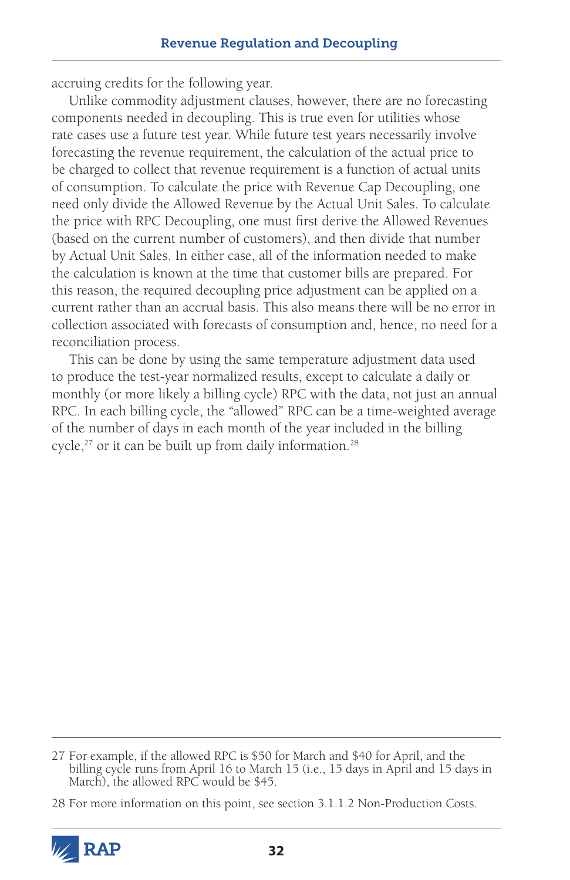accruing credits for the following year.

Unlike commodity adjustment clauses, however, there are no forecasting components needed in decoupling. This is true even for utilities whose rate cases use a future test year. While future test years necessarily involve forecasting the revenue requirement, the calculation of the actual price to be charged to collect that revenue requirement is a function of actual units of consumption. To calculate the price with Revenue Cap Decoupling, one need only divide the Allowed Revenue by the Actual Unit Sales. To calculate the price with RPC Decoupling, one must first derive the Allowed Revenues (based on the current number of customers), and then divide that number by Actual Unit Sales. In either case, all of the information needed to make the calculation is known at the time that customer bills are prepared. For this reason, the required decoupling price adjustment can be applied on a current rather than an accrual basis. This also means there will be no error in collection associated with forecasts of consumption and, hence, no need for a reconciliation process.

This can be done by using the same temperature adjustment data used to produce the test-year normalized results, except to calculate a daily or monthly (or more likely a billing cycle) RPC with the data, not just an annual RPC. In each billing cycle, the "allowed" RPC can be a time-weighted average of the number of days in each month of the year included in the billing cycle,<sup>27</sup> or it can be built up from daily information.<sup>28</sup>

<sup>28</sup> For more information on this point, see section 3.1.1.2 Non-Production Costs.



<sup>27</sup> For example, if the allowed RPC is \$50 for March and \$40 for April, and the billing cycle runs from April 16 to March 15 (i.e., 15 days in April and 15 days in March), the allowed RPC would be \$45.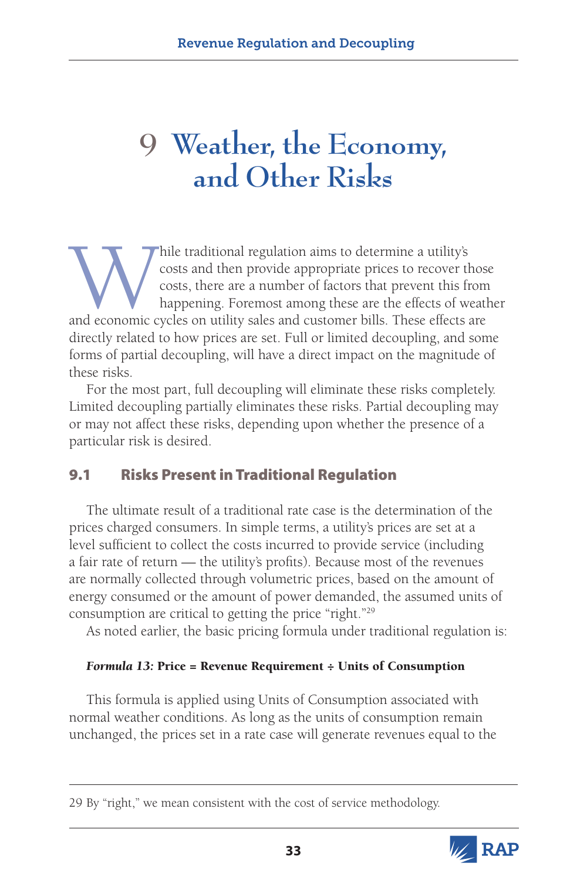# **9 Weather, the Economy, and Other Risks**

While traditional regulation aims to determine a utility's costs and then provide appropriate prices to recover those costs, there are a number of factors that prevent this from happening. Foremost among these are the effe costs and then provide appropriate prices to recover those costs, there are a number of factors that prevent this from happening. Foremost among these are the effects of weather directly related to how prices are set. Full or limited decoupling, and some forms of partial decoupling, will have a direct impact on the magnitude of these risks.

For the most part, full decoupling will eliminate these risks completely. Limited decoupling partially eliminates these risks. Partial decoupling may or may not affect these risks, depending upon whether the presence of a particular risk is desired.

# 9.1 Risks Present in Traditional Regulation

The ultimate result of a traditional rate case is the determination of the prices charged consumers. In simple terms, a utility's prices are set at a level sufficient to collect the costs incurred to provide service (including a fair rate of return — the utility's profits). Because most of the revenues are normally collected through volumetric prices, based on the amount of energy consumed or the amount of power demanded, the assumed units of consumption are critical to getting the price "right."29

As noted earlier, the basic pricing formula under traditional regulation is:

#### *Formula 13:* Price = Revenue Requirement ÷ Units of Consumption

This formula is applied using Units of Consumption associated with normal weather conditions. As long as the units of consumption remain unchanged, the prices set in a rate case will generate revenues equal to the

<sup>29</sup> By "right," we mean consistent with the cost of service methodology.

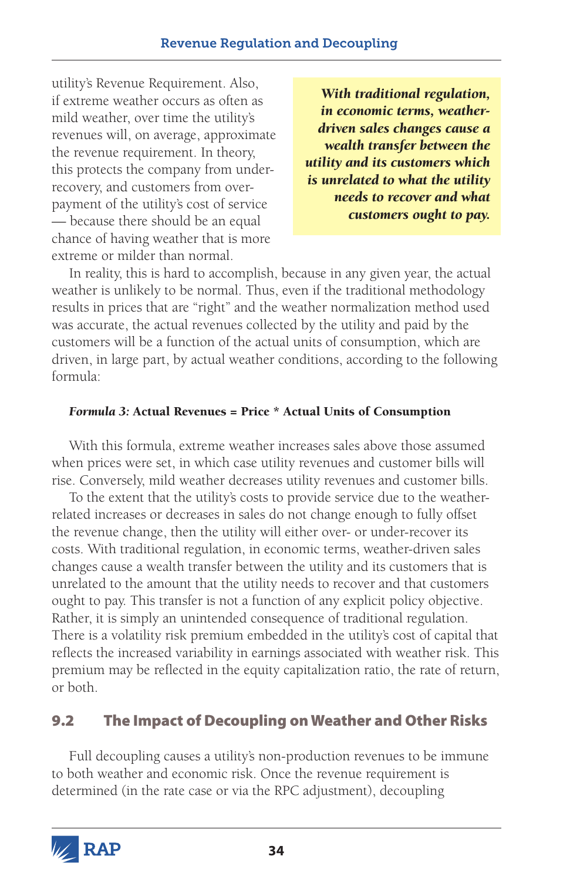utility's Revenue Requirement. Also, if extreme weather occurs as often as mild weather, over time the utility's revenues will, on average, approximate the revenue requirement. In theory, this protects the company from underrecovery, and customers from overpayment of the utility's cost of service — because there should be an equal chance of having weather that is more extreme or milder than normal.

*With traditional regulation, in economic terms, weatherdriven sales changes cause a wealth transfer between the utility and its customers which is unrelated to what the utility needs to recover and what customers ought to pay.*

In reality, this is hard to accomplish, because in any given year, the actual weather is unlikely to be normal. Thus, even if the traditional methodology results in prices that are "right" and the weather normalization method used was accurate, the actual revenues collected by the utility and paid by the customers will be a function of the actual units of consumption, which are driven, in large part, by actual weather conditions, according to the following formula:

#### *Formula 3:* Actual Revenues = Price \* Actual Units of Consumption

With this formula, extreme weather increases sales above those assumed when prices were set, in which case utility revenues and customer bills will rise. Conversely, mild weather decreases utility revenues and customer bills.

To the extent that the utility's costs to provide service due to the weatherrelated increases or decreases in sales do not change enough to fully offset the revenue change, then the utility will either over- or under-recover its costs. With traditional regulation, in economic terms, weather-driven sales changes cause a wealth transfer between the utility and its customers that is unrelated to the amount that the utility needs to recover and that customers ought to pay. This transfer is not a function of any explicit policy objective. Rather, it is simply an unintended consequence of traditional regulation. There is a volatility risk premium embedded in the utility's cost of capital that reflects the increased variability in earnings associated with weather risk. This premium may be reflected in the equity capitalization ratio, the rate of return, or both.

# 9.2 The Impact of Decoupling on Weather and Other Risks

Full decoupling causes a utility's non-production revenues to be immune to both weather and economic risk. Once the revenue requirement is determined (in the rate case or via the RPC adjustment), decoupling

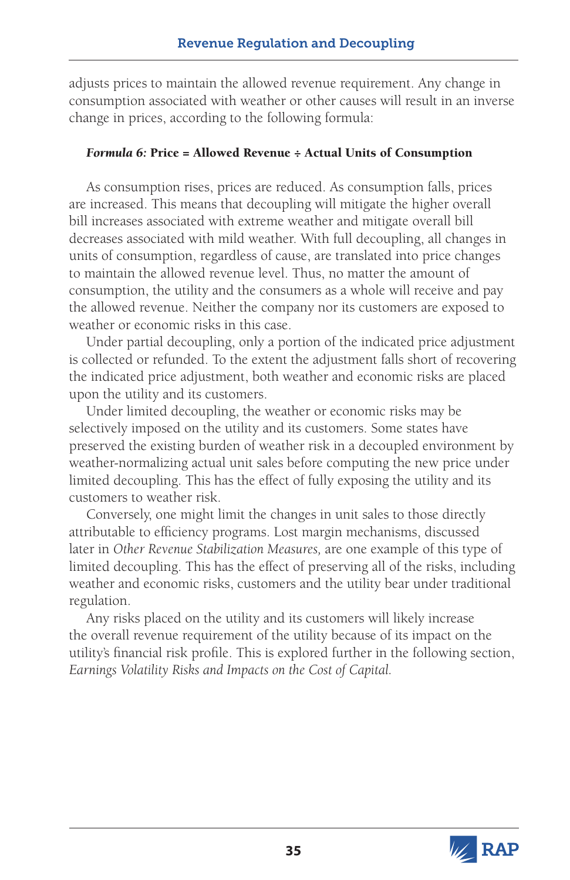adjusts prices to maintain the allowed revenue requirement. Any change in consumption associated with weather or other causes will result in an inverse change in prices, according to the following formula:

#### *Formula 6:* Price = Allowed Revenue ÷ Actual Units of Consumption

As consumption rises, prices are reduced. As consumption falls, prices are increased. This means that decoupling will mitigate the higher overall bill increases associated with extreme weather and mitigate overall bill decreases associated with mild weather. With full decoupling, all changes in units of consumption, regardless of cause, are translated into price changes to maintain the allowed revenue level. Thus, no matter the amount of consumption, the utility and the consumers as a whole will receive and pay the allowed revenue. Neither the company nor its customers are exposed to weather or economic risks in this case.

Under partial decoupling, only a portion of the indicated price adjustment is collected or refunded. To the extent the adjustment falls short of recovering the indicated price adjustment, both weather and economic risks are placed upon the utility and its customers.

Under limited decoupling, the weather or economic risks may be selectively imposed on the utility and its customers. Some states have preserved the existing burden of weather risk in a decoupled environment by weather-normalizing actual unit sales before computing the new price under limited decoupling. This has the effect of fully exposing the utility and its customers to weather risk.

Conversely, one might limit the changes in unit sales to those directly attributable to efficiency programs. Lost margin mechanisms, discussed later in *Other Revenue Stabilization Measures,* are one example of this type of limited decoupling. This has the effect of preserving all of the risks, including weather and economic risks, customers and the utility bear under traditional regulation.

Any risks placed on the utility and its customers will likely increase the overall revenue requirement of the utility because of its impact on the utility's financial risk profile. This is explored further in the following section, *Earnings Volatility Risks and Impacts on the Cost of Capital.* 

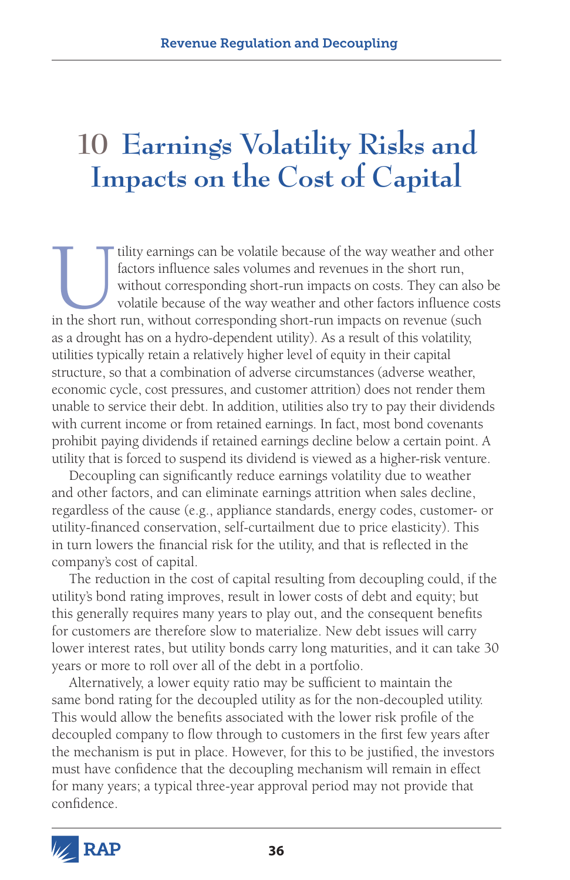# **10 Earnings Volatility Risks and Impacts on the Cost of Capital**

If the vay weather and other<br>factors influence sales volumes and revenues in the short run,<br>without corresponding short-run impacts on costs. They can also be<br>volatile because of the way weather and other factors influence factors influence sales volumes and revenues in the short run, without corresponding short-run impacts on costs. They can also be volatile because of the way weather and other factors influence costs in the short run, without corresponding short-run impacts on revenue (such as a drought has on a hydro-dependent utility). As a result of this volatility, utilities typically retain a relatively higher level of equity in their capital structure, so that a combination of adverse circumstances (adverse weather, economic cycle, cost pressures, and customer attrition) does not render them unable to service their debt. In addition, utilities also try to pay their dividends with current income or from retained earnings. In fact, most bond covenants prohibit paying dividends if retained earnings decline below a certain point. A utility that is forced to suspend its dividend is viewed as a higher-risk venture.

Decoupling can significantly reduce earnings volatility due to weather and other factors, and can eliminate earnings attrition when sales decline, regardless of the cause (e.g., appliance standards, energy codes, customer- or utility-financed conservation, self-curtailment due to price elasticity). This in turn lowers the financial risk for the utility, and that is reflected in the company's cost of capital.

The reduction in the cost of capital resulting from decoupling could, if the utility's bond rating improves, result in lower costs of debt and equity; but this generally requires many years to play out, and the consequent benefits for customers are therefore slow to materialize. New debt issues will carry lower interest rates, but utility bonds carry long maturities, and it can take 30 years or more to roll over all of the debt in a portfolio.

Alternatively, a lower equity ratio may be sufficient to maintain the same bond rating for the decoupled utility as for the non-decoupled utility. This would allow the benefits associated with the lower risk profile of the decoupled company to flow through to customers in the first few years after the mechanism is put in place. However, for this to be justified, the investors must have confidence that the decoupling mechanism will remain in effect for many years; a typical three-year approval period may not provide that confidence.

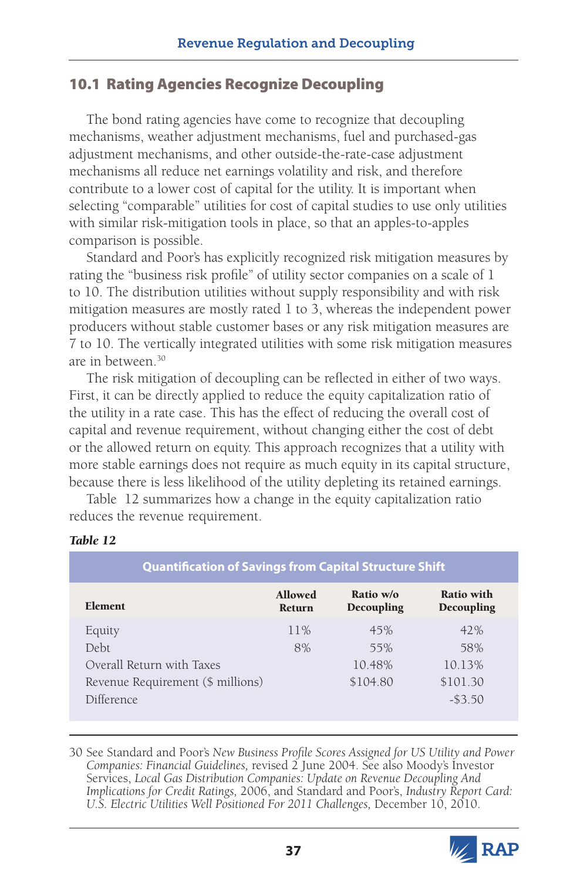## 10.1 Rating Agencies Recognize Decoupling

The bond rating agencies have come to recognize that decoupling mechanisms, weather adjustment mechanisms, fuel and purchased-gas adjustment mechanisms, and other outside-the-rate-case adjustment mechanisms all reduce net earnings volatility and risk, and therefore contribute to a lower cost of capital for the utility. It is important when selecting "comparable" utilities for cost of capital studies to use only utilities with similar risk-mitigation tools in place, so that an apples-to-apples comparison is possible.

Standard and Poor's has explicitly recognized risk mitigation measures by rating the "business risk profile" of utility sector companies on a scale of 1 to 10. The distribution utilities without supply responsibility and with risk mitigation measures are mostly rated 1 to 3, whereas the independent power producers without stable customer bases or any risk mitigation measures are 7 to 10. The vertically integrated utilities with some risk mitigation measures are in between.30

The risk mitigation of decoupling can be reflected in either of two ways. First, it can be directly applied to reduce the equity capitalization ratio of the utility in a rate case. This has the effect of reducing the overall cost of capital and revenue requirement, without changing either the cost of debt or the allowed return on equity. This approach recognizes that a utility with more stable earnings does not require as much equity in its capital structure, because there is less likelihood of the utility depleting its retained earnings.

Table 12 summarizes how a change in the equity capitalization ratio reduces the revenue requirement.

| <b>Quantification of Savings from Capital Structure Shift</b> |                                 |                         |                          |  |
|---------------------------------------------------------------|---------------------------------|-------------------------|--------------------------|--|
| <b>Element</b>                                                | <b>Allowed</b><br><b>Return</b> | Ratio w/o<br>Decoupling | Ratio with<br>Decoupling |  |
| Equity                                                        | 11%                             | 45%                     | 42%                      |  |
| Debt                                                          | 8%                              | 55%                     | 58%                      |  |
| Overall Return with Taxes                                     |                                 | 10.48%                  | 10.13%                   |  |
| Revenue Requirement (\$ millions)                             |                                 | \$104.80                | \$101.30                 |  |
| Difference                                                    |                                 |                         | $-53.50$                 |  |

#### *Table 12*

30 See Standard and Poor's *New Business Profile Scores Assigned for US Utility and Power Companies: Financial Guidelines,* revised 2 June 2004. See also Moody's Investor Services, *Local Gas Distribution Companies: Update on Revenue Decoupling And Implications for Credit Ratings,* 2006, and Standard and Poor's, *Industry Report Card: U.S. Electric Utilities Well Positioned For 2011 Challenges,* December 10, 2010.

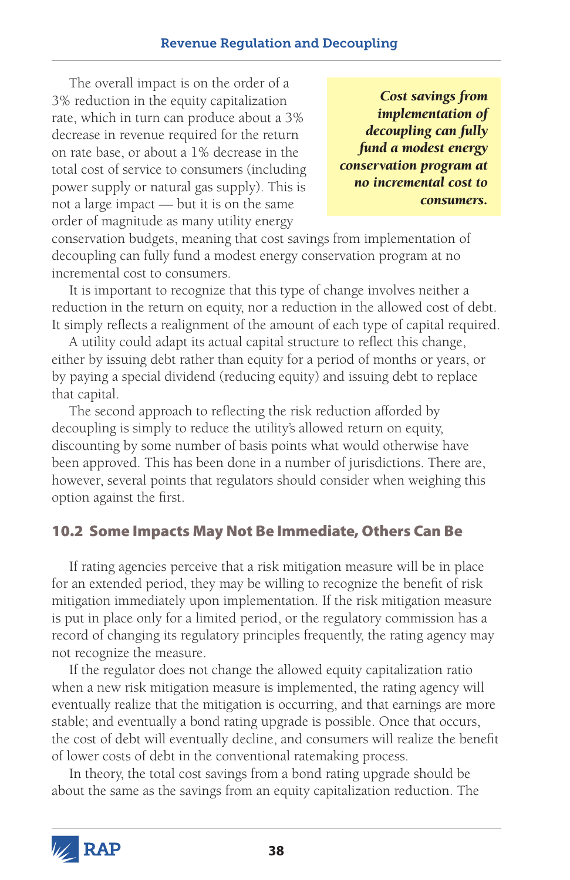The overall impact is on the order of a 3% reduction in the equity capitalization rate, which in turn can produce about a 3% decrease in revenue required for the return on rate base, or about a 1% decrease in the total cost of service to consumers (including power supply or natural gas supply). This is not a large impact — but it is on the same order of magnitude as many utility energy

*Cost savings from implementation of decoupling can fully fund a modest energy conservation program at no incremental cost to consumers.*

conservation budgets, meaning that cost savings from implementation of decoupling can fully fund a modest energy conservation program at no incremental cost to consumers.

It is important to recognize that this type of change involves neither a reduction in the return on equity, nor a reduction in the allowed cost of debt. It simply reflects a realignment of the amount of each type of capital required.

A utility could adapt its actual capital structure to reflect this change, either by issuing debt rather than equity for a period of months or years, or by paying a special dividend (reducing equity) and issuing debt to replace that capital.

The second approach to reflecting the risk reduction afforded by decoupling is simply to reduce the utility's allowed return on equity, discounting by some number of basis points what would otherwise have been approved. This has been done in a number of jurisdictions. There are, however, several points that regulators should consider when weighing this option against the first.

# 10.2 Some Impacts May Not Be Immediate, Others Can Be

If rating agencies perceive that a risk mitigation measure will be in place for an extended period, they may be willing to recognize the benefit of risk mitigation immediately upon implementation. If the risk mitigation measure is put in place only for a limited period, or the regulatory commission has a record of changing its regulatory principles frequently, the rating agency may not recognize the measure.

If the regulator does not change the allowed equity capitalization ratio when a new risk mitigation measure is implemented, the rating agency will eventually realize that the mitigation is occurring, and that earnings are more stable; and eventually a bond rating upgrade is possible. Once that occurs, the cost of debt will eventually decline, and consumers will realize the benefit of lower costs of debt in the conventional ratemaking process.

In theory, the total cost savings from a bond rating upgrade should be about the same as the savings from an equity capitalization reduction. The

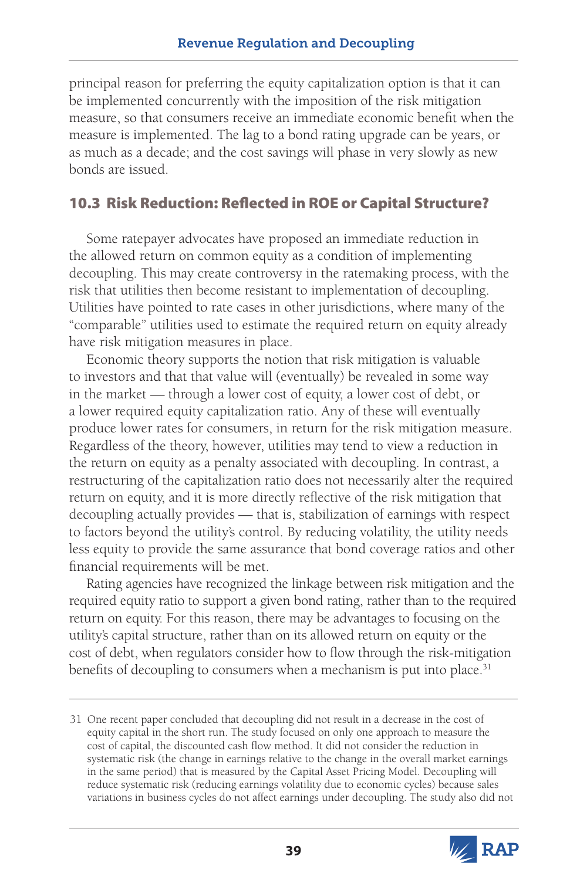principal reason for preferring the equity capitalization option is that it can be implemented concurrently with the imposition of the risk mitigation measure, so that consumers receive an immediate economic benefit when the measure is implemented. The lag to a bond rating upgrade can be years, or as much as a decade; and the cost savings will phase in very slowly as new bonds are issued.

## 10.3 Risk Reduction: Reflected in ROE or Capital Structure?

Some ratepayer advocates have proposed an immediate reduction in the allowed return on common equity as a condition of implementing decoupling. This may create controversy in the ratemaking process, with the risk that utilities then become resistant to implementation of decoupling. Utilities have pointed to rate cases in other jurisdictions, where many of the "comparable" utilities used to estimate the required return on equity already have risk mitigation measures in place.

Economic theory supports the notion that risk mitigation is valuable to investors and that that value will (eventually) be revealed in some way in the market — through a lower cost of equity, a lower cost of debt, or a lower required equity capitalization ratio. Any of these will eventually produce lower rates for consumers, in return for the risk mitigation measure. Regardless of the theory, however, utilities may tend to view a reduction in the return on equity as a penalty associated with decoupling. In contrast, a restructuring of the capitalization ratio does not necessarily alter the required return on equity, and it is more directly reflective of the risk mitigation that decoupling actually provides — that is, stabilization of earnings with respect to factors beyond the utility's control. By reducing volatility, the utility needs less equity to provide the same assurance that bond coverage ratios and other financial requirements will be met.

Rating agencies have recognized the linkage between risk mitigation and the required equity ratio to support a given bond rating, rather than to the required return on equity. For this reason, there may be advantages to focusing on the utility's capital structure, rather than on its allowed return on equity or the cost of debt, when regulators consider how to flow through the risk-mitigation benefits of decoupling to consumers when a mechanism is put into place.<sup>31</sup>

<sup>31</sup> One recent paper concluded that decoupling did not result in a decrease in the cost of equity capital in the short run. The study focused on only one approach to measure the cost of capital, the discounted cash flow method. It did not consider the reduction in systematic risk (the change in earnings relative to the change in the overall market earnings in the same period) that is measured by the Capital Asset Pricing Model. Decoupling will reduce systematic risk (reducing earnings volatility due to economic cycles) because sales variations in business cycles do not affect earnings under decoupling. The study also did not

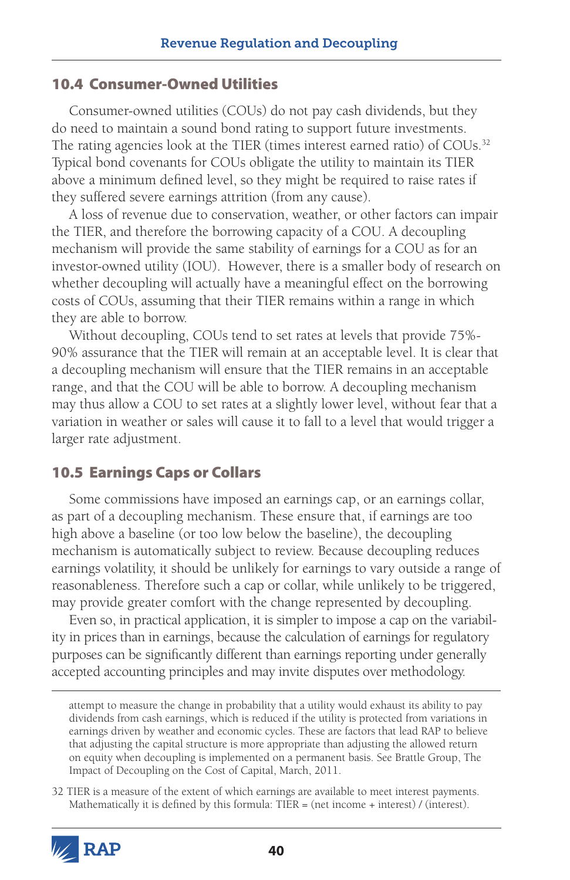#### 10.4 Consumer-Owned Utilities

Consumer-owned utilities (COUs) do not pay cash dividends, but they do need to maintain a sound bond rating to support future investments. The rating agencies look at the TIER (times interest earned ratio) of COUs.<sup>32</sup> Typical bond covenants for COUs obligate the utility to maintain its TIER above a minimum defined level, so they might be required to raise rates if they suffered severe earnings attrition (from any cause).

A loss of revenue due to conservation, weather, or other factors can impair the TIER, and therefore the borrowing capacity of a COU. A decoupling mechanism will provide the same stability of earnings for a COU as for an investor-owned utility (IOU). However, there is a smaller body of research on whether decoupling will actually have a meaningful effect on the borrowing costs of COUs, assuming that their TIER remains within a range in which they are able to borrow.

Without decoupling, COUs tend to set rates at levels that provide 75%- 90% assurance that the TIER will remain at an acceptable level. It is clear that a decoupling mechanism will ensure that the TIER remains in an acceptable range, and that the COU will be able to borrow. A decoupling mechanism may thus allow a COU to set rates at a slightly lower level, without fear that a variation in weather or sales will cause it to fall to a level that would trigger a larger rate adjustment.

#### 10.5 Earnings Caps or Collars

Some commissions have imposed an earnings cap, or an earnings collar, as part of a decoupling mechanism. These ensure that, if earnings are too high above a baseline (or too low below the baseline), the decoupling mechanism is automatically subject to review. Because decoupling reduces earnings volatility, it should be unlikely for earnings to vary outside a range of reasonableness. Therefore such a cap or collar, while unlikely to be triggered, may provide greater comfort with the change represented by decoupling.

Even so, in practical application, it is simpler to impose a cap on the variability in prices than in earnings, because the calculation of earnings for regulatory purposes can be significantly different than earnings reporting under generally accepted accounting principles and may invite disputes over methodology.

<sup>32</sup> TIER is a measure of the extent of which earnings are available to meet interest payments. Mathematically it is defined by this formula: TIER = (net income + interest) / (interest).



attempt to measure the change in probability that a utility would exhaust its ability to pay dividends from cash earnings, which is reduced if the utility is protected from variations in earnings driven by weather and economic cycles. These are factors that lead RAP to believe that adjusting the capital structure is more appropriate than adjusting the allowed return on equity when decoupling is implemented on a permanent basis. See Brattle Group, The Impact of Decoupling on the Cost of Capital, March, 2011.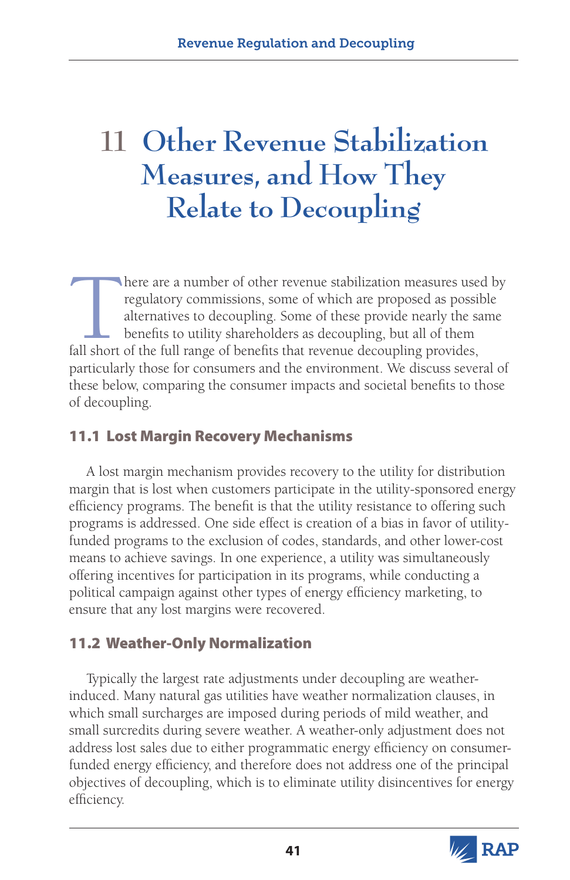# **11 Other Revenue Stabilization Measures, and How They Relate to Decoupling**

There are a number of other revenue stabilization measures used by regulatory commissions, some of which are proposed as possible alternatives to decoupling. Some of these provide nearly the same benefits to utility shareh regulatory commissions, some of which are proposed as possible alternatives to decoupling. Some of these provide nearly the same benefits to utility shareholders as decoupling, but all of them fall short of the full range of benefits that revenue decoupling provides, particularly those for consumers and the environment. We discuss several of these below, comparing the consumer impacts and societal benefits to those of decoupling.

# 11.1 Lost Margin Recovery Mechanisms

A lost margin mechanism provides recovery to the utility for distribution margin that is lost when customers participate in the utility-sponsored energy efficiency programs. The benefit is that the utility resistance to offering such programs is addressed. One side effect is creation of a bias in favor of utilityfunded programs to the exclusion of codes, standards, and other lower-cost means to achieve savings. In one experience, a utility was simultaneously offering incentives for participation in its programs, while conducting a political campaign against other types of energy efficiency marketing, to ensure that any lost margins were recovered.

# 11.2 Weather-Only Normalization

Typically the largest rate adjustments under decoupling are weatherinduced. Many natural gas utilities have weather normalization clauses, in which small surcharges are imposed during periods of mild weather, and small surcredits during severe weather. A weather-only adjustment does not address lost sales due to either programmatic energy efficiency on consumerfunded energy efficiency, and therefore does not address one of the principal objectives of decoupling, which is to eliminate utility disincentives for energy efficiency.

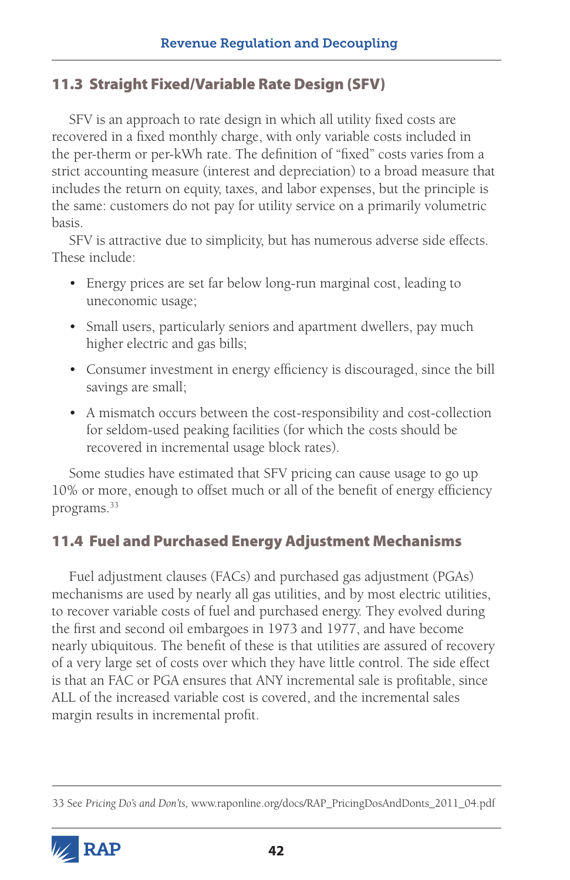## 11.3 Straight Fixed/Variable Rate Design (SFV)

SFV is an approach to rate design in which all utility fixed costs are recovered in a fixed monthly charge, with only variable costs included in the per-therm or per-kWh rate. The definition of "fixed" costs varies from a strict accounting measure (interest and depreciation) to a broad measure that includes the return on equity, taxes, and labor expenses, but the principle is the same: customers do not pay for utility service on a primarily volumetric basis.

SFV is attractive due to simplicity, but has numerous adverse side effects. These include:

- Energy prices are set far below long-run marginal cost, leading to uneconomic usage;
- Small users, particularly seniors and apartment dwellers, pay much higher electric and gas bills;
- • Consumer investment in energy efficiency is discouraged, since the bill savings are small;
- A mismatch occurs between the cost-responsibility and cost-collection for seldom-used peaking facilities (for which the costs should be recovered in incremental usage block rates).

Some studies have estimated that SFV pricing can cause usage to go up 10% or more, enough to offset much or all of the benefit of energy efficiency programs.<sup>33</sup>

# 11.4 Fuel and Purchased Energy Adjustment Mechanisms

Fuel adjustment clauses (FACs) and purchased gas adjustment (PGAs) mechanisms are used by nearly all gas utilities, and by most electric utilities, to recover variable costs of fuel and purchased energy. They evolved during the first and second oil embargoes in 1973 and 1977, and have become nearly ubiquitous. The benefit of these is that utilities are assured of recovery of a very large set of costs over which they have little control. The side effect is that an FAC or PGA ensures that ANY incremental sale is profitable, since ALL of the increased variable cost is covered, and the incremental sales margin results in incremental profit.

<sup>33</sup> See *Pricing Do's and Don'ts,* www.raponline.org/docs/RAP\_PricingDosAndDonts\_2011\_04.pdf

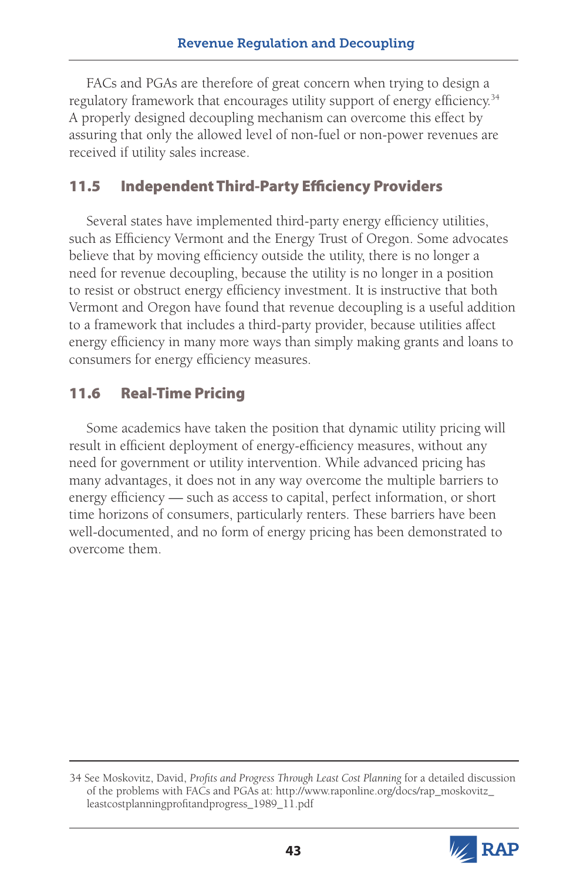FACs and PGAs are therefore of great concern when trying to design a regulatory framework that encourages utility support of energy efficiency.<sup>34</sup> A properly designed decoupling mechanism can overcome this effect by assuring that only the allowed level of non-fuel or non-power revenues are received if utility sales increase.

# 11.5 Independent Third-Party Efficiency Providers

Several states have implemented third-party energy efficiency utilities, such as Efficiency Vermont and the Energy Trust of Oregon. Some advocates believe that by moving efficiency outside the utility, there is no longer a need for revenue decoupling, because the utility is no longer in a position to resist or obstruct energy efficiency investment. It is instructive that both Vermont and Oregon have found that revenue decoupling is a useful addition to a framework that includes a third-party provider, because utilities affect energy efficiency in many more ways than simply making grants and loans to consumers for energy efficiency measures.

## 11.6 Real-Time Pricing

Some academics have taken the position that dynamic utility pricing will result in efficient deployment of energy-efficiency measures, without any need for government or utility intervention. While advanced pricing has many advantages, it does not in any way overcome the multiple barriers to energy efficiency — such as access to capital, perfect information, or short time horizons of consumers, particularly renters. These barriers have been well-documented, and no form of energy pricing has been demonstrated to overcome them.

<sup>34</sup> See Moskovitz, David, *Profits and Progress Through Least Cost Planning* for a detailed discussion of the problems with FACs and PGAs at: [http://www.raponline.org/docs/rap\\_moskovitz\\_](http://www.raponline.org/docs/rap_moskovitz_leastcostplanningprofitandprogress_1989_11.pdf) [leastcostplanningprofitandprogress\\_1989\\_11.pdf](http://www.raponline.org/docs/rap_moskovitz_leastcostplanningprofitandprogress_1989_11.pdf)

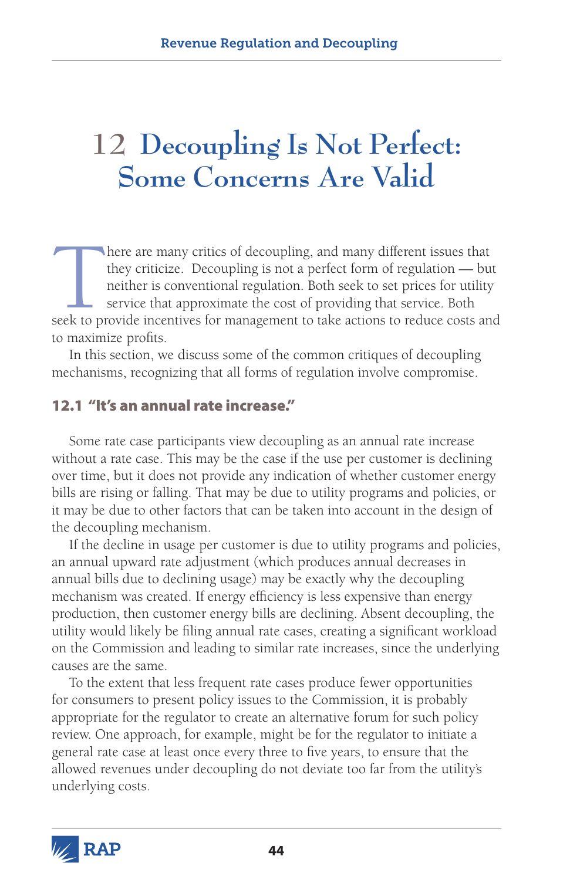# **12 Decoupling Is Not Perfect: Some Concerns Are Valid**

here are many critics of decoupling, and many different issues that they criticize. Decoupling is not a perfect form of regulation — but neither is conventional regulation. Both seek to set prices for utility service that they criticize. Decoupling is not a perfect form of regulation — but neither is conventional regulation. Both seek to set prices for utility service that approximate the cost of providing that service. Both to maximize profits.

In this section, we discuss some of the common critiques of decoupling mechanisms, recognizing that all forms of regulation involve compromise.

#### 12.1 "It's an annual rate increase."

Some rate case participants view decoupling as an annual rate increase without a rate case. This may be the case if the use per customer is declining over time, but it does not provide any indication of whether customer energy bills are rising or falling. That may be due to utility programs and policies, or it may be due to other factors that can be taken into account in the design of the decoupling mechanism.

If the decline in usage per customer is due to utility programs and policies, an annual upward rate adjustment (which produces annual decreases in annual bills due to declining usage) may be exactly why the decoupling mechanism was created. If energy efficiency is less expensive than energy production, then customer energy bills are declining. Absent decoupling, the utility would likely be filing annual rate cases, creating a significant workload on the Commission and leading to similar rate increases, since the underlying causes are the same.

To the extent that less frequent rate cases produce fewer opportunities for consumers to present policy issues to the Commission, it is probably appropriate for the regulator to create an alternative forum for such policy review. One approach, for example, might be for the regulator to initiate a general rate case at least once every three to five years, to ensure that the allowed revenues under decoupling do not deviate too far from the utility's underlying costs.

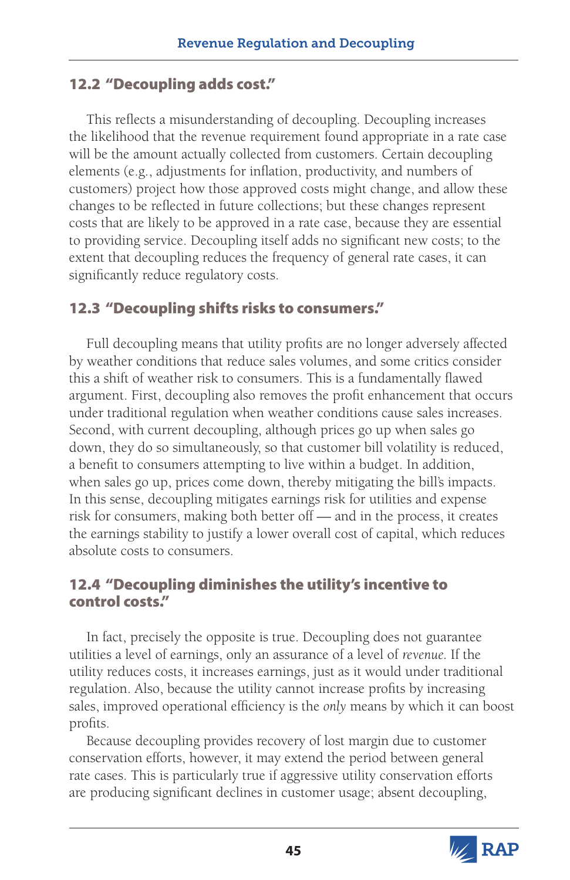## 12.2 "Decoupling adds cost."

This reflects a misunderstanding of decoupling. Decoupling increases the likelihood that the revenue requirement found appropriate in a rate case will be the amount actually collected from customers. Certain decoupling elements (e.g., adjustments for inflation, productivity, and numbers of customers) project how those approved costs might change, and allow these changes to be reflected in future collections; but these changes represent costs that are likely to be approved in a rate case, because they are essential to providing service. Decoupling itself adds no significant new costs; to the extent that decoupling reduces the frequency of general rate cases, it can significantly reduce regulatory costs.

## 12.3 "Decoupling shifts risks to consumers."

Full decoupling means that utility profits are no longer adversely affected by weather conditions that reduce sales volumes, and some critics consider this a shift of weather risk to consumers. This is a fundamentally flawed argument. First, decoupling also removes the profit enhancement that occurs under traditional regulation when weather conditions cause sales increases. Second, with current decoupling, although prices go up when sales go down, they do so simultaneously, so that customer bill volatility is reduced, a benefit to consumers attempting to live within a budget. In addition, when sales go up, prices come down, thereby mitigating the bill's impacts. In this sense, decoupling mitigates earnings risk for utilities and expense risk for consumers, making both better off — and in the process, it creates the earnings stability to justify a lower overall cost of capital, which reduces absolute costs to consumers.

## 12.4 "Decoupling diminishes the utility's incentive to control costs."

In fact, precisely the opposite is true. Decoupling does not guarantee utilities a level of earnings, only an assurance of a level of *revenue.* If the utility reduces costs, it increases earnings, just as it would under traditional regulation. Also, because the utility cannot increase profits by increasing sales, improved operational efficiency is the *only* means by which it can boost profits.

Because decoupling provides recovery of lost margin due to customer conservation efforts, however, it may extend the period between general rate cases. This is particularly true if aggressive utility conservation efforts are producing significant declines in customer usage; absent decoupling,

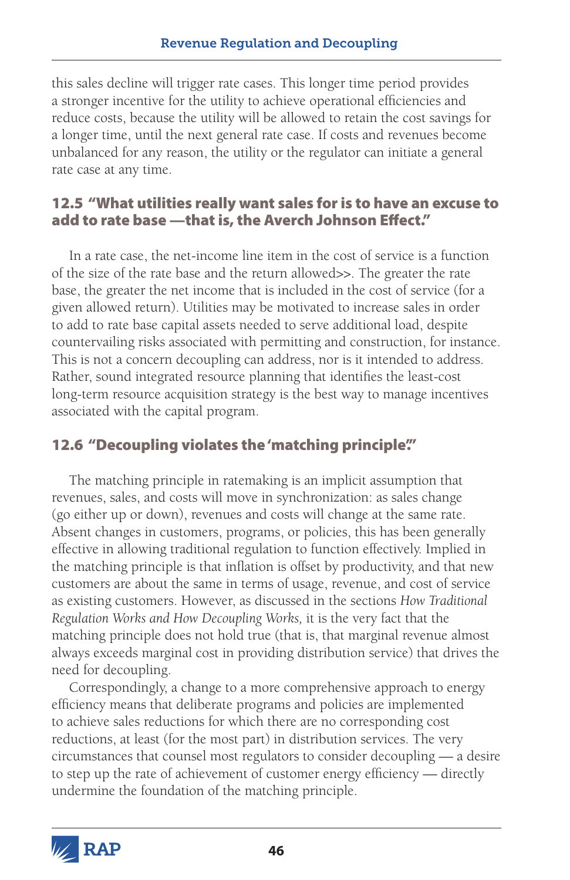this sales decline will trigger rate cases. This longer time period provides a stronger incentive for the utility to achieve operational efficiencies and reduce costs, because the utility will be allowed to retain the cost savings for a longer time, until the next general rate case. If costs and revenues become unbalanced for any reason, the utility or the regulator can initiate a general rate case at any time.

### 12.5 "What utilities really want sales for is to have an excuse to add to rate base —that is, the Averch Johnson Effect."

In a rate case, the net-income line item in the cost of service is a function of the size of the rate base and the return allowed>>. The greater the rate base, the greater the net income that is included in the cost of service (for a given allowed return). Utilities may be motivated to increase sales in order to add to rate base capital assets needed to serve additional load, despite countervailing risks associated with permitting and construction, for instance. This is not a concern decoupling can address, nor is it intended to address. Rather, sound integrated resource planning that identifies the least-cost long-term resource acquisition strategy is the best way to manage incentives associated with the capital program.

# 12.6 "Decoupling violates the 'matching principle'."

The matching principle in ratemaking is an implicit assumption that revenues, sales, and costs will move in synchronization: as sales change (go either up or down), revenues and costs will change at the same rate. Absent changes in customers, programs, or policies, this has been generally effective in allowing traditional regulation to function effectively. Implied in the matching principle is that inflation is offset by productivity, and that new customers are about the same in terms of usage, revenue, and cost of service as existing customers. However, as discussed in the sections *How Traditional Regulation Works and How Decoupling Works,* it is the very fact that the matching principle does not hold true (that is, that marginal revenue almost always exceeds marginal cost in providing distribution service) that drives the need for decoupling.

Correspondingly, a change to a more comprehensive approach to energy efficiency means that deliberate programs and policies are implemented to achieve sales reductions for which there are no corresponding cost reductions, at least (for the most part) in distribution services. The very circumstances that counsel most regulators to consider decoupling — a desire to step up the rate of achievement of customer energy efficiency — directly undermine the foundation of the matching principle.

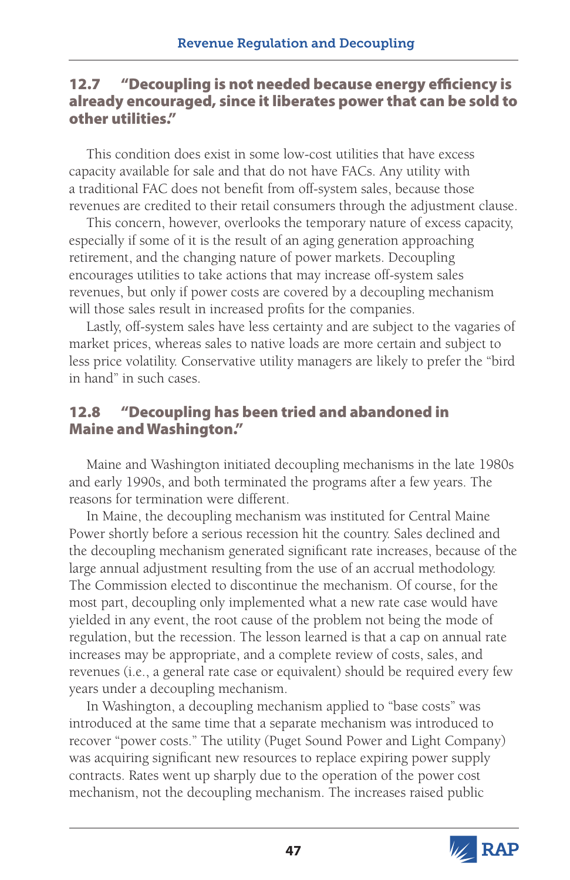### 12.7 "Decoupling is not needed because energy efficiency is already encouraged, since it liberates power that can be sold to other utilities."

This condition does exist in some low-cost utilities that have excess capacity available for sale and that do not have FACs. Any utility with a traditional FAC does not benefit from off-system sales, because those revenues are credited to their retail consumers through the adjustment clause.

This concern, however, overlooks the temporary nature of excess capacity, especially if some of it is the result of an aging generation approaching retirement, and the changing nature of power markets. Decoupling encourages utilities to take actions that may increase off-system sales revenues, but only if power costs are covered by a decoupling mechanism will those sales result in increased profits for the companies.

Lastly, off-system sales have less certainty and are subject to the vagaries of market prices, whereas sales to native loads are more certain and subject to less price volatility. Conservative utility managers are likely to prefer the "bird in hand" in such cases.

## 12.8 "Decoupling has been tried and abandoned in Maine and Washington."

Maine and Washington initiated decoupling mechanisms in the late 1980s and early 1990s, and both terminated the programs after a few years. The reasons for termination were different.

In Maine, the decoupling mechanism was instituted for Central Maine Power shortly before a serious recession hit the country. Sales declined and the decoupling mechanism generated significant rate increases, because of the large annual adjustment resulting from the use of an accrual methodology. The Commission elected to discontinue the mechanism. Of course, for the most part, decoupling only implemented what a new rate case would have yielded in any event, the root cause of the problem not being the mode of regulation, but the recession. The lesson learned is that a cap on annual rate increases may be appropriate, and a complete review of costs, sales, and revenues (i.e., a general rate case or equivalent) should be required every few years under a decoupling mechanism.

In Washington, a decoupling mechanism applied to "base costs" was introduced at the same time that a separate mechanism was introduced to recover "power costs." The utility (Puget Sound Power and Light Company) was acquiring significant new resources to replace expiring power supply contracts. Rates went up sharply due to the operation of the power cost mechanism, not the decoupling mechanism. The increases raised public

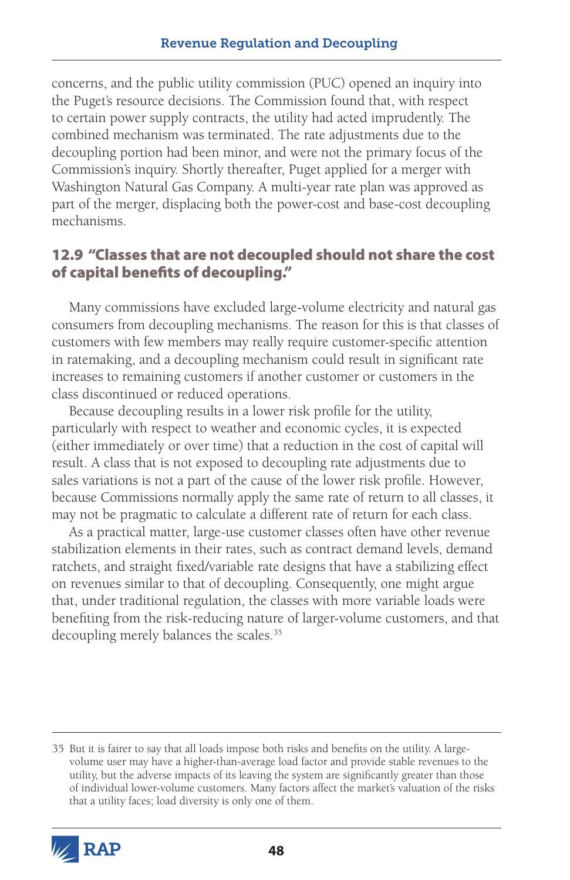concerns, and the public utility commission (PUC) opened an inquiry into the Puget's resource decisions. The Commission found that, with respect to certain power supply contracts, the utility had acted imprudently. The combined mechanism was terminated. The rate adjustments due to the decoupling portion had been minor, and were not the primary focus of the Commission's inquiry. Shortly thereafter, Puget applied for a merger with Washington Natural Gas Company. A multi-year rate plan was approved as part of the merger, displacing both the power-cost and base-cost decoupling mechanisms.

## 12.9 "Classes that are not decoupled should not share the cost of capital benefits of decoupling."

Many commissions have excluded large-volume electricity and natural gas consumers from decoupling mechanisms. The reason for this is that classes of customers with few members may really require customer-specific attention in ratemaking, and a decoupling mechanism could result in significant rate increases to remaining customers if another customer or customers in the class discontinued or reduced operations.

Because decoupling results in a lower risk profile for the utility, particularly with respect to weather and economic cycles, it is expected (either immediately or over time) that a reduction in the cost of capital will result. A class that is not exposed to decoupling rate adjustments due to sales variations is not a part of the cause of the lower risk profile. However, because Commissions normally apply the same rate of return to all classes, it may not be pragmatic to calculate a different rate of return for each class.

As a practical matter, large-use customer classes often have other revenue stabilization elements in their rates, such as contract demand levels, demand ratchets, and straight fixed/variable rate designs that have a stabilizing effect on revenues similar to that of decoupling. Consequently, one might argue that, under traditional regulation, the classes with more variable loads were benefiting from the risk-reducing nature of larger-volume customers, and that decoupling merely balances the scales.<sup>35</sup>

<sup>35</sup> But it is fairer to say that all loads impose both risks and benefits on the utility. A largevolume user may have a higher-than-average load factor and provide stable revenues to the utility, but the adverse impacts of its leaving the system are significantly greater than those of individual lower-volume customers. Many factors affect the market's valuation of the risks that a utility faces; load diversity is only one of them.

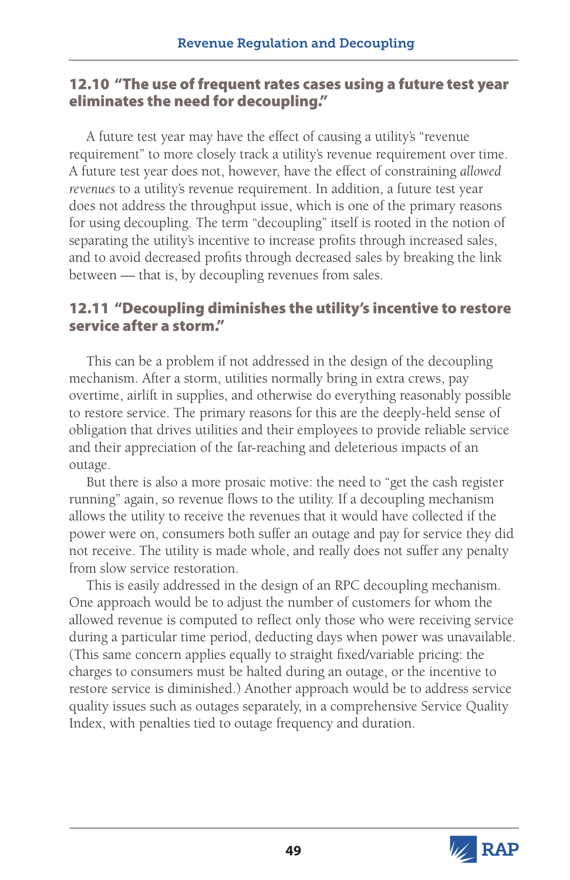### 12.10 "The use of frequent rates cases using a future test year eliminates the need for decoupling."

A future test year may have the effect of causing a utility's "revenue requirement" to more closely track a utility's revenue requirement over time. A future test year does not, however, have the effect of constraining *allowed revenues* to a utility's revenue requirement. In addition, a future test year does not address the throughput issue, which is one of the primary reasons for using decoupling. The term "decoupling" itself is rooted in the notion of separating the utility's incentive to increase profits through increased sales, and to avoid decreased profits through decreased sales by breaking the link between — that is, by decoupling revenues from sales.

### 12.11 "Decoupling diminishes the utility's incentive to restore service after a storm."

This can be a problem if not addressed in the design of the decoupling mechanism. After a storm, utilities normally bring in extra crews, pay overtime, airlift in supplies, and otherwise do everything reasonably possible to restore service. The primary reasons for this are the deeply-held sense of obligation that drives utilities and their employees to provide reliable service and their appreciation of the far-reaching and deleterious impacts of an outage.

But there is also a more prosaic motive: the need to "get the cash register running" again, so revenue flows to the utility. If a decoupling mechanism allows the utility to receive the revenues that it would have collected if the power were on, consumers both suffer an outage and pay for service they did not receive. The utility is made whole, and really does not suffer any penalty from slow service restoration.

This is easily addressed in the design of an RPC decoupling mechanism. One approach would be to adjust the number of customers for whom the allowed revenue is computed to reflect only those who were receiving service during a particular time period, deducting days when power was unavailable. (This same concern applies equally to straight fixed/variable pricing: the charges to consumers must be halted during an outage, or the incentive to restore service is diminished.) Another approach would be to address service quality issues such as outages separately, in a comprehensive Service Quality Index, with penalties tied to outage frequency and duration.

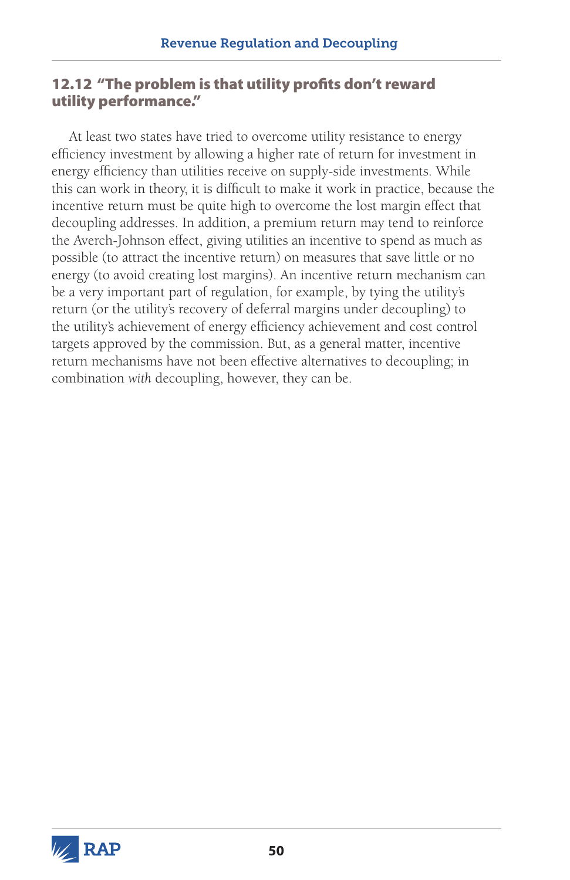## 12.12 "The problem is that utility profits don't reward utility performance."

At least two states have tried to overcome utility resistance to energy efficiency investment by allowing a higher rate of return for investment in energy efficiency than utilities receive on supply-side investments. While this can work in theory, it is difficult to make it work in practice, because the incentive return must be quite high to overcome the lost margin effect that decoupling addresses. In addition, a premium return may tend to reinforce the Averch-Johnson effect, giving utilities an incentive to spend as much as possible (to attract the incentive return) on measures that save little or no energy (to avoid creating lost margins). An incentive return mechanism can be a very important part of regulation, for example, by tying the utility's return (or the utility's recovery of deferral margins under decoupling) to the utility's achievement of energy efficiency achievement and cost control targets approved by the commission. But, as a general matter, incentive return mechanisms have not been effective alternatives to decoupling; in combination *with* decoupling, however, they can be.

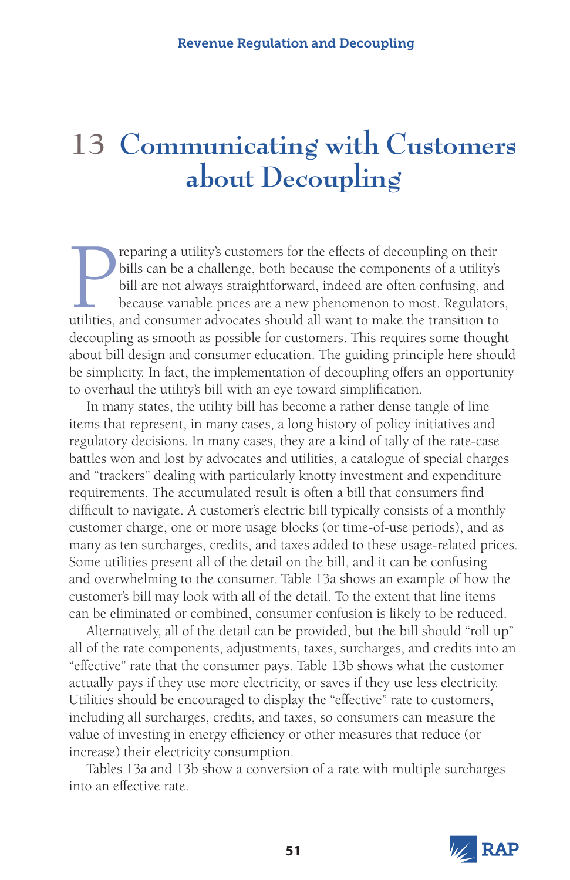# **13 Communicating with Customers about Decoupling**

**Example 2** reparing a utility's customers for the effects of decoupling on their bills can be a challenge, both because the components of a utility's bill are not always straightforward, indeed are often confusing, and be reparing a utility's customers for the effects of decoupling on their bills can be a challenge, both because the components of a utility's bill are not always straightforward, indeed are often confusing, and because variable prices are a new phenomenon to most. Regulators, decoupling as smooth as possible for customers. This requires some thought about bill design and consumer education. The guiding principle here should be simplicity. In fact, the implementation of decoupling offers an opportunity to overhaul the utility's bill with an eye toward simplification.

In many states, the utility bill has become a rather dense tangle of line items that represent, in many cases, a long history of policy initiatives and regulatory decisions. In many cases, they are a kind of tally of the rate-case battles won and lost by advocates and utilities, a catalogue of special charges and "trackers" dealing with particularly knotty investment and expenditure requirements. The accumulated result is often a bill that consumers find difficult to navigate. A customer's electric bill typically consists of a monthly customer charge, one or more usage blocks (or time-of-use periods), and as many as ten surcharges, credits, and taxes added to these usage-related prices. Some utilities present all of the detail on the bill, and it can be confusing and overwhelming to the consumer. Table 13a shows an example of how the customer's bill may look with all of the detail. To the extent that line items can be eliminated or combined, consumer confusion is likely to be reduced.

Alternatively, all of the detail can be provided, but the bill should "roll up" all of the rate components, adjustments, taxes, surcharges, and credits into an "effective" rate that the consumer pays. Table 13b shows what the customer actually pays if they use more electricity, or saves if they use less electricity. Utilities should be encouraged to display the "effective" rate to customers, including all surcharges, credits, and taxes, so consumers can measure the value of investing in energy efficiency or other measures that reduce (or increase) their electricity consumption.

Tables 13a and 13b show a conversion of a rate with multiple surcharges into an effective rate.

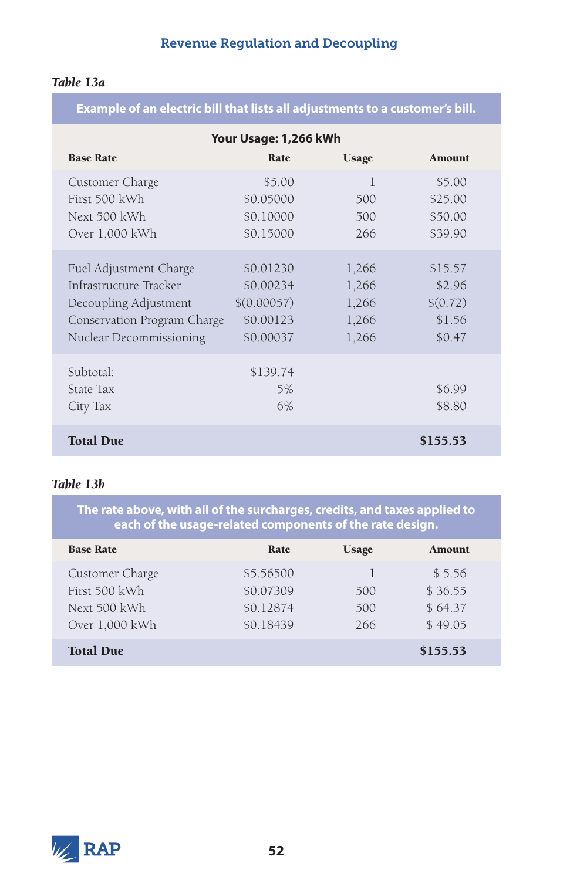#### *Table 13a*

#### **Example of an electric bill that lists all adjustments to a customer's bill.**

| Your Usage: 1,266 kWh                                                                                                               |                                                                 |                                           |                                                   |  |  |
|-------------------------------------------------------------------------------------------------------------------------------------|-----------------------------------------------------------------|-------------------------------------------|---------------------------------------------------|--|--|
| <b>Base Rate</b>                                                                                                                    | Rate                                                            | <b>Usage</b>                              | <b>Amount</b>                                     |  |  |
| Customer Charge<br>First 500 kWh<br>Next 500 kWh                                                                                    | \$5.00<br>\$0.05000<br>\$0.10000                                | 1<br>500<br>500                           | \$5.00<br>\$25.00<br>\$50.00                      |  |  |
| Over 1,000 kWh                                                                                                                      | \$0.15000                                                       | 266                                       | \$39.90                                           |  |  |
| Fuel Adjustment Charge<br>Infrastructure Tracker<br>Decoupling Adjustment<br>Conservation Program Charge<br>Nuclear Decommissioning | \$0.01230<br>\$0.00234<br>\$(0.00057)<br>\$0.00123<br>\$0.00037 | 1,266<br>1,266<br>1,266<br>1,266<br>1,266 | \$15.57<br>\$2.96<br>\$(0.72)<br>\$1.56<br>\$0.47 |  |  |
| Subtotal:<br>State Tax<br>City Tax                                                                                                  | \$139.74<br>5%<br>6%                                            |                                           | \$6.99<br>\$8.80                                  |  |  |
| <b>Total Due</b>                                                                                                                    |                                                                 |                                           | \$155.53                                          |  |  |

#### *Table 13b*

**The rate above, with all of the surcharges, credits, and taxes applied to each of the usage-related components of the rate design.**

| <b>Base Rate</b> | Rate      | <b>Usage</b> | Amount   |
|------------------|-----------|--------------|----------|
| Customer Charge  | \$5,56500 |              | \$5.56   |
| First 500 kWh    | \$0.07309 | 500          | \$36.55  |
| Next 500 kWh     | \$0.12874 | 500          | \$64.37  |
| Over 1,000 kWh   | \$0.18439 | 266          | \$49.05  |
| <b>Total Due</b> |           |              | \$155.53 |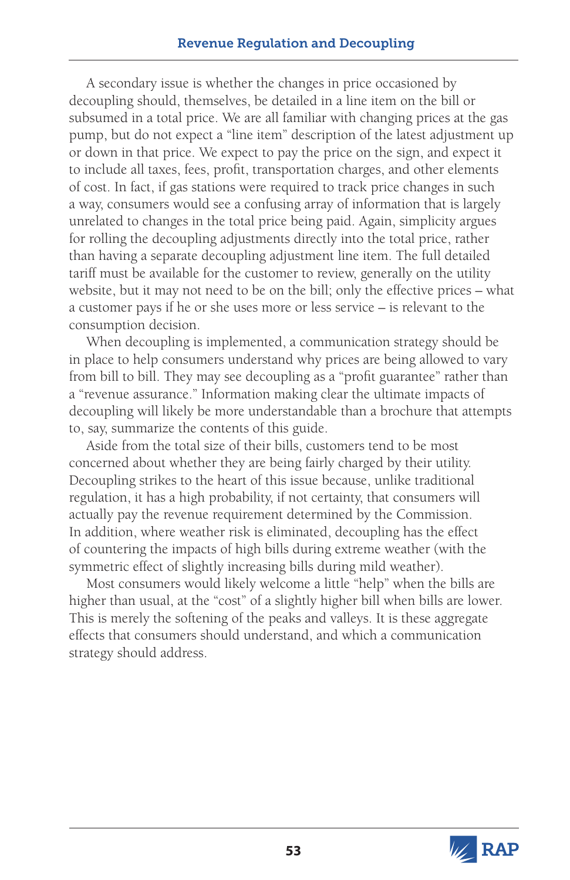A secondary issue is whether the changes in price occasioned by decoupling should, themselves, be detailed in a line item on the bill or subsumed in a total price. We are all familiar with changing prices at the gas pump, but do not expect a "line item" description of the latest adjustment up or down in that price. We expect to pay the price on the sign, and expect it to include all taxes, fees, profit, transportation charges, and other elements of cost. In fact, if gas stations were required to track price changes in such a way, consumers would see a confusing array of information that is largely unrelated to changes in the total price being paid. Again, simplicity argues for rolling the decoupling adjustments directly into the total price, rather than having a separate decoupling adjustment line item. The full detailed tariff must be available for the customer to review, generally on the utility website, but it may not need to be on the bill; only the effective prices – what a customer pays if he or she uses more or less service – is relevant to the consumption decision.

When decoupling is implemented, a communication strategy should be in place to help consumers understand why prices are being allowed to vary from bill to bill. They may see decoupling as a "profit guarantee" rather than a "revenue assurance." Information making clear the ultimate impacts of decoupling will likely be more understandable than a brochure that attempts to, say, summarize the contents of this guide.

Aside from the total size of their bills, customers tend to be most concerned about whether they are being fairly charged by their utility. Decoupling strikes to the heart of this issue because, unlike traditional regulation, it has a high probability, if not certainty, that consumers will actually pay the revenue requirement determined by the Commission. In addition, where weather risk is eliminated, decoupling has the effect of countering the impacts of high bills during extreme weather (with the symmetric effect of slightly increasing bills during mild weather).

Most consumers would likely welcome a little "help" when the bills are higher than usual, at the "cost" of a slightly higher bill when bills are lower. This is merely the softening of the peaks and valleys. It is these aggregate effects that consumers should understand, and which a communication strategy should address.

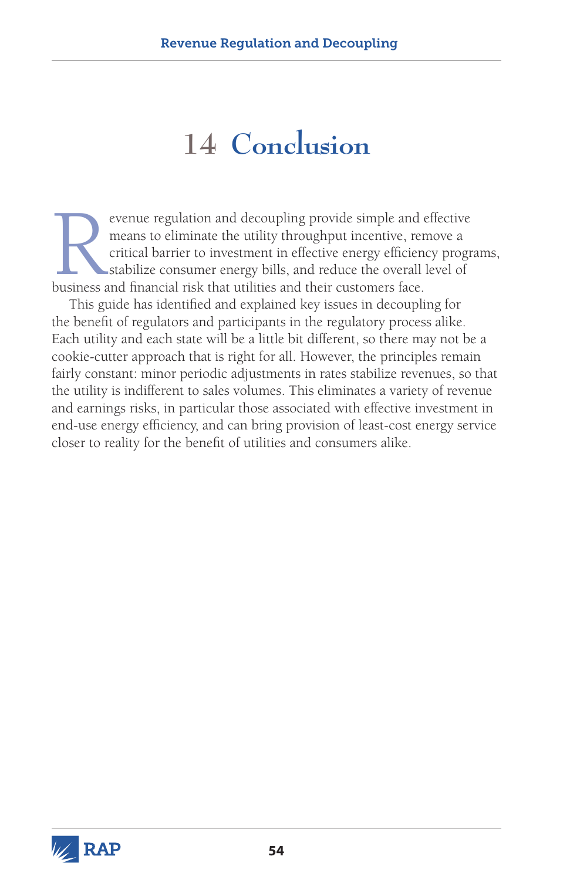# **14 Conclusion**

Experiment and decoupling provide simple and effective means to eliminate the utility throughput incentive, remove a critical barrier to investment in effective energy efficiency prographies and financial risk that utiliti means to eliminate the utility throughput incentive, remove a critical barrier to investment in effective energy efficiency programs, stabilize consumer energy bills, and reduce the overall level of business and financial risk that utilities and their customers face.

This guide has identified and explained key issues in decoupling for the benefit of regulators and participants in the regulatory process alike. Each utility and each state will be a little bit different, so there may not be a cookie-cutter approach that is right for all. However, the principles remain fairly constant: minor periodic adjustments in rates stabilize revenues, so that the utility is indifferent to sales volumes. This eliminates a variety of revenue and earnings risks, in particular those associated with effective investment in end-use energy efficiency, and can bring provision of least-cost energy service closer to reality for the benefit of utilities and consumers alike.

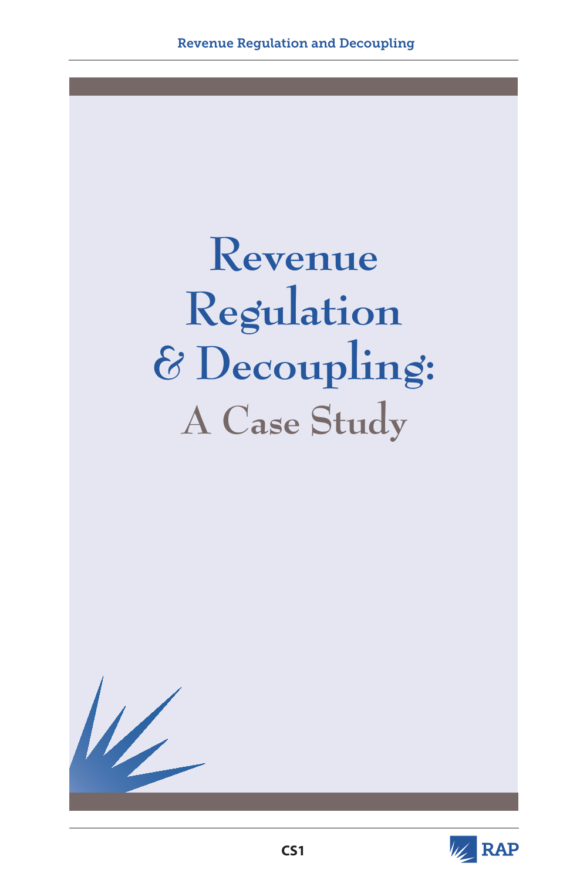

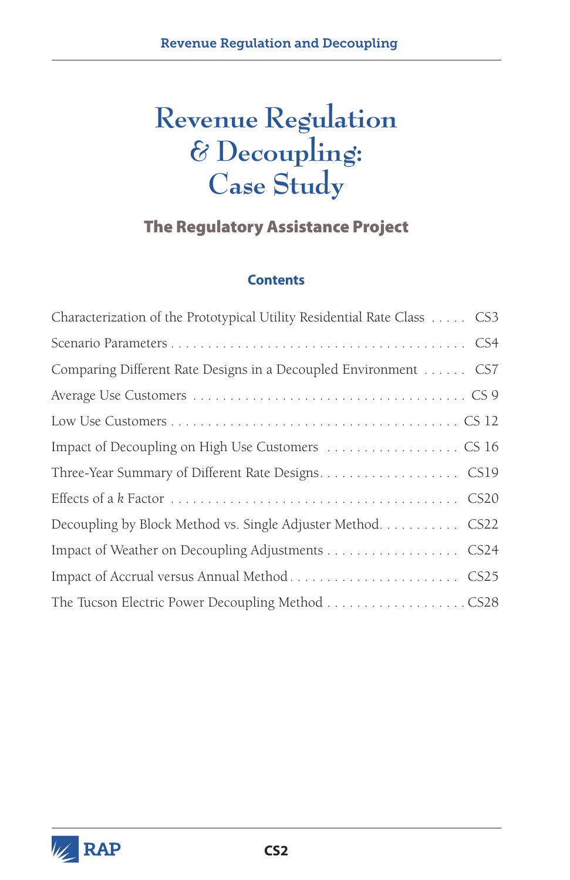# **Revenue Regulation & Decoupling: Case Study**

# The Regulatory Assistance Project

#### **Contents**

| Characterization of the Prototypical Utility Residential Rate Class  CS3 |
|--------------------------------------------------------------------------|
|                                                                          |
| Comparing Different Rate Designs in a Decoupled Environment  CS7         |
|                                                                          |
|                                                                          |
|                                                                          |
|                                                                          |
|                                                                          |
| Decoupling by Block Method vs. Single Adjuster Method. CS22              |
| Impact of Weather on Decoupling Adjustments CS24                         |
|                                                                          |
|                                                                          |

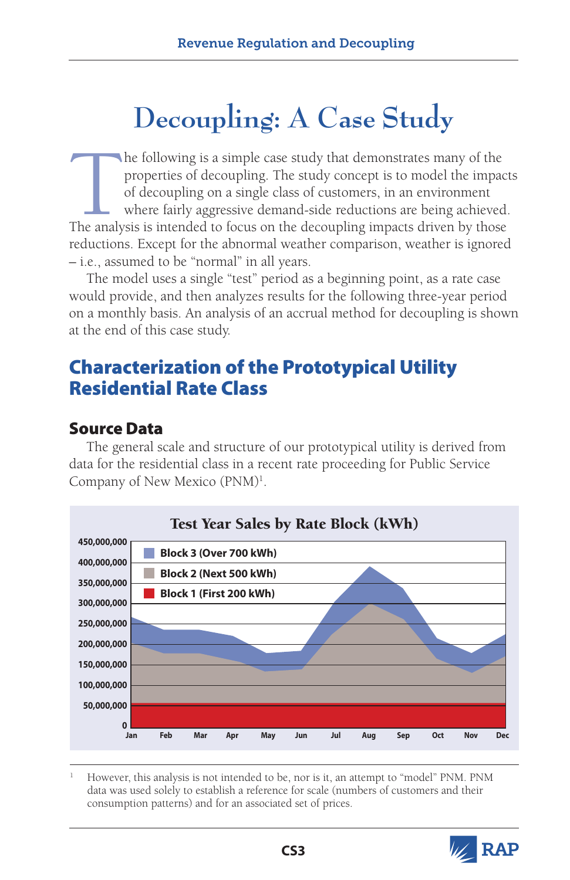# **Decoupling: A Case Study**

The following is a simple case study that demonstrates many of the properties of decoupling. The study concept is to model the impact of decoupling on a single class of customers, in an environment where fairly aggressive properties of decoupling. The study concept is to model the impacts of decoupling on a single class of customers, in an environment where fairly aggressive demand-side reductions are being achieved. The analysis is intended to focus on the decoupling impacts driven by those reductions. Except for the abnormal weather comparison, weather is ignored – i.e., assumed to be "normal" in all years.

The model uses a single "test" period as a beginning point, as a rate case would provide, and then analyzes results for the following three-year period on a monthly basis. An analysis of an accrual method for decoupling is shown at the end of this case study.

# Characterization of the Prototypical Utility Residential Rate Class

# Source Data

The general scale and structure of our prototypical utility is derived from data for the residential class in a recent rate proceeding for Public Service Company of New Mexico (PNM)<sup>1</sup>.



<sup>1</sup> However, this analysis is not intended to be, nor is it, an attempt to "model" PNM. PNM data was used solely to establish a reference for scale (numbers of customers and their consumption patterns) and for an associated set of prices.

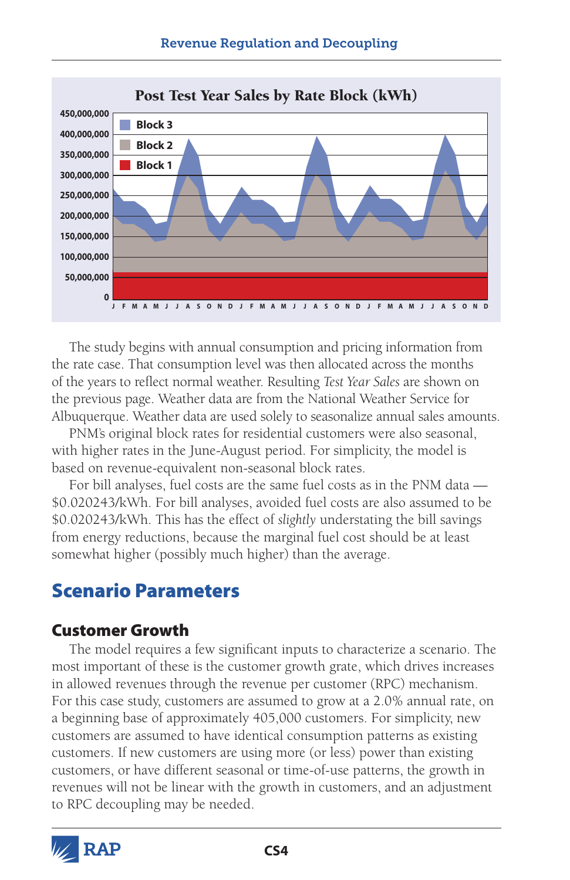

The study begins with annual consumption and pricing information from the rate case. That consumption level was then allocated across the months of the years to reflect normal weather. Resulting *Test Year Sales* are shown on the previous page. Weather data are from the National Weather Service for Albuquerque. Weather data are used solely to seasonalize annual sales amounts.

PNM's original block rates for residential customers were also seasonal, with higher rates in the June-August period. For simplicity, the model is based on revenue-equivalent non-seasonal block rates.

For bill analyses, fuel costs are the same fuel costs as in the PNM data — \$0.020243/kWh. For bill analyses, avoided fuel costs are also assumed to be \$0.020243/kWh. This has the effect of *slightly* understating the bill savings from energy reductions, because the marginal fuel cost should be at least somewhat higher (possibly much higher) than the average.

# Scenario Parameters

## Customer Growth

The model requires a few significant inputs to characterize a scenario. The most important of these is the customer growth grate, which drives increases in allowed revenues through the revenue per customer (RPC) mechanism. For this case study, customers are assumed to grow at a 2.0% annual rate, on a beginning base of approximately 405,000 customers. For simplicity, new customers are assumed to have identical consumption patterns as existing customers. If new customers are using more (or less) power than existing customers, or have different seasonal or time-of-use patterns, the growth in revenues will not be linear with the growth in customers, and an adjustment to RPC decoupling may be needed.

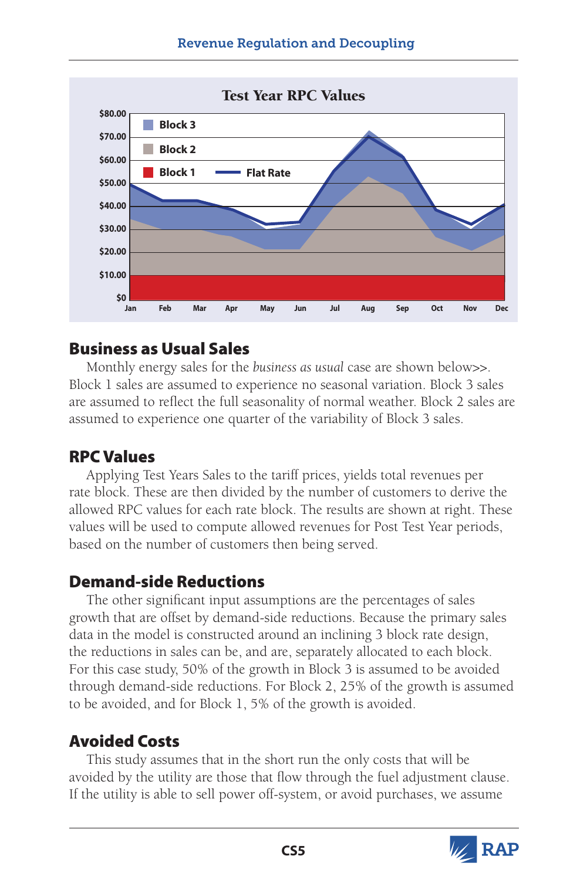

# Business as Usual Sales

Monthly energy sales for the *business as usual* case are shown below>>. Block 1 sales are assumed to experience no seasonal variation. Block 3 sales are assumed to reflect the full seasonality of normal weather. Block 2 sales are assumed to experience one quarter of the variability of Block 3 sales.

# RPC Values

Applying Test Years Sales to the tariff prices, yields total revenues per rate block. These are then divided by the number of customers to derive the allowed RPC values for each rate block. The results are shown at right. These values will be used to compute allowed revenues for Post Test Year periods, based on the number of customers then being served.

# Demand-side Reductions

The other significant input assumptions are the percentages of sales growth that are offset by demand-side reductions. Because the primary sales data in the model is constructed around an inclining 3 block rate design, the reductions in sales can be, and are, separately allocated to each block. For this case study, 50% of the growth in Block 3 is assumed to be avoided through demand-side reductions. For Block 2, 25% of the growth is assumed to be avoided, and for Block 1, 5% of the growth is avoided.

# Avoided Costs

This study assumes that in the short run the only costs that will be avoided by the utility are those that flow through the fuel adjustment clause. If the utility is able to sell power off-system, or avoid purchases, we assume

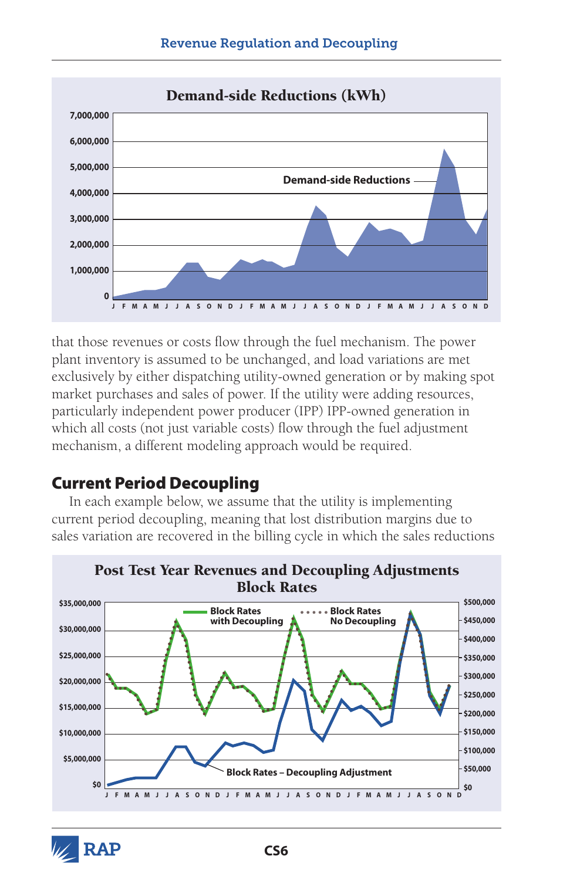

that those revenues or costs flow through the fuel mechanism. The power plant inventory is assumed to be unchanged, and load variations are met exclusively by either dispatching utility-owned generation or by making spot market purchases and sales of power. If the utility were adding resources, particularly independent power producer (IPP) IPP-owned generation in which all costs (not just variable costs) flow through the fuel adjustment mechanism, a different modeling approach would be required.

# Current Period Decoupling

In each example below, we assume that the utility is implementing current period decoupling, meaning that lost distribution margins due to sales variation are recovered in the billing cycle in which the sales reductions



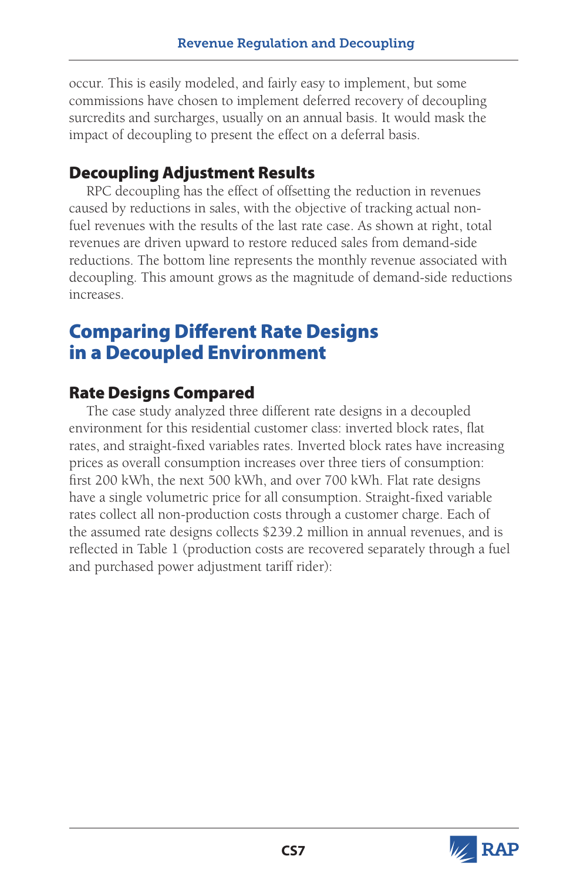occur. This is easily modeled, and fairly easy to implement, but some commissions have chosen to implement deferred recovery of decoupling surcredits and surcharges, usually on an annual basis. It would mask the impact of decoupling to present the effect on a deferral basis.

# Decoupling Adjustment Results

RPC decoupling has the effect of offsetting the reduction in revenues caused by reductions in sales, with the objective of tracking actual nonfuel revenues with the results of the last rate case. As shown at right, total revenues are driven upward to restore reduced sales from demand-side reductions. The bottom line represents the monthly revenue associated with decoupling. This amount grows as the magnitude of demand-side reductions increases.

# Comparing Different Rate Designs in a Decoupled Environment

# Rate Designs Compared

The case study analyzed three different rate designs in a decoupled environment for this residential customer class: inverted block rates, flat rates, and straight-fixed variables rates. Inverted block rates have increasing prices as overall consumption increases over three tiers of consumption: first 200 kWh, the next 500 kWh, and over 700 kWh. Flat rate designs have a single volumetric price for all consumption. Straight-fixed variable rates collect all non-production costs through a customer charge. Each of the assumed rate designs collects \$239.2 million in annual revenues, and is reflected in Table 1 (production costs are recovered separately through a fuel and purchased power adjustment tariff rider):

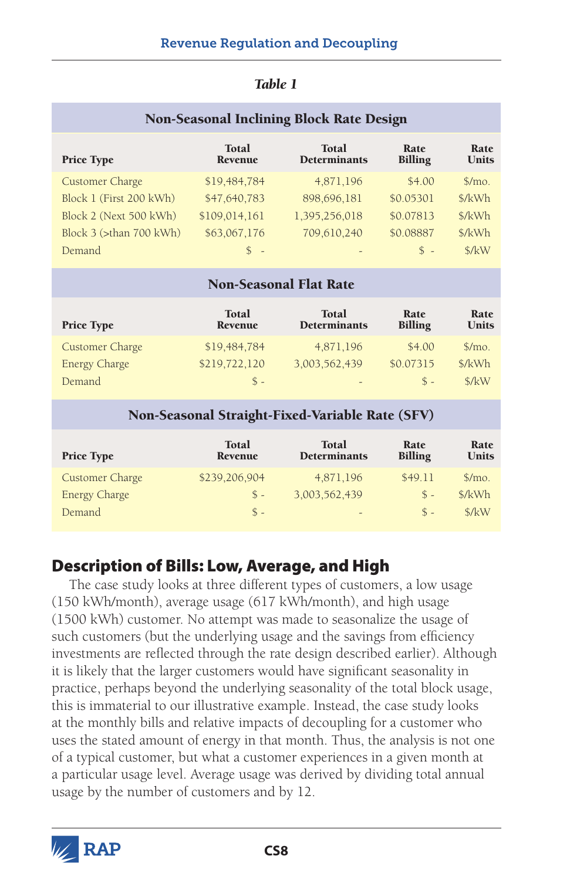| <b>Non-Seasonal Inclining Block Rate Design</b> |                                |                                     |                        |                      |  |
|-------------------------------------------------|--------------------------------|-------------------------------------|------------------------|----------------------|--|
| <b>Price Type</b>                               | <b>Total</b><br><b>Revenue</b> | <b>Total</b><br><b>Determinants</b> | Rate<br><b>Billing</b> | Rate<br><b>Units</b> |  |
| <b>Customer Charge</b>                          | \$19,484,784                   | 4,871,196                           | \$4.00                 | $\gamma$ mo.         |  |
| Block 1 (First 200 kWh)                         | \$47,640,783                   | 898,696,181                         | \$0.05301              | \$/kWh               |  |
| Block 2 (Next 500 kWh)                          | \$109,014,161                  | 1,395,256,018                       | \$0.07813              | \$/kWh               |  |
| Block 3 (>than 700 kWh)                         | \$63,067,176                   | 709,610,240                         | \$0.08887              | \$/kWh               |  |
| Demand                                          | $\mathcal{L}$<br>. —           |                                     | $S -$                  | \$/kW                |  |

| <b>Total</b><br>Revenue | <b>Total</b><br><b>Determinants</b> | Rate<br><b>Billing</b>  | Rate<br><b>Units</b> |  |
|-------------------------|-------------------------------------|-------------------------|----------------------|--|
| \$19,484,784            | 4,871,196                           | \$4.00                  | $\gamma$ mo.         |  |
| \$219,722,120           | 3,003,562,439                       | \$0.07315               | \$/kWh               |  |
| $S -$                   | $\overline{\phantom{0}}$            | $S -$                   | \$/kW                |  |
|                         |                                     | rvn otasonar riat ivatt |                      |  |

Non-Seasonal Flat Rate

| <b>Price Type</b>      | <b>Total</b><br>Revenue | <b>Total</b><br><b>Determinants</b> | Rate<br><b>Billing</b> | Rate<br><b>Units</b> |
|------------------------|-------------------------|-------------------------------------|------------------------|----------------------|
| <b>Customer Charge</b> | \$239,206,904           | 4,871,196                           | \$49.11                | $\gamma$ mo.         |
| <b>Energy Charge</b>   | $S -$                   | 3,003,562,439                       | $\hat{\mathbb{S}}$ -   | \$/kWh               |
| Demand                 | $S -$                   | $\qquad \qquad -$                   | $\hat{\mathbb{S}}$ -   | \$/kW                |

# Description of Bills: Low, Average, and High

The case study looks at three different types of customers, a low usage (150 kWh/month), average usage (617 kWh/month), and high usage (1500 kWh) customer. No attempt was made to seasonalize the usage of such customers (but the underlying usage and the savings from efficiency investments are reflected through the rate design described earlier). Although it is likely that the larger customers would have significant seasonality in practice, perhaps beyond the underlying seasonality of the total block usage, this is immaterial to our illustrative example. Instead, the case study looks at the monthly bills and relative impacts of decoupling for a customer who uses the stated amount of energy in that month. Thus, the analysis is not one of a typical customer, but what a customer experiences in a given month at a particular usage level. Average usage was derived by dividing total annual usage by the number of customers and by 12.

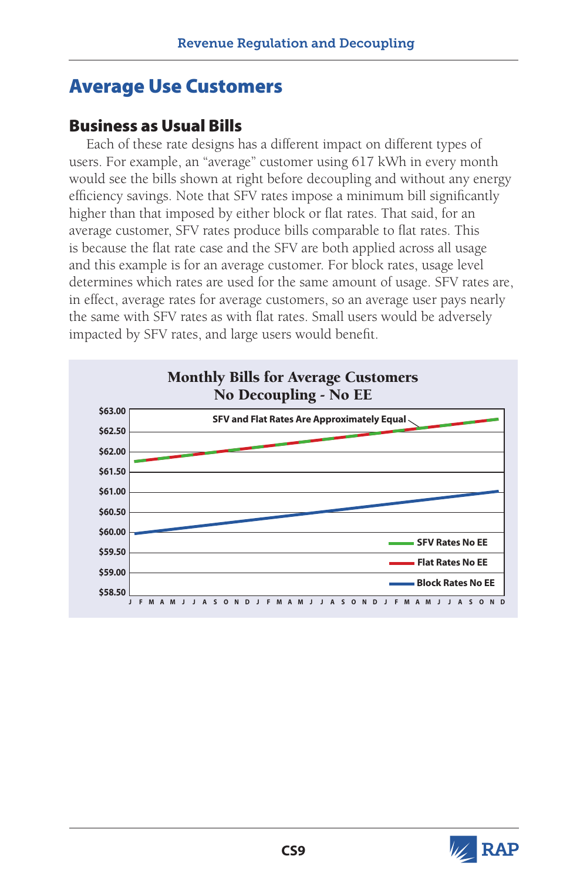# Average Use Customers

# Business as Usual Bills

Each of these rate designs has a different impact on different types of users. For example, an "average" customer using 617 kWh in every month would see the bills shown at right before decoupling and without any energy efficiency savings. Note that SFV rates impose a minimum bill significantly higher than that imposed by either block or flat rates. That said, for an average customer, SFV rates produce bills comparable to flat rates. This is because the flat rate case and the SFV are both applied across all usage and this example is for an average customer. For block rates, usage level determines which rates are used for the same amount of usage. SFV rates are, in effect, average rates for average customers, so an average user pays nearly the same with SFV rates as with flat rates. Small users would be adversely impacted by SFV rates, and large users would benefit.



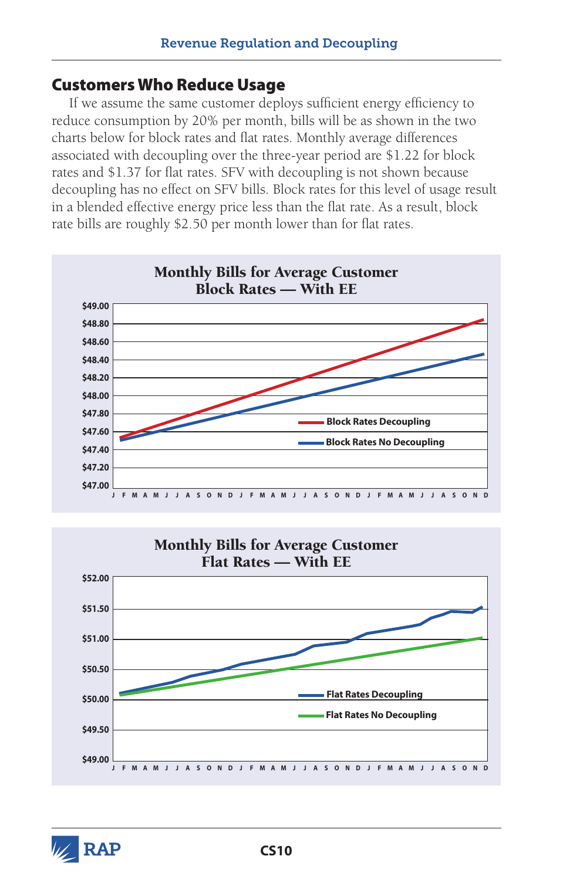### Customers Who Reduce Usage

If we assume the same customer deploys sufficient energy efficiency to reduce consumption by 20% per month, bills will be as shown in the two charts below for block rates and flat rates. Monthly average differences associated with decoupling over the three-year period are \$1.22 for block rates and \$1.37 for flat rates. SFV with decoupling is not shown because decoupling has no effect on SFV bills. Block rates for this level of usage result in a blended effective energy price less than the flat rate. As a result, block rate bills are roughly \$2.50 per month lower than for flat rates.





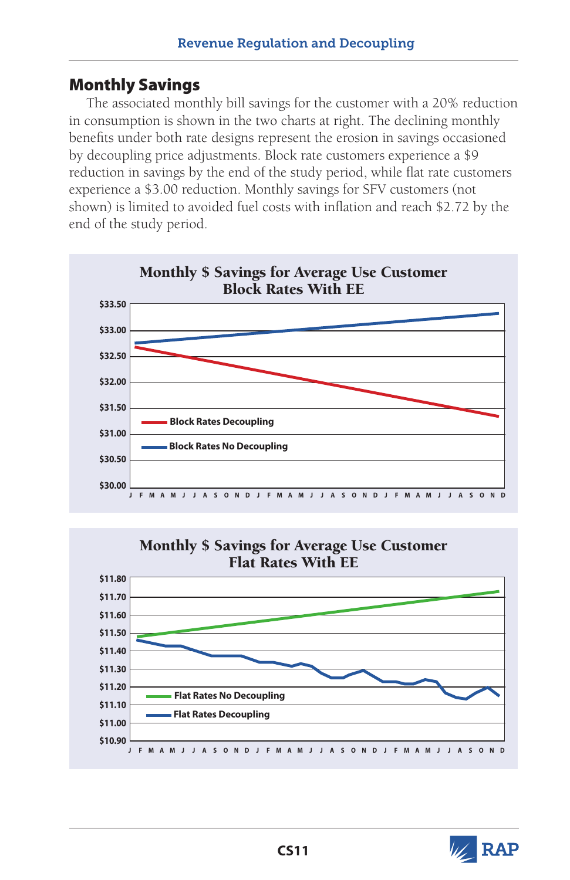# Monthly Savings

The associated monthly bill savings for the customer with a 20% reduction in consumption is shown in the two charts at right. The declining monthly benefits under both rate designs represent the erosion in savings occasioned by decoupling price adjustments. Block rate customers experience a \$9 reduction in savings by the end of the study period, while flat rate customers experience a \$3.00 reduction. Monthly savings for SFV customers (not shown) is limited to avoided fuel costs with inflation and reach \$2.72 by the end of the study period.







**V** RAP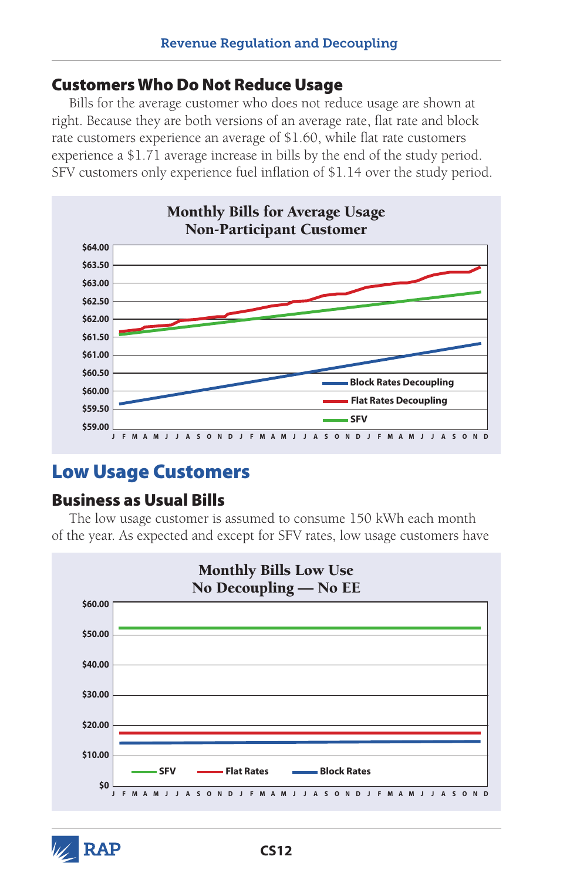## Customers Who Do Not Reduce Usage

Bills for the average customer who does not reduce usage are shown at right. Because they are both versions of an average rate, flat rate and block rate customers experience an average of \$1.60, while flat rate customers experience a \$1.71 average increase in bills by the end of the study period. SFV customers only experience fuel inflation of \$1.14 over the study period.



# Low Usage Customers

## Business as Usual Bills

The low usage customer is assumed to consume 150 kWh each month of the year. As expected and except for SFV rates, low usage customers have



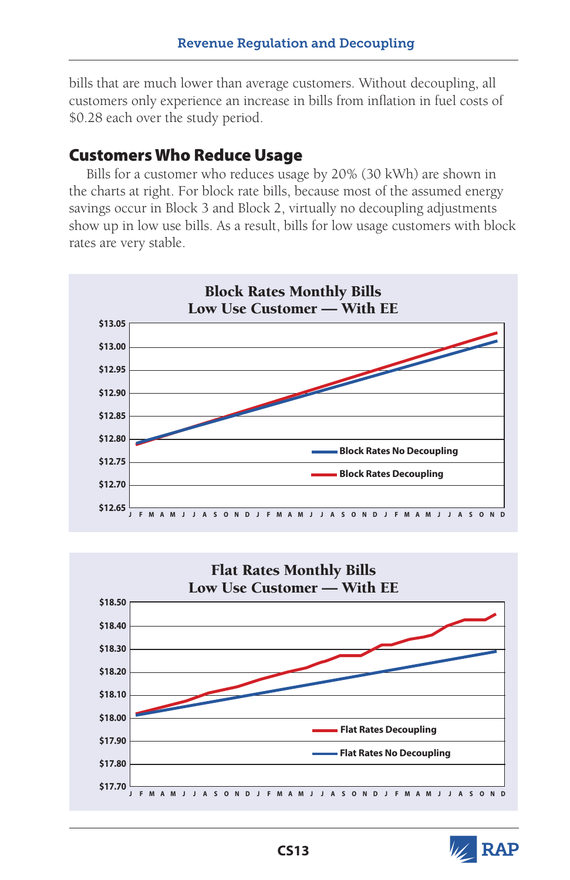bills that are much lower than average customers. Without decoupling, all customers only experience an increase in bills from inflation in fuel costs of \$0.28 each over the study period.

# Customers Who Reduce Usage

Bills for a customer who reduces usage by 20% (30 kWh) are shown in the charts at right. For block rate bills, because most of the assumed energy savings occur in Block 3 and Block 2, virtually no decoupling adjustments show up in low use bills. As a result, bills for low usage customers with block rates are very stable.





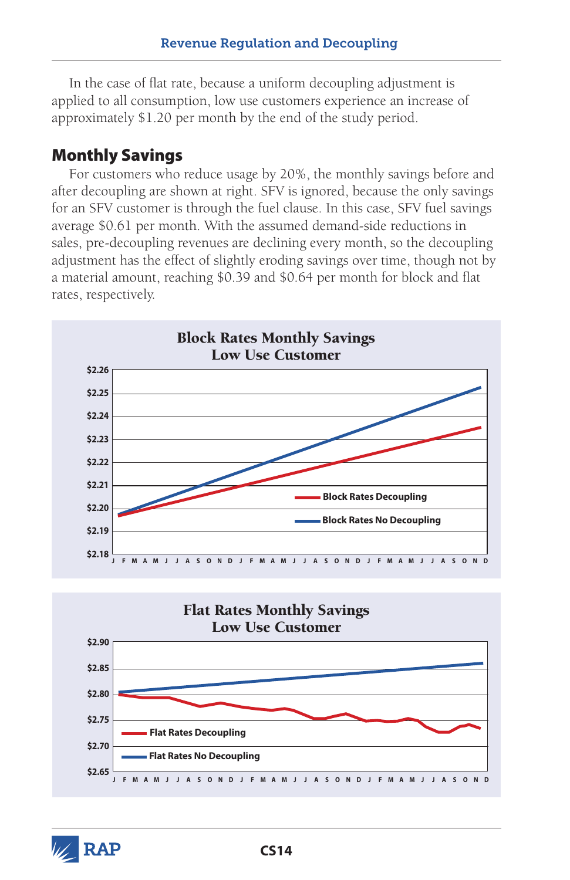In the case of flat rate, because a uniform decoupling adjustment is applied to all consumption, low use customers experience an increase of approximately \$1.20 per month by the end of the study period.

# Monthly Savings

For customers who reduce usage by 20%, the monthly savings before and after decoupling are shown at right. SFV is ignored, because the only savings for an SFV customer is through the fuel clause. In this case, SFV fuel savings average \$0.61 per month. With the assumed demand-side reductions in sales, pre-decoupling revenues are declining every month, so the decoupling adjustment has the effect of slightly eroding savings over time, though not by a material amount, reaching \$0.39 and \$0.64 per month for block and flat rates, respectively.



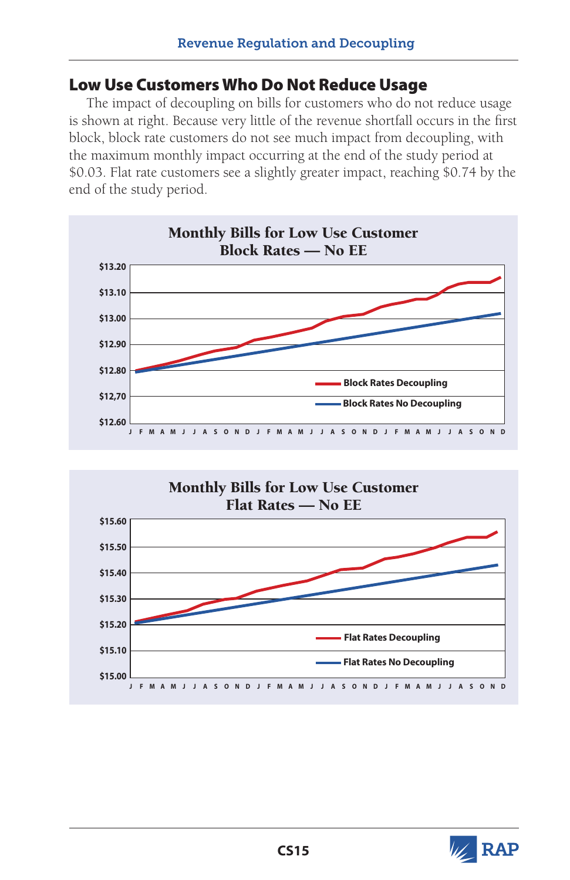### Low Use Customers Who Do Not Reduce Usage

The impact of decoupling on bills for customers who do not reduce usage is shown at right. Because very little of the revenue shortfall occurs in the first block, block rate customers do not see much impact from decoupling, with the maximum monthly impact occurring at the end of the study period at \$0.03. Flat rate customers see a slightly greater impact, reaching \$0.74 by the end of the study period.





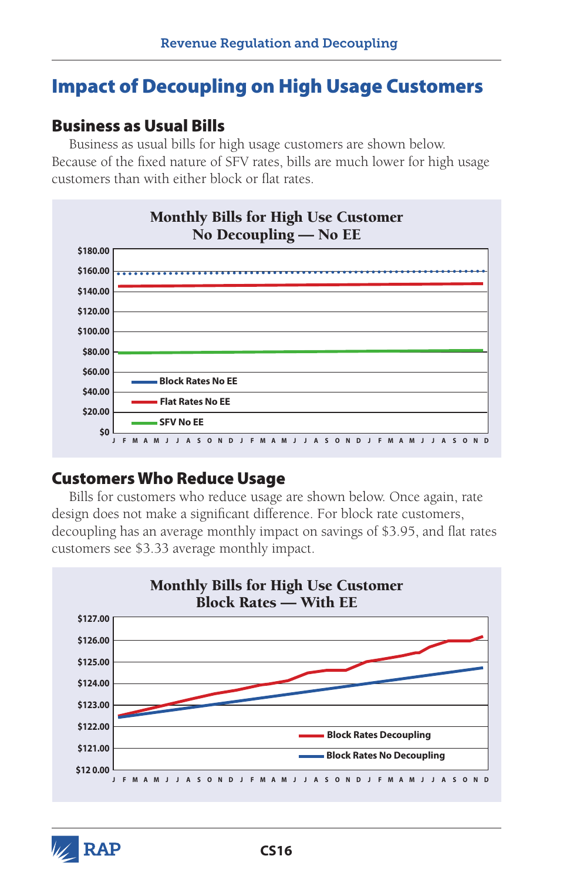# Impact of Decoupling on High Usage Customers

### Business as Usual Bills

Business as usual bills for high usage customers are shown below. Because of the fixed nature of SFV rates, bills are much lower for high usage customers than with either block or flat rates.



### Customers Who Reduce Usage

Bills for customers who reduce usage are shown below. Once again, rate design does not make a significant difference. For block rate customers, decoupling has an average monthly impact on savings of \$3.95, and flat rates customers see \$3.33 average monthly impact.



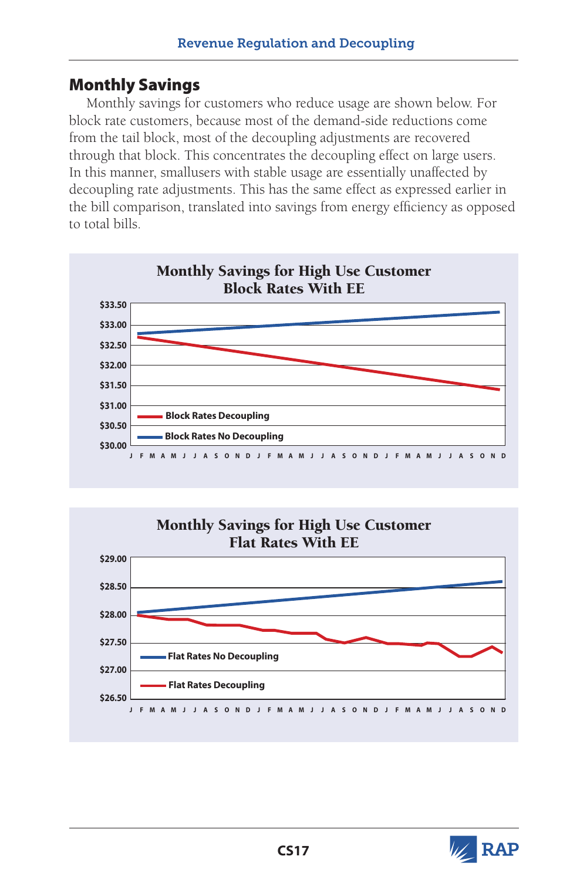### Monthly Savings

Monthly savings for customers who reduce usage are shown below. For block rate customers, because most of the demand-side reductions come from the tail block, most of the decoupling adjustments are recovered through that block. This concentrates the decoupling effect on large users. In this manner, smallusers with stable usage are essentially unaffected by decoupling rate adjustments. This has the same effect as expressed earlier in the bill comparison, translated into savings from energy efficiency as opposed to total bills.





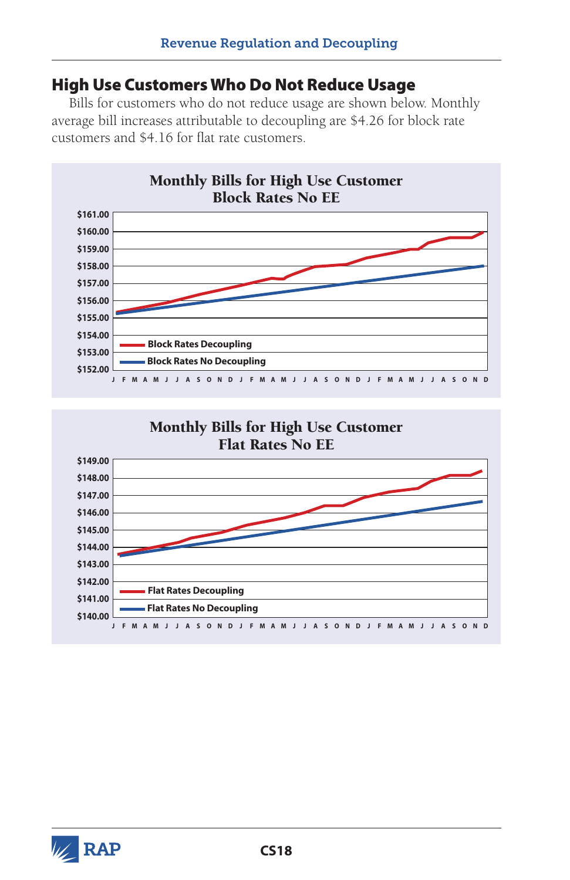#### High Use Customers Who Do Not Reduce Usage

Bills for customers who do not reduce usage are shown below. Monthly average bill increases attributable to decoupling are \$4.26 for block rate customers and \$4.16 for flat rate customers.





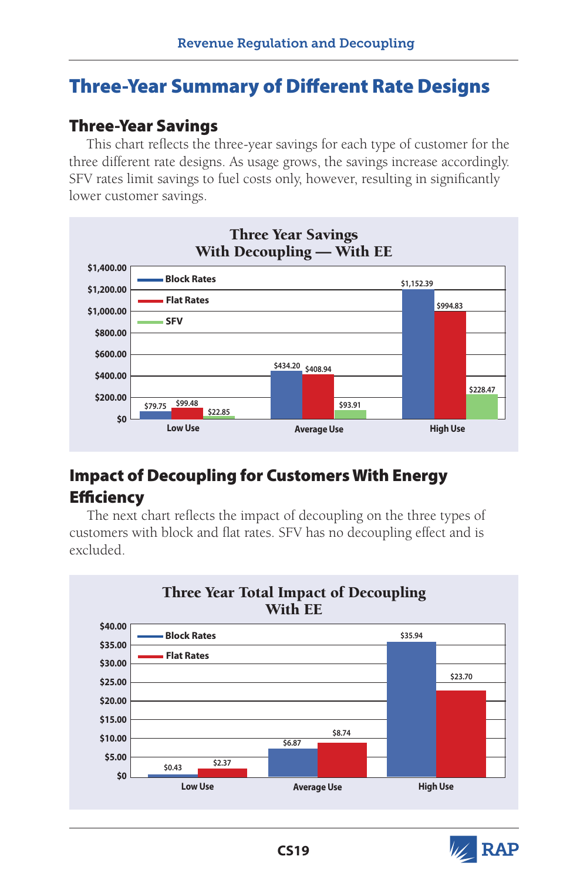# Three-Year Summary of Different Rate Designs

## Three-Year Savings

This chart reflects the three-year savings for each type of customer for the three different rate designs. As usage grows, the savings increase accordingly. SFV rates limit savings to fuel costs only, however, resulting in significantly lower customer savings.



## Impact of Decoupling for Customers With Energy **Efficiency**

The next chart reflects the impact of decoupling on the three types of customers with block and flat rates. SFV has no decoupling effect and is excluded.



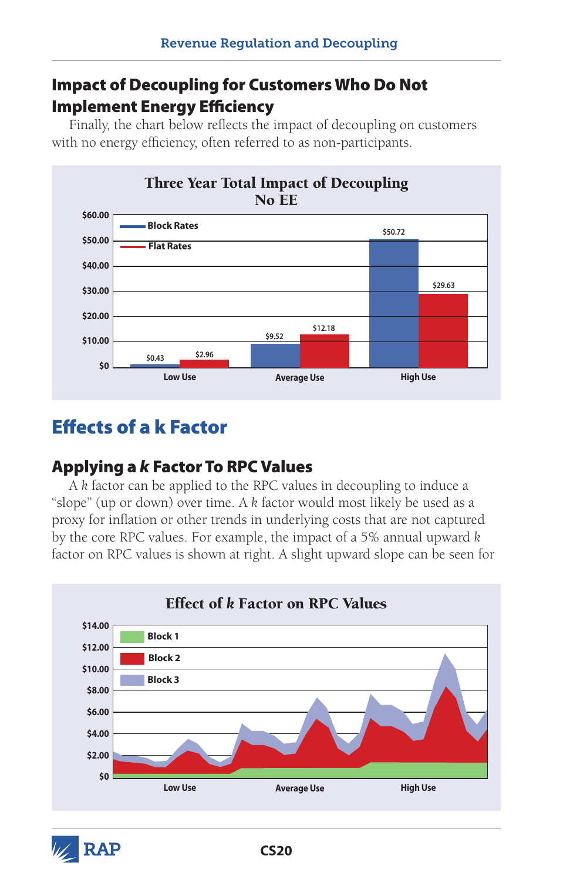## Impact of Decoupling for Customers Who Do Not Implement Energy Efficiency

Finally, the chart below reflects the impact of decoupling on customers with no energy efficiency, often referred to as non-participants.



# Effects of a k Factor

## Applying a *k* Factor To RPC Values

A *k* factor can be applied to the RPC values in decoupling to induce a "slope" (up or down) over time. A *k* factor would most likely be used as a proxy for inflation or other trends in underlying costs that are not captured by the core RPC values. For example, the impact of a 5% annual upward *k* factor on RPC values is shown at right. A slight upward slope can be seen for



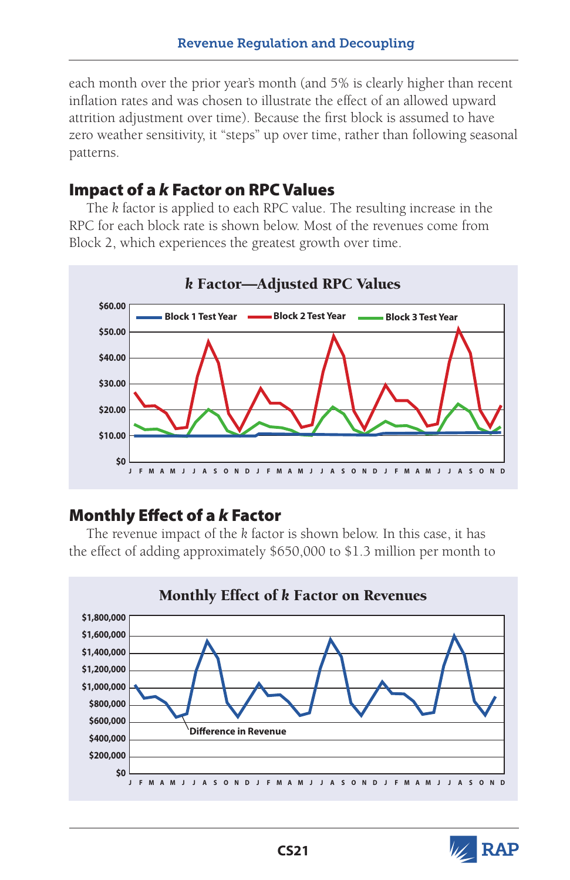each month over the prior year's month (and 5% is clearly higher than recent inflation rates and was chosen to illustrate the effect of an allowed upward attrition adjustment over time). Because the first block is assumed to have zero weather sensitivity, it "steps" up over time, rather than following seasonal patterns.

### Impact of a *k* Factor on RPC Values

The *k* factor is applied to each RPC value. The resulting increase in the RPC for each block rate is shown below. Most of the revenues come from Block 2, which experiences the greatest growth over time.



## Monthly Effect of a *k* Factor

The revenue impact of the *k* factor is shown below. In this case, it has the effect of adding approximately \$650,000 to \$1.3 million per month to



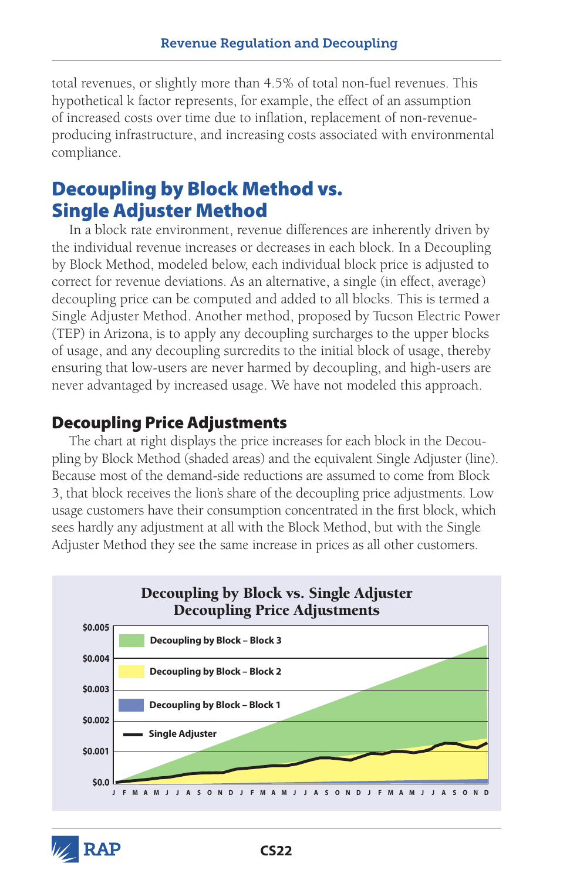total revenues, or slightly more than 4.5% of total non-fuel revenues. This hypothetical k factor represents, for example, the effect of an assumption of increased costs over time due to inflation, replacement of non-revenueproducing infrastructure, and increasing costs associated with environmental compliance.

# Decoupling by Block Method vs. Single Adjuster Method

In a block rate environment, revenue differences are inherently driven by the individual revenue increases or decreases in each block. In a Decoupling by Block Method, modeled below, each individual block price is adjusted to correct for revenue deviations. As an alternative, a single (in effect, average) decoupling price can be computed and added to all blocks. This is termed a Single Adjuster Method. Another method, proposed by Tucson Electric Power (TEP) in Arizona, is to apply any decoupling surcharges to the upper blocks of usage, and any decoupling surcredits to the initial block of usage, thereby ensuring that low-users are never harmed by decoupling, and high-users are never advantaged by increased usage. We have not modeled this approach.

### Decoupling Price Adjustments

The chart at right displays the price increases for each block in the Decoupling by Block Method (shaded areas) and the equivalent Single Adjuster (line). Because most of the demand-side reductions are assumed to come from Block 3, that block receives the lion's share of the decoupling price adjustments. Low usage customers have their consumption concentrated in the first block, which sees hardly any adjustment at all with the Block Method, but with the Single Adjuster Method they see the same increase in prices as all other customers.



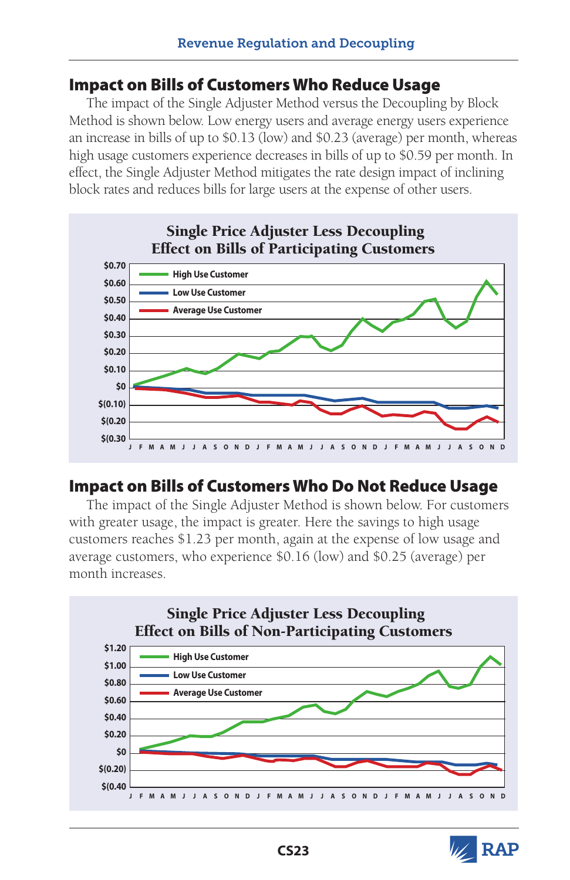### Impact on Bills of Customers Who Reduce Usage

The impact of the Single Adjuster Method versus the Decoupling by Block Method is shown below. Low energy users and average energy users experience an increase in bills of up to \$0.13 (low) and \$0.23 (average) per month, whereas high usage customers experience decreases in bills of up to \$0.59 per month. In effect, the Single Adjuster Method mitigates the rate design impact of inclining block rates and reduces bills for large users at the expense of other users.



## Impact on Bills of Customers Who Do Not Reduce Usage

The impact of the Single Adjuster Method is shown below. For customers with greater usage, the impact is greater. Here the savings to high usage customers reaches \$1.23 per month, again at the expense of low usage and average customers, who experience \$0.16 (low) and \$0.25 (average) per month increases.



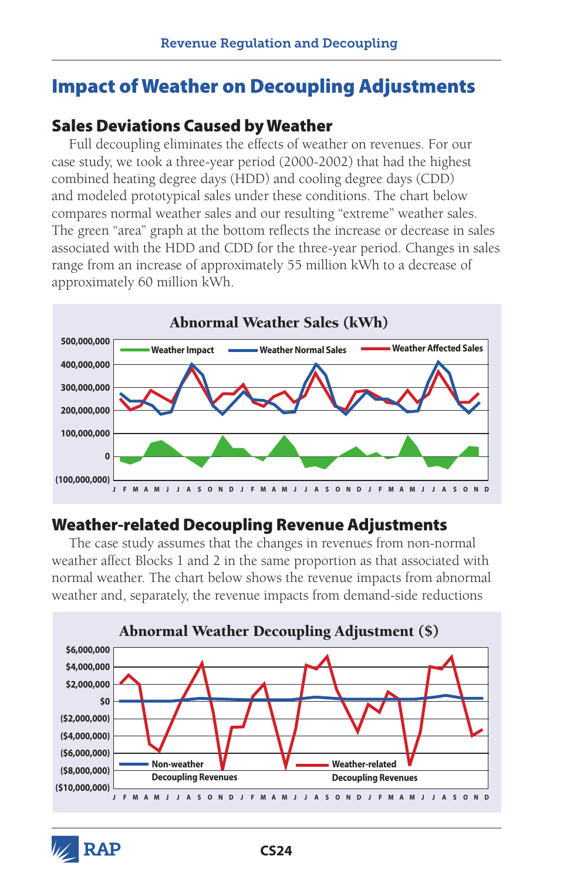# Impact of Weather on Decoupling Adjustments

### Sales Deviations Caused by Weather

Full decoupling eliminates the effects of weather on revenues. For our case study, we took a three-year period (2000-2002) that had the highest combined heating degree days (HDD) and cooling degree days (CDD) and modeled prototypical sales under these conditions. The chart below compares normal weather sales and our resulting "extreme" weather sales. The green "area" graph at the bottom reflects the increase or decrease in sales associated with the HDD and CDD for the three-year period. Changes in sales range from an increase of approximately 55 million kWh to a decrease of approximately 60 million kWh.



## Weather-related Decoupling Revenue Adjustments

The case study assumes that the changes in revenues from non-normal weather affect Blocks 1 and 2 in the same proportion as that associated with normal weather. The chart below shows the revenue impacts from abnormal weather and, separately, the revenue impacts from demand-side reductions



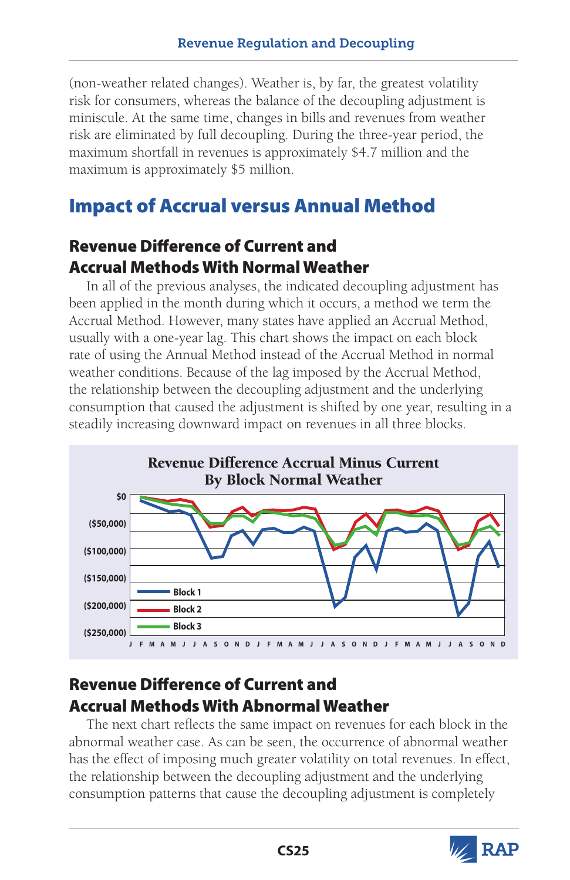(non-weather related changes). Weather is, by far, the greatest volatility risk for consumers, whereas the balance of the decoupling adjustment is miniscule. At the same time, changes in bills and revenues from weather risk are eliminated by full decoupling. During the three-year period, the maximum shortfall in revenues is approximately \$4.7 million and the maximum is approximately \$5 million.

# Impact of Accrual versus Annual Method

## Revenue Difference of Current and Accrual Methods With Normal Weather

In all of the previous analyses, the indicated decoupling adjustment has been applied in the month during which it occurs, a method we term the Accrual Method. However, many states have applied an Accrual Method, usually with a one-year lag. This chart shows the impact on each block rate of using the Annual Method instead of the Accrual Method in normal weather conditions. Because of the lag imposed by the Accrual Method, the relationship between the decoupling adjustment and the underlying consumption that caused the adjustment is shifted by one year, resulting in a steadily increasing downward impact on revenues in all three blocks.



## Revenue Difference of Current and Accrual Methods With Abnormal Weather

The next chart reflects the same impact on revenues for each block in the abnormal weather case. As can be seen, the occurrence of abnormal weather has the effect of imposing much greater volatility on total revenues. In effect, the relationship between the decoupling adjustment and the underlying consumption patterns that cause the decoupling adjustment is completely

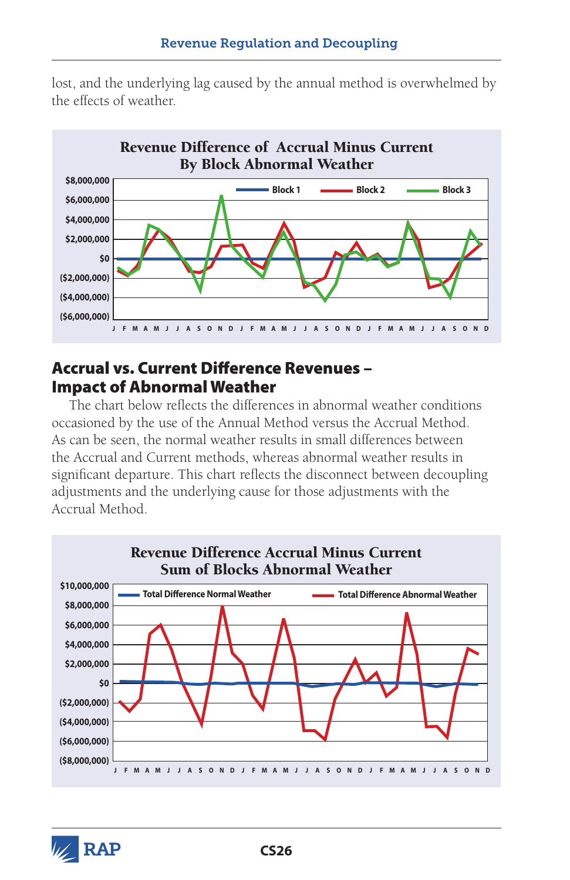lost, and the underlying lag caused by the annual method is overwhelmed by the effects of weather.



#### Accrual vs. Current Difference Revenues – Impact of Abnormal Weather

The chart below reflects the differences in abnormal weather conditions occasioned by the use of the Annual Method versus the Accrual Method. As can be seen, the normal weather results in small differences between the Accrual and Current methods, whereas abnormal weather results in significant departure. This chart reflects the disconnect between decoupling adjustments and the underlying cause for those adjustments with the Accrual Method.



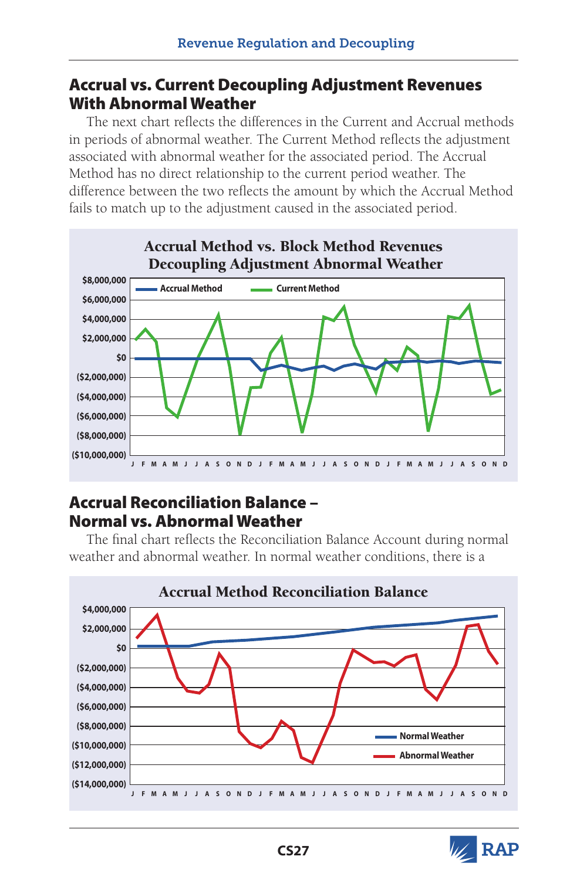### Accrual vs. Current Decoupling Adjustment Revenues With Abnormal Weather

The next chart reflects the differences in the Current and Accrual methods in periods of abnormal weather. The Current Method reflects the adjustment associated with abnormal weather for the associated period. The Accrual Method has no direct relationship to the current period weather. The difference between the two reflects the amount by which the Accrual Method fails to match up to the adjustment caused in the associated period.



## Accrual Reconciliation Balance – Normal vs. Abnormal Weather

The final chart reflects the Reconciliation Balance Account during normal weather and abnormal weather. In normal weather conditions, there is a



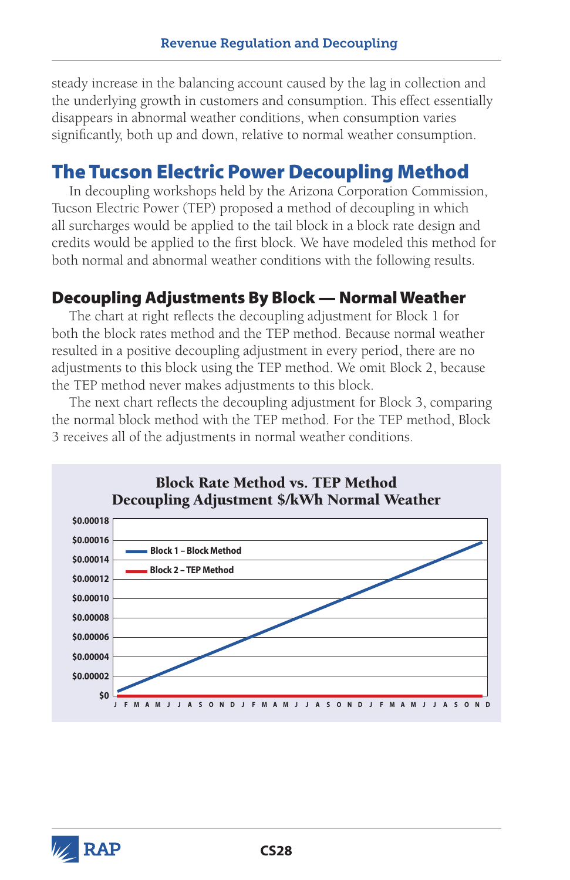steady increase in the balancing account caused by the lag in collection and the underlying growth in customers and consumption. This effect essentially disappears in abnormal weather conditions, when consumption varies significantly, both up and down, relative to normal weather consumption.

# The Tucson Electric Power Decoupling Method

In decoupling workshops held by the Arizona Corporation Commission, Tucson Electric Power (TEP) proposed a method of decoupling in which all surcharges would be applied to the tail block in a block rate design and credits would be applied to the first block. We have modeled this method for both normal and abnormal weather conditions with the following results.

### Decoupling Adjustments By Block — Normal Weather

The chart at right reflects the decoupling adjustment for Block 1 for both the block rates method and the TEP method. Because normal weather resulted in a positive decoupling adjustment in every period, there are no adjustments to this block using the TEP method. We omit Block 2, because the TEP method never makes adjustments to this block.

The next chart reflects the decoupling adjustment for Block 3, comparing the normal block method with the TEP method. For the TEP method, Block 3 receives all of the adjustments in normal weather conditions.



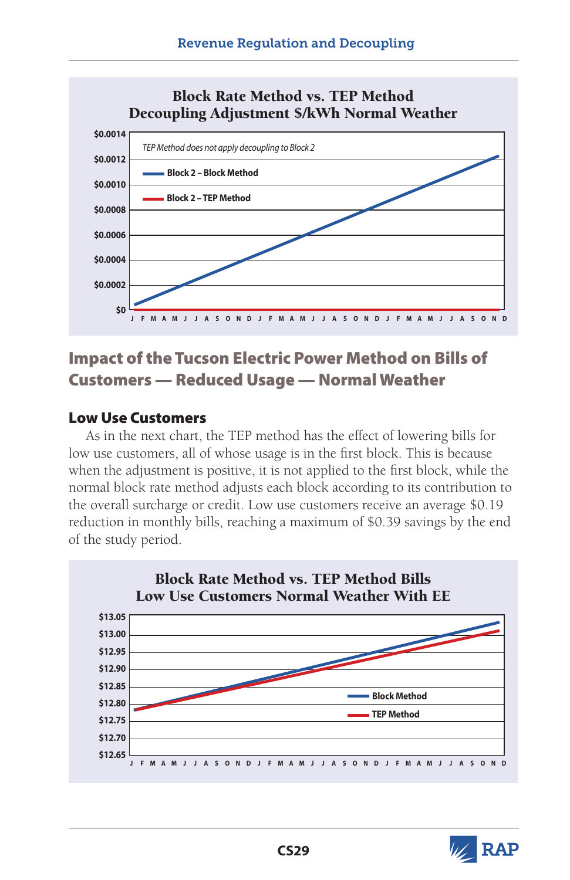

## Impact of the Tucson Electric Power Method on Bills of Customers — Reduced Usage — Normal Weather

#### Low Use Customers

As in the next chart, the TEP method has the effect of lowering bills for low use customers, all of whose usage is in the first block. This is because when the adjustment is positive, it is not applied to the first block, while the normal block rate method adjusts each block according to its contribution to the overall surcharge or credit. Low use customers receive an average \$0.19 reduction in monthly bills, reaching a maximum of \$0.39 savings by the end of the study period.



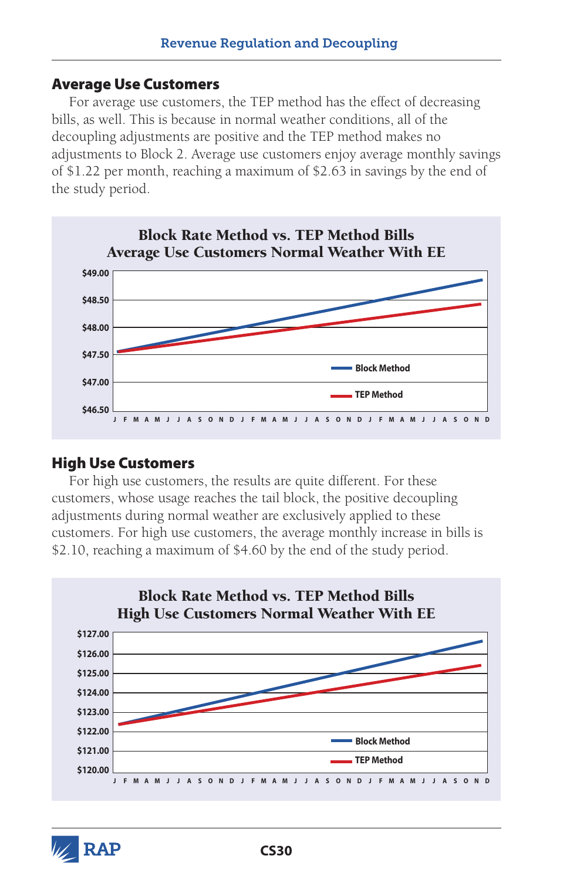#### Average Use Customers

For average use customers, the TEP method has the effect of decreasing bills, as well. This is because in normal weather conditions, all of the decoupling adjustments are positive and the TEP method makes no adjustments to Block 2. Average use customers enjoy average monthly savings of \$1.22 per month, reaching a maximum of \$2.63 in savings by the end of the study period.



#### High Use Customers

For high use customers, the results are quite different. For these customers, whose usage reaches the tail block, the positive decoupling adjustments during normal weather are exclusively applied to these customers. For high use customers, the average monthly increase in bills is \$2.10, reaching a maximum of \$4.60 by the end of the study period.



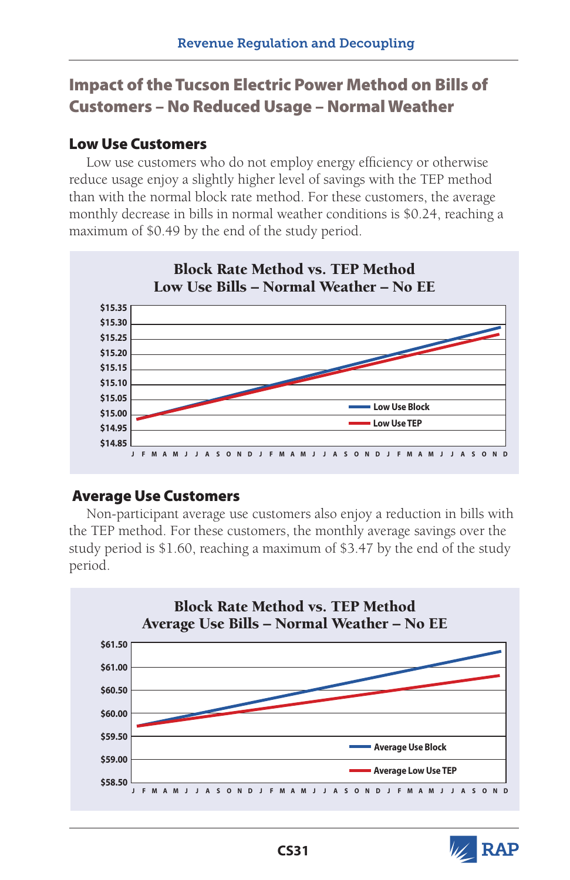## Impact of the Tucson Electric Power Method on Bills of Customers – No Reduced Usage – Normal Weather

#### Low Use Customers

Low use customers who do not employ energy efficiency or otherwise reduce usage enjoy a slightly higher level of savings with the TEP method than with the normal block rate method. For these customers, the average monthly decrease in bills in normal weather conditions is \$0.24, reaching a maximum of \$0.49 by the end of the study period.



#### Average Use Customers

Non-participant average use customers also enjoy a reduction in bills with the TEP method. For these customers, the monthly average savings over the study period is \$1.60, reaching a maximum of \$3.47 by the end of the study period.



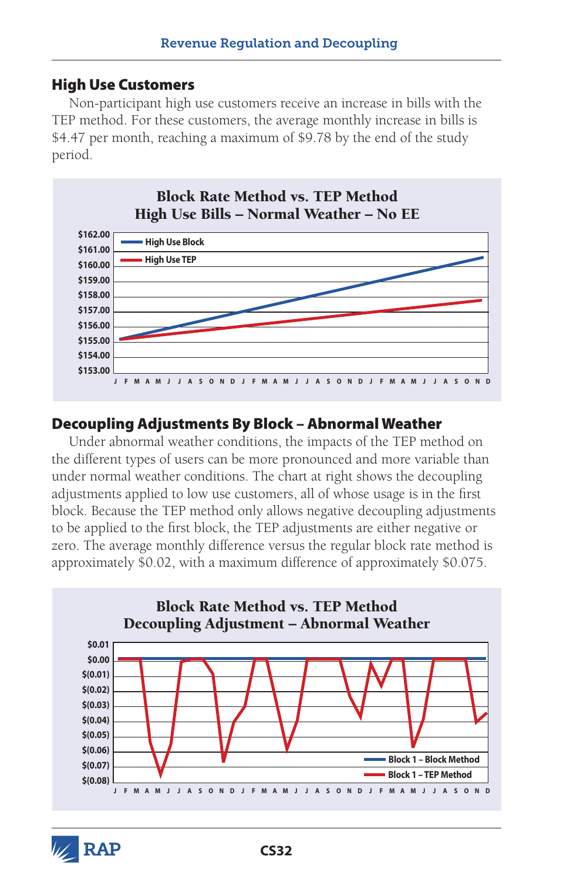#### High Use Customers

Non-participant high use customers receive an increase in bills with the TEP method. For these customers, the average monthly increase in bills is \$4.47 per month, reaching a maximum of \$9.78 by the end of the study period.



#### Decoupling Adjustments By Block – Abnormal Weather

Under abnormal weather conditions, the impacts of the TEP method on the different types of users can be more pronounced and more variable than under normal weather conditions. The chart at right shows the decoupling adjustments applied to low use customers, all of whose usage is in the first block. Because the TEP method only allows negative decoupling adjustments to be applied to the first block, the TEP adjustments are either negative or zero. The average monthly difference versus the regular block rate method is approximately \$0.02, with a maximum difference of approximately \$0.075.



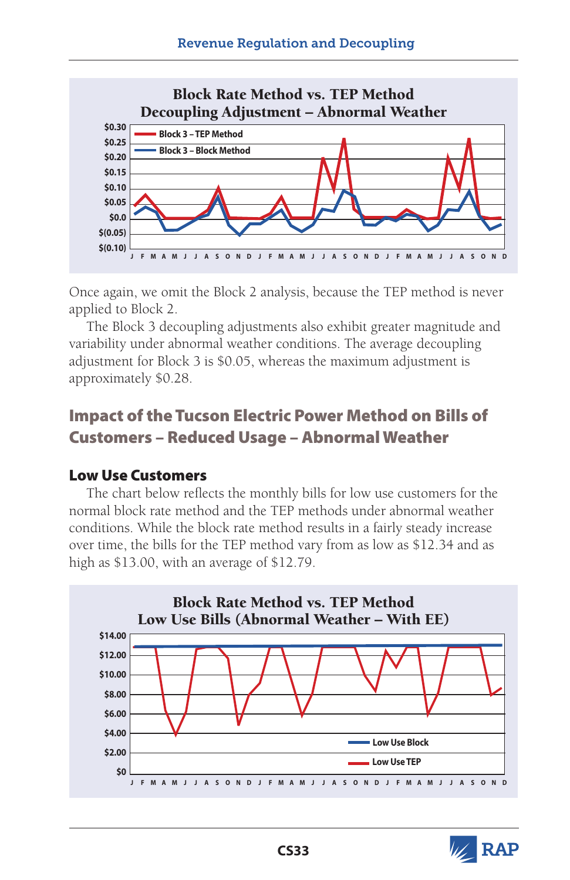

Once again, we omit the Block 2 analysis, because the TEP method is never applied to Block 2.

The Block 3 decoupling adjustments also exhibit greater magnitude and variability under abnormal weather conditions. The average decoupling adjustment for Block 3 is \$0.05, whereas the maximum adjustment is approximately \$0.28.

## Impact of the Tucson Electric Power Method on Bills of Customers – Reduced Usage – Abnormal Weather

#### Low Use Customers

The chart below reflects the monthly bills for low use customers for the normal block rate method and the TEP methods under abnormal weather conditions. While the block rate method results in a fairly steady increase over time, the bills for the TEP method vary from as low as \$12.34 and as high as \$13.00, with an average of \$12.79.



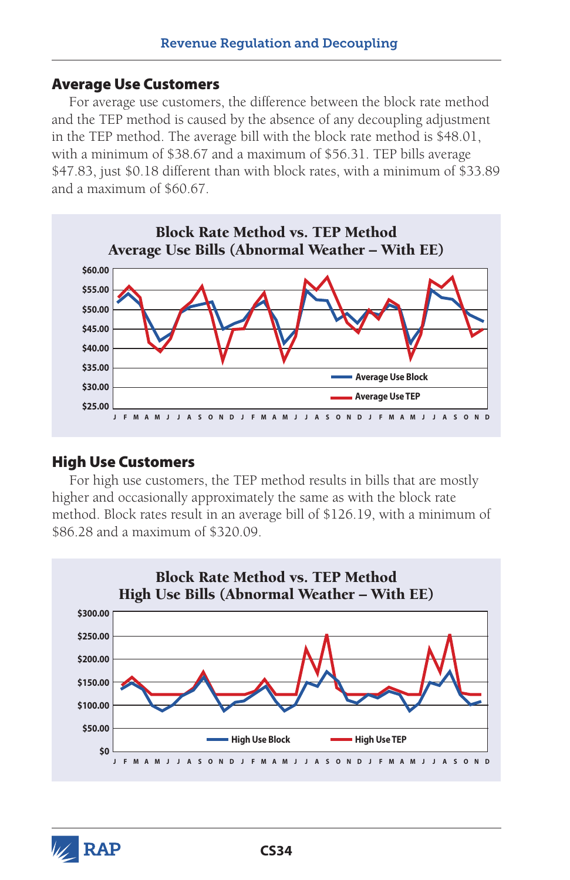#### Average Use Customers

For average use customers, the difference between the block rate method and the TEP method is caused by the absence of any decoupling adjustment in the TEP method. The average bill with the block rate method is \$48.01, with a minimum of \$38.67 and a maximum of \$56.31. TEP bills average \$47.83, just \$0.18 different than with block rates, with a minimum of \$33.89 and a maximum of \$60.67.



#### High Use Customers

For high use customers, the TEP method results in bills that are mostly higher and occasionally approximately the same as with the block rate method. Block rates result in an average bill of \$126.19, with a minimum of \$86.28 and a maximum of \$320.09.



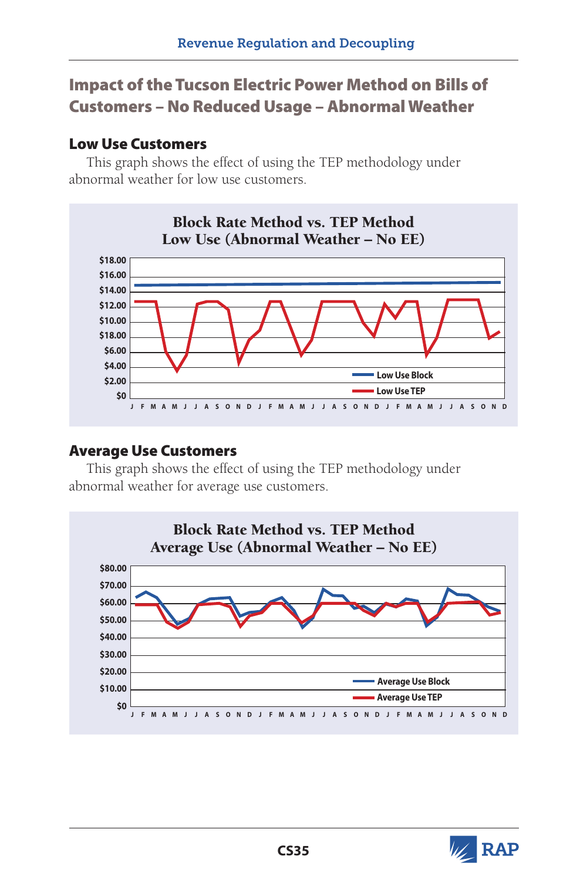## Impact of the Tucson Electric Power Method on Bills of Customers – No Reduced Usage – Abnormal Weather

#### Low Use Customers

This graph shows the effect of using the TEP methodology under abnormal weather for low use customers.



#### Average Use Customers

This graph shows the effect of using the TEP methodology under abnormal weather for average use customers.